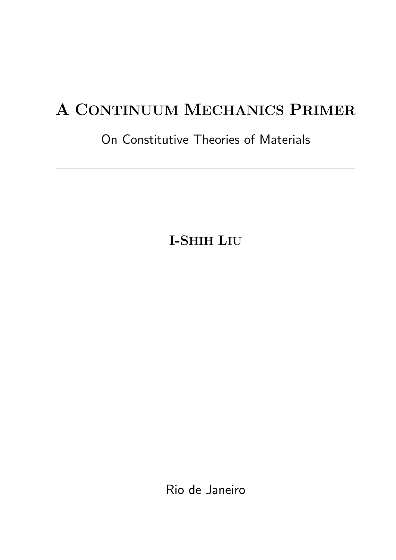# A CONTINUUM MECHANICS PRIMER

# On Constitutive Theories of Materials

I-SHIH LIU

Rio de Janeiro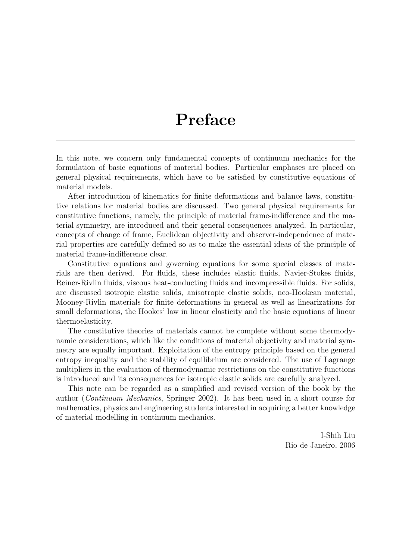# Preface

In this note, we concern only fundamental concepts of continuum mechanics for the formulation of basic equations of material bodies. Particular emphases are placed on general physical requirements, which have to be satisfied by constitutive equations of material models.

After introduction of kinematics for finite deformations and balance laws, constitutive relations for material bodies are discussed. Two general physical requirements for constitutive functions, namely, the principle of material frame-indifference and the material symmetry, are introduced and their general consequences analyzed. In particular, concepts of change of frame, Euclidean objectivity and observer-independence of material properties are carefully defined so as to make the essential ideas of the principle of material frame-indifference clear.

Constitutive equations and governing equations for some special classes of materials are then derived. For fluids, these includes elastic fluids, Navier-Stokes fluids, Reiner-Rivlin fluids, viscous heat-conducting fluids and incompressible fluids. For solids, are discussed isotropic elastic solids, anisotropic elastic solids, neo-Hookean material, Mooney-Rivlin materials for finite deformations in general as well as linearizations for small deformations, the Hookes' law in linear elasticity and the basic equations of linear thermoelasticity.

The constitutive theories of materials cannot be complete without some thermodynamic considerations, which like the conditions of material objectivity and material symmetry are equally important. Exploitation of the entropy principle based on the general entropy inequality and the stability of equilibrium are considered. The use of Lagrange multipliers in the evaluation of thermodynamic restrictions on the constitutive functions is introduced and its consequences for isotropic elastic solids are carefully analyzed.

This note can be regarded as a simplified and revised version of the book by the author (Continuum Mechanics, Springer 2002). It has been used in a short course for mathematics, physics and engineering students interested in acquiring a better knowledge of material modelling in continuum mechanics.

> I-Shih Liu Rio de Janeiro, 2006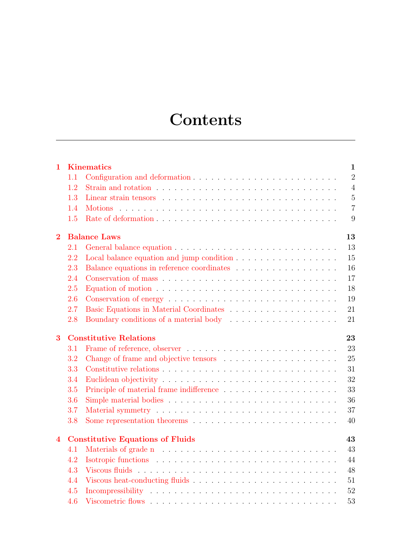# **Contents**

| $\mathbf{1}$   |                                               | <b>Kinematics</b><br>$\mathbf{1}$                                                                  |  |  |  |
|----------------|-----------------------------------------------|----------------------------------------------------------------------------------------------------|--|--|--|
|                | 1.1                                           | $\overline{2}$                                                                                     |  |  |  |
|                | 1.2                                           | $\overline{4}$                                                                                     |  |  |  |
|                | 1.3                                           | $\overline{5}$                                                                                     |  |  |  |
|                | 1.4                                           | $\overline{7}$                                                                                     |  |  |  |
|                | 1.5                                           | 9                                                                                                  |  |  |  |
| $\overline{2}$ | <b>Balance Laws</b><br>13                     |                                                                                                    |  |  |  |
|                | 2.1                                           | 13                                                                                                 |  |  |  |
|                | 2.2                                           | 15                                                                                                 |  |  |  |
|                | 2.3                                           | 16                                                                                                 |  |  |  |
|                | 2.4                                           | 17                                                                                                 |  |  |  |
|                | 2.5                                           | Equation of motion $\dots \dots \dots \dots \dots \dots \dots \dots \dots \dots \dots \dots$<br>18 |  |  |  |
|                | 2.6                                           | 19                                                                                                 |  |  |  |
|                | 2.7                                           | 21                                                                                                 |  |  |  |
|                | 2.8                                           | 21                                                                                                 |  |  |  |
| 3              | <b>Constitutive Relations</b><br>23           |                                                                                                    |  |  |  |
|                | 3.1                                           | 23                                                                                                 |  |  |  |
|                | 3.2                                           | 25                                                                                                 |  |  |  |
|                | 3.3                                           | 31                                                                                                 |  |  |  |
|                | 3.4                                           | 32                                                                                                 |  |  |  |
|                | 3.5                                           | 33                                                                                                 |  |  |  |
|                | 3.6                                           | 36                                                                                                 |  |  |  |
|                | 3.7                                           | 37                                                                                                 |  |  |  |
|                | 3.8                                           | 40                                                                                                 |  |  |  |
| 4              | <b>Constitutive Equations of Fluids</b><br>43 |                                                                                                    |  |  |  |
|                | 4.1                                           | 43                                                                                                 |  |  |  |
|                | 4.2                                           | 44                                                                                                 |  |  |  |
|                | 4.3                                           | 48                                                                                                 |  |  |  |
|                | 4.4                                           | 51                                                                                                 |  |  |  |
|                | 4.5                                           | 52                                                                                                 |  |  |  |
|                | 4.6                                           | 53                                                                                                 |  |  |  |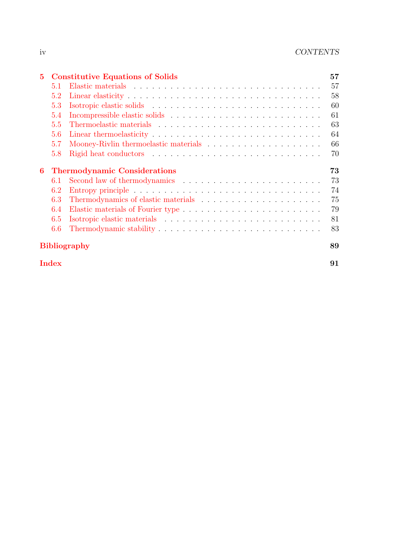| 5.           |                                           | <b>Constitutive Equations of Solids</b> | 57 |  |  |
|--------------|-------------------------------------------|-----------------------------------------|----|--|--|
|              | 5.1                                       |                                         | 57 |  |  |
|              | 5.2                                       |                                         | 58 |  |  |
|              | 5.3                                       |                                         | 60 |  |  |
|              | 5.4                                       |                                         | 61 |  |  |
|              | 5.5                                       |                                         | 63 |  |  |
|              | 5.6                                       |                                         | 64 |  |  |
|              | 5.7                                       |                                         | 66 |  |  |
|              | 5.8                                       |                                         | 70 |  |  |
| 6            | 73<br><b>Thermodynamic Considerations</b> |                                         |    |  |  |
|              | 6.1                                       |                                         | 73 |  |  |
|              | 6.2                                       |                                         | 74 |  |  |
|              | 6.3                                       |                                         | 75 |  |  |
|              | 6.4                                       |                                         | 79 |  |  |
|              | 6.5                                       |                                         | 81 |  |  |
|              | 6.6                                       |                                         | 83 |  |  |
|              | <b>Bibliography</b><br>89                 |                                         |    |  |  |
| <b>Index</b> |                                           |                                         |    |  |  |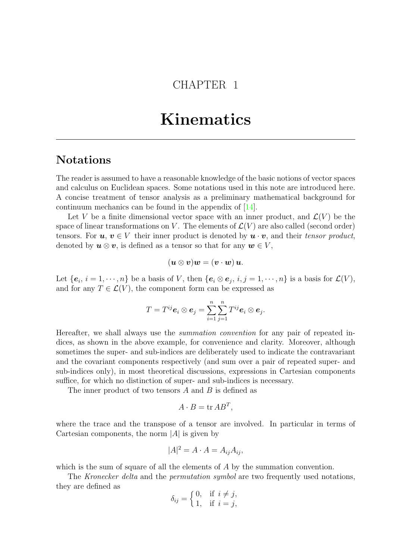# CHAPTER 1

# Kinematics

# <span id="page-6-0"></span>Notations

The reader is assumed to have a reasonable knowledge of the basic notions of vector spaces and calculus on Euclidean spaces. Some notations used in this note are introduced here. A concise treatment of tensor analysis as a preliminary mathematical background for continuum mechanics can be found in the appendix of [\[14\]](#page-95-0).

Let V be a finite dimensional vector space with an inner product, and  $\mathcal{L}(V)$  be the space of linear transformations on V. The elements of  $\mathcal{L}(V)$  are also called (second order) tensors. For  $u, v \in V$  their inner product is denoted by  $u \cdot v$ , and their tensor product, denoted by  $u \otimes v$ , is defined as a tensor so that for any  $w \in V$ ,

$$
(\boldsymbol{u}\otimes \boldsymbol{v})\boldsymbol{w}=(\boldsymbol{v}\cdot \boldsymbol{w})\,\boldsymbol{u}.
$$

Let  $\{e_i, i = 1, \dots, n\}$  be a basis of V, then  $\{e_i \otimes e_j, i, j = 1, \dots, n\}$  is a basis for  $\mathcal{L}(V)$ , and for any  $T \in \mathcal{L}(V)$ , the component form can be expressed as

$$
T=T^{ij}\mathbf{e}_i\otimes \mathbf{e}_j=\sum_{i=1}^n\sum_{j=1}^nT^{ij}\mathbf{e}_i\otimes \mathbf{e}_j.
$$

Hereafter, we shall always use the summation convention for any pair of repeated indices, as shown in the above example, for convenience and clarity. Moreover, although sometimes the super- and sub-indices are deliberately used to indicate the contravariant and the covariant components respectively (and sum over a pair of repeated super- and sub-indices only), in most theoretical discussions, expressions in Cartesian components suffice, for which no distinction of super- and sub-indices is necessary.

The inner product of two tensors A and B is defined as

$$
A \cdot B = \operatorname{tr} AB^T,
$$

where the trace and the transpose of a tensor are involved. In particular in terms of Cartesian components, the norm  $|A|$  is given by

$$
|A|^2 = A \cdot A = A_{ij} A_{ij},
$$

which is the sum of square of all the elements of A by the summation convention.

The Kronecker delta and the permutation symbol are two frequently used notations, they are defined as

$$
\delta_{ij} = \begin{cases} 0, & \text{if } i \neq j, \\ 1, & \text{if } i = j, \end{cases}
$$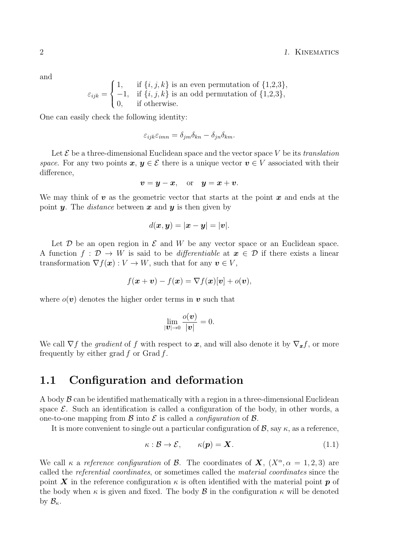and

$$
\varepsilon_{ijk} = \begin{cases} 1, & \text{if } \{i,j,k\} \text{ is an even permutation of } \{1,2,3\}, \\ -1, & \text{if } \{i,j,k\} \text{ is an odd permutation of } \{1,2,3\}, \\ 0, & \text{if otherwise.} \end{cases}
$$

One can easily check the following identity:

$$
\varepsilon_{ijk}\varepsilon_{imn} = \delta_{jm}\delta_{kn} - \delta_{jn}\delta_{km}.
$$

Let  $\mathcal E$  be a three-dimensional Euclidean space and the vector space V be its translation space. For any two points  $x, y \in \mathcal{E}$  there is a unique vector  $v \in V$  associated with their difference,

$$
v = y - x, \quad \text{or} \quad y = x + v.
$$

We may think of  $\bf{v}$  as the geometric vector that starts at the point  $\bf{x}$  and ends at the point **y**. The *distance* between **x** and **y** is then given by

$$
d(\boldsymbol{x},\boldsymbol{y})=|\boldsymbol{x}-\boldsymbol{y}|=|\boldsymbol{v}|.
$$

Let  $\mathcal D$  be an open region in  $\mathcal E$  and  $W$  be any vector space or an Euclidean space. A function  $f: \mathcal{D} \to W$  is said to be *differentiable* at  $x \in \mathcal{D}$  if there exists a linear transformation  $\nabla f(\boldsymbol{x}) : V \to W$ , such that for any  $\boldsymbol{v} \in V$ ,

$$
f(\boldsymbol{x} + \boldsymbol{v}) - f(\boldsymbol{x}) = \nabla f(\boldsymbol{x})[\boldsymbol{v}] + o(\boldsymbol{v}),
$$

where  $o(\boldsymbol{v})$  denotes the higher order terms in  $\boldsymbol{v}$  such that

$$
\lim_{|\boldsymbol{v}|\to 0} \frac{o(\boldsymbol{v})}{|\boldsymbol{v}|} = 0.
$$

We call  $\nabla f$  the *gradient* of f with respect to x, and will also denote it by  $\nabla_x f$ , or more frequently by either grad  $f$  or Grad  $f$ .

### <span id="page-7-0"></span>1.1 Configuration and deformation

A body  $\beta$  can be identified mathematically with a region in a three-dimensional Euclidean space  $\mathcal{E}$ . Such an identification is called a configuration of the body, in other words, a one-to-one mapping from  $\mathcal B$  into  $\mathcal E$  is called a *configuration* of  $\mathcal B$ .

It is more convenient to single out a particular configuration of  $\mathcal{B}$ , say  $\kappa$ , as a reference,

$$
\kappa: \mathcal{B} \to \mathcal{E}, \qquad \kappa(\mathbf{p}) = \mathbf{X}.\tag{1.1}
$$

We call  $\kappa$  a reference configuration of B. The coordinates of  $\mathbf{X}$ ,  $(X^{\alpha}, \alpha = 1, 2, 3)$  are called the referential coordinates, or sometimes called the material coordinates since the point X in the reference configuration  $\kappa$  is often identified with the material point p of the body when  $\kappa$  is given and fixed. The body  $\beta$  in the configuration  $\kappa$  will be denoted by  $\mathcal{B}_{\kappa}$ .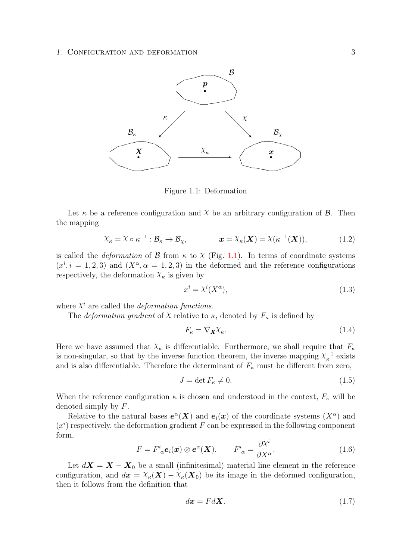#### 1. CONFIGURATION AND DEFORMATION 3



<span id="page-8-0"></span>Figure 1.1: Deformation

Let  $\kappa$  be a reference configuration and  $\chi$  be an arbitrary configuration of  $\beta$ . Then the mapping

$$
\chi_{\kappa} = \chi \circ \kappa^{-1} : \mathcal{B}_{\kappa} \to \mathcal{B}_{\chi}, \qquad \mathbf{x} = \chi_{\kappa}(\mathbf{X}) = \chi(\kappa^{-1}(\mathbf{X})), \tag{1.2}
$$

is called the *deformation* of  $\beta$  from  $\kappa$  to  $\chi$  (Fig. [1.1\)](#page-8-0). In terms of coordinate systems  $(x^{i}, i = 1, 2, 3)$  and  $(X^{\alpha}, \alpha = 1, 2, 3)$  in the deformed and the reference configurations respectively, the deformation  $X_{\kappa}$  is given by

$$
x^i = \lambda^i(X^\alpha),\tag{1.3}
$$

where  $X^i$  are called the *deformation functions*.

The *deformation gradient* of  $\chi$  relative to  $\kappa$ , denoted by  $F_{\kappa}$  is defined by

$$
F_{\kappa} = \nabla_{\mathbf{X}} \chi_{\kappa}.\tag{1.4}
$$

Here we have assumed that  $\chi_{\kappa}$  is differentiable. Furthermore, we shall require that  $F_{\kappa}$ is non-singular, so that by the inverse function theorem, the inverse mapping  $\chi_{\kappa}^{-1}$  exists and is also differentiable. Therefore the determinant of  $F_{\kappa}$  must be different from zero,

$$
J = \det F_{\kappa} \neq 0. \tag{1.5}
$$

When the reference configuration  $\kappa$  is chosen and understood in the context,  $F_{\kappa}$  will be denoted simply by F.

Relative to the natural bases  $e^{\alpha}$ (X) and  $e_i(x)$  of the coordinate systems  $(X^{\alpha})$  and  $(x<sup>i</sup>)$  respectively, the deformation gradient F can be expressed in the following component form,

$$
F = F^i{}_{\alpha} e_i(\boldsymbol{x}) \otimes e^{\alpha}(\boldsymbol{X}), \qquad F^i{}_{\alpha} = \frac{\partial X^i}{\partial X^{\alpha}}.
$$
 (1.6)

Let  $d\mathbf{X} = \mathbf{X} - \mathbf{X}_0$  be a small (infinitesimal) material line element in the reference configuration, and  $d\mathbf{x} = \chi_{\kappa}(\mathbf{X}) - \chi_{\kappa}(\mathbf{X}_0)$  be its image in the deformed configuration, then it follows from the definition that

$$
d\boldsymbol{x} = Fd\boldsymbol{X},\tag{1.7}
$$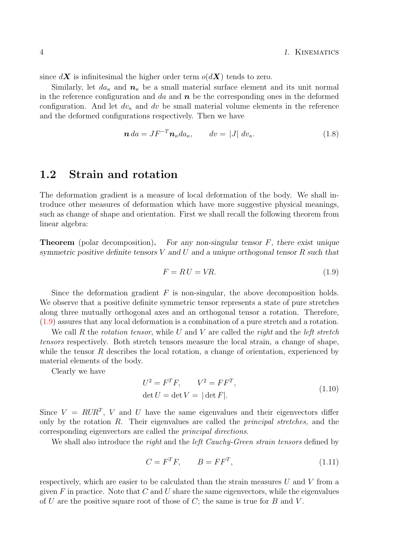since  $d\mathbf{X}$  is infinitesimal the higher order term  $o(d\mathbf{X})$  tends to zero.

Similarly, let  $da_{\kappa}$  and  $n_{\kappa}$  be a small material surface element and its unit normal in the reference configuration and da and  $n$  be the corresponding ones in the deformed configuration. And let  $dv_{\kappa}$  and dv be small material volume elements in the reference and the deformed configurations respectively. Then we have

$$
\mathbf{n} \, da = J F^{-T} \mathbf{n}_{\kappa} da_{\kappa}, \qquad dv = |J| \, dv_{\kappa}. \tag{1.8}
$$

## <span id="page-9-0"></span>1.2 Strain and rotation

The deformation gradient is a measure of local deformation of the body. We shall introduce other measures of deformation which have more suggestive physical meanings, such as change of shape and orientation. First we shall recall the following theorem from linear algebra:

**Theorem** (polar decomposition). For any non-singular tensor  $F$ , there exist unique symmetric positive definite tensors  $V$  and  $U$  and a unique orthogonal tensor  $R$  such that

$$
F = RU = VR.\tag{1.9}
$$

Since the deformation gradient  $F$  is non-singular, the above decomposition holds. We observe that a positive definite symmetric tensor represents a state of pure stretches along three mutually orthogonal axes and an orthogonal tensor a rotation. Therefore, [\(1.9\)](#page-9-0) assures that any local deformation is a combination of a pure stretch and a rotation.

We call R the rotation tensor, while U and V are called the right and the left stretch tensors respectively. Both stretch tensors measure the local strain, a change of shape, while the tensor R describes the local rotation, a change of orientation, experienced by material elements of the body.

Clearly we have

$$
U^2 = F^T F, \qquad V^2 = F F^T,
$$
  
det  $U = \det V = |\det F|.$  (1.10)

Since  $V = RUR^{T}$ , V and U have the same eigenvalues and their eigenvectors differ only by the rotation  $R$ . Their eigenvalues are called the *principal stretches*, and the corresponding eigenvectors are called the principal directions.

We shall also introduce the *right* and the *left Cauchy-Green strain tensors* defined by

$$
C = F^T F, \qquad B = F F^T,\tag{1.11}
$$

respectively, which are easier to be calculated than the strain measures  $U$  and  $V$  from a given  $F$  in practice. Note that  $C$  and  $U$  share the same eigenvectors, while the eigenvalues of U are the positive square root of those of  $C$ ; the same is true for B and V.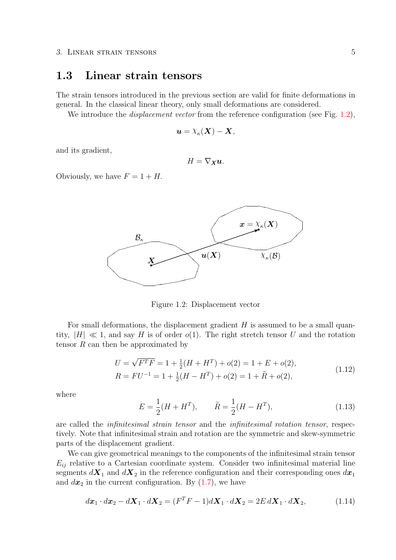### <span id="page-10-0"></span>1.3 Linear strain tensors

The strain tensors introduced in the previous section are valid for finite deformations in general. In the classical linear theory, only small deformations are considered.

We introduce the *displacement vector* from the reference configuration (see Fig. [1.2\)](#page-10-1),

$$
\boldsymbol{u}=\boldsymbol{\chi}_{\kappa}(\boldsymbol{X})-\boldsymbol{X},
$$

and its gradient,

$$
H=\nabla_X\mathbf{u}.
$$

Obviously, we have  $F = 1 + H$ .



<span id="page-10-1"></span>Figure 1.2: Displacement vector

For small deformations, the displacement gradient  $H$  is assumed to be a small quantity,  $|H| \ll 1$ , and say H is of order  $o(1)$ . The right stretch tensor U and the rotation tensor  $R$  can then be approximated by

$$
U = \sqrt{F^T F} = 1 + \frac{1}{2}(H + H^T) + o(2) = 1 + E + o(2),
$$
  
\n
$$
R = FU^{-1} = 1 + \frac{1}{2}(H - H^T) + o(2) = 1 + \tilde{R} + o(2),
$$
\n(1.12)

where

$$
E = \frac{1}{2}(H + H^T), \qquad \tilde{R} = \frac{1}{2}(H - H^T), \tag{1.13}
$$

are called the infinitesimal strain tensor and the infinitesimal rotation tensor, respectively. Note that infinitesimal strain and rotation are the symmetric and skew-symmetric parts of the displacement gradient.

We can give geometrical meanings to the components of the infinitesimal strain tensor  $E_{ij}$  relative to a Cartesian coordinate system. Consider two infinitesimal material line segments  $d\mathbf{X}_1$  and  $d\mathbf{X}_2$  in the reference configuration and their corresponding ones  $d\mathbf{x}_1$ and  $dx_2$  in the current configuration. By  $(1.7)$ , we have

$$
d\boldsymbol{x}_1 \cdot d\boldsymbol{x}_2 - d\boldsymbol{X}_1 \cdot d\boldsymbol{X}_2 = (F^T F - 1)d\boldsymbol{X}_1 \cdot d\boldsymbol{X}_2 = 2E d\boldsymbol{X}_1 \cdot d\boldsymbol{X}_2, \tag{1.14}
$$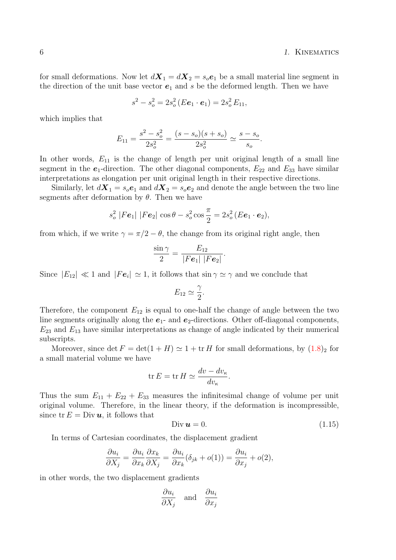for small deformations. Now let  $d\mathbf{X}_1 = d\mathbf{X}_2 = s_o \mathbf{e}_1$  be a small material line segment in the direction of the unit base vector  $e_1$  and s be the deformed length. Then we have

$$
s^2 - s_o^2 = 2s_o^2(E\mathbf{e}_1 \cdot \mathbf{e}_1) = 2s_o^2 E_{11},
$$

which implies that

$$
E_{11} = \frac{s^2 - s_o^2}{2s_o^2} = \frac{(s - s_o)(s + s_o)}{2s_o^2} \simeq \frac{s - s_o}{s_o}.
$$

In other words,  $E_{11}$  is the change of length per unit original length of a small line segment in the  $e_1$ -direction. The other diagonal components,  $E_{22}$  and  $E_{33}$  have similar interpretations as elongation per unit original length in their respective directions.

Similarly, let  $d\mathbf{X}_1 = s_o \mathbf{e}_1$  and  $d\mathbf{X}_2 = s_o \mathbf{e}_2$  and denote the angle between the two line segments after deformation by  $\theta$ . Then we have

$$
s_o^2 |Fe_1| |Fe_2| \cos \theta - s_o^2 \cos \frac{\pi}{2} = 2s_o^2 (E\mathbf{e}_1 \cdot \mathbf{e}_2),
$$

from which, if we write  $\gamma = \pi/2 - \theta$ , the change from its original right angle, then

$$
\frac{\sin\gamma}{2}=\frac{E_{12}}{|Fe_1|\;|Fe_2|}.
$$

Since  $|E_{12}| \ll 1$  and  $|Fe_i| \simeq 1$ , it follows that  $\sin \gamma \simeq \gamma$  and we conclude that

$$
E_{12} \simeq \frac{\gamma}{2}.
$$

Therefore, the component  $E_{12}$  is equal to one-half the change of angle between the two line segments originally along the  $e_1$ - and  $e_2$ -directions. Other off-diagonal components,  $E_{23}$  and  $E_{13}$  have similar interpretations as change of angle indicated by their numerical subscripts.

Moreover, since  $\det F = \det(1 + H) \simeq 1 + \text{tr } H$  $\det F = \det(1 + H) \simeq 1 + \text{tr } H$  $\det F = \det(1 + H) \simeq 1 + \text{tr } H$  for small deformations, by  $(1.8)_2$  for a small material volume we have

$$
\operatorname{tr} E = \operatorname{tr} H \simeq \frac{dv - dv_{\kappa}}{dv_{\kappa}}.
$$

Thus the sum  $E_{11} + E_{22} + E_{33}$  measures the infinitesimal change of volume per unit original volume. Therefore, in the linear theory, if the deformation is incompressible, since  $\text{tr } E = \text{Div } u$ , it follows that

$$
\text{Div } \mathbf{u} = 0. \tag{1.15}
$$

In terms of Cartesian coordinates, the displacement gradient

$$
\frac{\partial u_i}{\partial X_j} = \frac{\partial u_i}{\partial x_k} \frac{\partial x_k}{\partial X_j} = \frac{\partial u_i}{\partial x_k} (\delta_{jk} + o(1)) = \frac{\partial u_i}{\partial x_j} + o(2),
$$

in other words, the two displacement gradients

$$
\frac{\partial u_i}{\partial X_j} \quad \text{and} \quad \frac{\partial u_i}{\partial x_j}
$$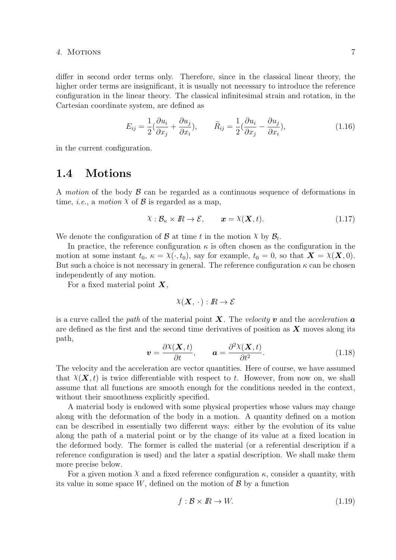### 4. Motions 7

differ in second order terms only. Therefore, since in the classical linear theory, the higher order terms are insignificant, it is usually not necessary to introduce the reference configuration in the linear theory. The classical infinitesimal strain and rotation, in the Cartesian coordinate system, are defined as

$$
E_{ij} = \frac{1}{2}(\frac{\partial u_i}{\partial x_j} + \frac{\partial u_j}{\partial x_i}), \qquad \tilde{R}_{ij} = \frac{1}{2}(\frac{\partial u_i}{\partial x_j} - \frac{\partial u_j}{\partial x_i}), \qquad (1.16)
$$

in the current configuration.

# <span id="page-12-0"></span>1.4 Motions

A motion of the body  $\beta$  can be regarded as a continuous sequence of deformations in time, *i.e.*, a *motion*  $X$  of  $\beta$  is regarded as a map,

$$
\chi: \mathcal{B}_{\kappa} \times \mathbb{R} \to \mathcal{E}, \qquad \mathbf{x} = \chi(\mathbf{X}, t). \tag{1.17}
$$

We denote the configuration of  $\mathcal{B}$  at time t in the motion  $\chi$  by  $\mathcal{B}_t$ .

In practice, the reference configuration  $\kappa$  is often chosen as the configuration in the motion at some instant  $t_0, \kappa = \chi(\cdot, t_0)$ , say for example,  $t_0 = 0$ , so that  $\mathbf{X} = \chi(\mathbf{X}, 0)$ . But such a choice is not necessary in general. The reference configuration  $\kappa$  can be chosen independently of any motion.

For a fixed material point  $X$ ,

$$
\chi(\mathbf{X},\,\cdot\,):I\!\!R\to\mathcal{E}
$$

is a curve called the path of the material point  $\boldsymbol{X}$ . The velocity v and the acceleration a are defined as the first and the second time derivatives of position as  $\boldsymbol{X}$  moves along its path,

$$
\boldsymbol{v} = \frac{\partial \mathcal{X}(\boldsymbol{X}, t)}{\partial t}, \qquad \boldsymbol{a} = \frac{\partial^2 \mathcal{X}(\boldsymbol{X}, t)}{\partial t^2}.
$$
 (1.18)

The velocity and the acceleration are vector quantities. Here of course, we have assumed that  $\chi(\mathbf{X},t)$  is twice differentiable with respect to t. However, from now on, we shall assume that all functions are smooth enough for the conditions needed in the context, without their smoothness explicitly specified.

A material body is endowed with some physical properties whose values may change along with the deformation of the body in a motion. A quantity defined on a motion can be described in essentially two different ways: either by the evolution of its value along the path of a material point or by the change of its value at a fixed location in the deformed body. The former is called the material (or a referential description if a reference configuration is used) and the later a spatial description. We shall make them more precise below.

For a given motion  $X$  and a fixed reference configuration  $\kappa$ , consider a quantity, with its value in some space  $W$ , defined on the motion of  $\mathcal{B}$  by a function

$$
f: \mathcal{B} \times \mathbb{R} \to W. \tag{1.19}
$$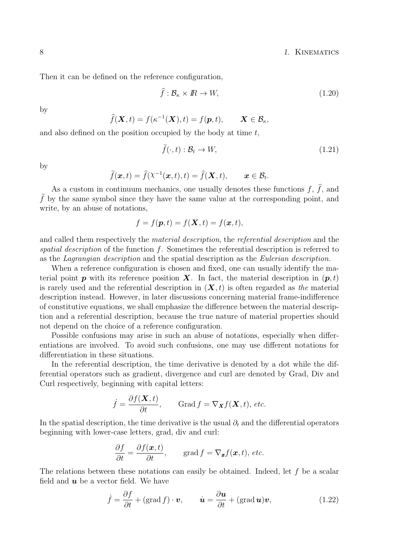8 1. KINEMATICS

Then it can be defined on the reference configuration,

$$
\hat{f} : \mathcal{B}_{\kappa} \times \mathbb{R} \to W,\tag{1.20}
$$

by

$$
\widehat{f}(\boldsymbol{X},t) = f(\kappa^{-1}(\boldsymbol{X}),t) = f(\boldsymbol{p},t), \qquad \boldsymbol{X} \in \mathcal{B}_{\kappa},
$$

and also defined on the position occupied by the body at time  $t$ ,

$$
\tilde{f}(\cdot, t) : \mathcal{B}_t \to W,\tag{1.21}
$$

by

$$
\tilde{f}(\boldsymbol{x},t) = \hat{f}(\lambda^{-1}(\boldsymbol{x},t),t) = \hat{f}(\boldsymbol{X},t), \qquad \boldsymbol{x} \in \mathcal{B}_t.
$$

As a custom in continuum mechanics, one usually denotes these functions  $f, f$ , and  $\hat{f}$  by the same symbol since they have the same value at the corresponding point, and write, by an abuse of notations,

$$
f = f(\mathbf{p}, t) = f(\mathbf{X}, t) = f(\mathbf{x}, t),
$$

and called them respectively the material description, the referential description and the spatial description of the function f. Sometimes the referential description is referred to as the Lagrangian description and the spatial description as the Eulerian description.

When a reference configuration is chosen and fixed, one can usually identify the material point **p** with its reference position **X**. In fact, the material description in  $(\mathbf{p}, t)$ is rarely used and the referential description in  $(X, t)$  is often regarded as the material description instead. However, in later discussions concerning material frame-indifference of constitutive equations, we shall emphasize the difference between the material description and a referential description, because the true nature of material properties should not depend on the choice of a reference configuration.

Possible confusions may arise in such an abuse of notations, especially when differentiations are involved. To avoid such confusions, one may use different notations for differentiation in these situations.

In the referential description, the time derivative is denoted by a dot while the differential operators such as gradient, divergence and curl are denoted by Grad, Div and Curl respectively, beginning with capital letters:

$$
\dot{f} = \frac{\partial f(\mathbf{X}, t)}{\partial t}, \quad \text{Grad } f = \nabla_{\mathbf{X}} f(\mathbf{X}, t), \text{ etc.}
$$

In the spatial description, the time derivative is the usual  $\partial_t$  and the differential operators beginning with lower-case letters, grad, div and curl:

$$
\frac{\partial f}{\partial t} = \frac{\partial f(\boldsymbol{x},t)}{\partial t}, \quad \text{grad } f = \nabla_{\boldsymbol{x}} f(\boldsymbol{x},t), \text{ etc.}
$$

The relations between these notations can easily be obtained. Indeed, let  $f$  be a scalar field and  $u$  be a vector field. We have

$$
\dot{f} = \frac{\partial f}{\partial t} + (\text{grad } f) \cdot \boldsymbol{v}, \qquad \dot{\boldsymbol{u}} = \frac{\partial \boldsymbol{u}}{\partial t} + (\text{grad } \boldsymbol{u}) \boldsymbol{v}, \tag{1.22}
$$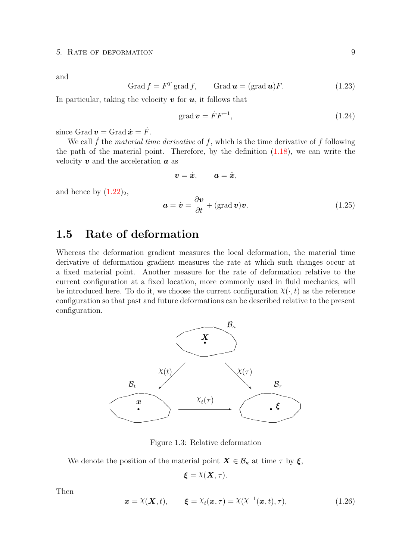and

$$
Grad f = FT grad f, \qquad Grad u = (grad u)F.
$$
 (1.23)

In particular, taking the velocity  $v$  for  $u$ , it follows that

$$
\text{grad}\,\mathbf{v} = \dot{F}F^{-1},\tag{1.24}
$$

since Grad  $\dot{v} =$  Grad  $\dot{x} = \dot{F}$ .

We call  $\dot{f}$  the material time derivative of f, which is the time derivative of f following the path of the material point. Therefore, by the definition  $(1.18)$ , we can write the velocity  $\boldsymbol{v}$  and the acceleration  $\boldsymbol{a}$  as

$$
\boldsymbol{v}=\dot{\boldsymbol{x}},\qquad \boldsymbol{a}=\ddot{\boldsymbol{x}},
$$

and hence by  $(1.22)_2$  $(1.22)_2$ ,

$$
\mathbf{a} = \dot{\mathbf{v}} = \frac{\partial \mathbf{v}}{\partial t} + (\text{grad}\,\mathbf{v})\mathbf{v}.\tag{1.25}
$$

## <span id="page-14-0"></span>1.5 Rate of deformation

Whereas the deformation gradient measures the local deformation, the material time derivative of deformation gradient measures the rate at which such changes occur at a fixed material point. Another measure for the rate of deformation relative to the current configuration at a fixed location, more commonly used in fluid mechanics, will be introduced here. To do it, we choose the current configuration  $\chi(\cdot, t)$  as the reference configuration so that past and future deformations can be described relative to the present configuration.



Figure 1.3: Relative deformation

We denote the position of the material point  $\mathbf{X} \in \mathcal{B}_{\kappa}$  at time  $\tau$  by  $\xi$ ,

<span id="page-14-1"></span>
$$
\boldsymbol{\xi} = \lambda(\boldsymbol{X}, \tau).
$$

Then

$$
\boldsymbol{x} = \boldsymbol{\chi}(\boldsymbol{X}, t), \qquad \boldsymbol{\xi} = \boldsymbol{\chi}_t(\boldsymbol{x}, \tau) = \boldsymbol{\chi}(\boldsymbol{\chi}^{-1}(\boldsymbol{x}, t), \tau), \tag{1.26}
$$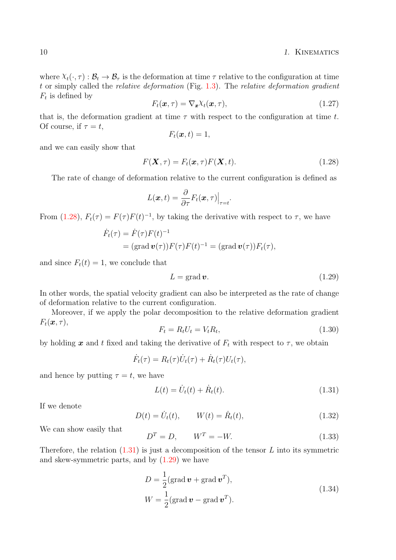where  $X_t(\cdot, \tau) : \mathcal{B}_t \to \mathcal{B}_\tau$  is the deformation at time  $\tau$  relative to the configuration at time t or simply called the relative deformation (Fig. [1.3\)](#page-14-1). The relative deformation gradient  $F_t$  is defined by

$$
F_t(\boldsymbol{x}, \tau) = \nabla_{\boldsymbol{x}} \chi_t(\boldsymbol{x}, \tau), \qquad (1.27)
$$

that is, the deformation gradient at time  $\tau$  with respect to the configuration at time t. Of course, if  $\tau = t$ ,

$$
F_t(\boldsymbol{x},t) = 1,
$$

and we can easily show that

$$
F(\mathbf{X}, \tau) = F_t(\mathbf{x}, \tau) F(\mathbf{X}, t).
$$
\n(1.28)

The rate of change of deformation relative to the current configuration is defined as

$$
L(\boldsymbol{x},t)=\frac{\partial}{\partial \tau}F_t(\boldsymbol{x},\tau)\Big|_{\tau=t}.
$$

From [\(1.28\)](#page-14-1),  $F_t(\tau) = F(\tau)F(t)^{-1}$ , by taking the derivative with respect to  $\tau$ , we have

$$
\dot{F}_t(\tau) = \dot{F}(\tau)F(t)^{-1}
$$
  
= (grad  $\mathbf{v}(\tau)$ ) $F(\tau)F(t)^{-1}$  = (grad  $\mathbf{v}(\tau)$ ) $F_t(\tau)$ ,

and since  $F_t(t) = 1$ , we conclude that

$$
L = \text{grad}\,\boldsymbol{v}.\tag{1.29}
$$

In other words, the spatial velocity gradient can also be interpreted as the rate of change of deformation relative to the current configuration.

Moreover, if we apply the polar decomposition to the relative deformation gradient  $F_t(\boldsymbol{x}, \tau),$ 

$$
F_t = R_t U_t = V_t R_t,\tag{1.30}
$$

by holding x and t fixed and taking the derivative of  $F_t$  with respect to  $\tau$ , we obtain

$$
\dot{F}_t(\tau) = R_t(\tau)\dot{U}_t(\tau) + \dot{R}_t(\tau)U_t(\tau),
$$

and hence by putting  $\tau = t$ , we have

F˙

$$
L(t) = \dot{U}_t(t) + \dot{R}_t(t).
$$
\n(1.31)

If we denote

$$
D(t) = U_t(t), \qquad W(t) = \dot{R}_t(t), \tag{1.32}
$$

We can show easily that

$$
D^T = D, \qquad W^T = -W. \tag{1.33}
$$

Therefore, the relation  $(1.31)$  is just a decomposition of the tensor L into its symmetric and skew-symmetric parts, and by [\(1.29\)](#page-14-1) we have

$$
D = \frac{1}{2} (\text{grad } \mathbf{v} + \text{grad } \mathbf{v}^{T}),
$$
  
\n
$$
W = \frac{1}{2} (\text{grad } \mathbf{v} - \text{grad } \mathbf{v}^{T}).
$$
\n(1.34)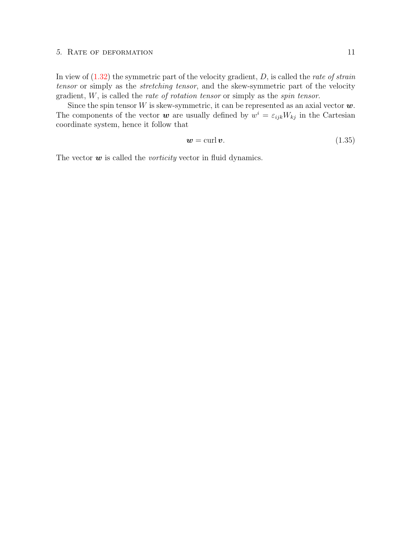#### 5. RATE OF DEFORMATION 11

In view of  $(1.32)$  the symmetric part of the velocity gradient, D, is called the *rate of strain* tensor or simply as the stretching tensor, and the skew-symmetric part of the velocity gradient, W, is called the rate of rotation tensor or simply as the spin tensor.

Since the spin tensor W is skew-symmetric, it can be represented as an axial vector  $w$ . The components of the vector **w** are usually defined by  $w^i = \varepsilon_{ijk} W_{kj}$  in the Cartesian coordinate system, hence it follow that

$$
w = \operatorname{curl} v. \tag{1.35}
$$

The vector  $\boldsymbol{w}$  is called the *vorticity* vector in fluid dynamics.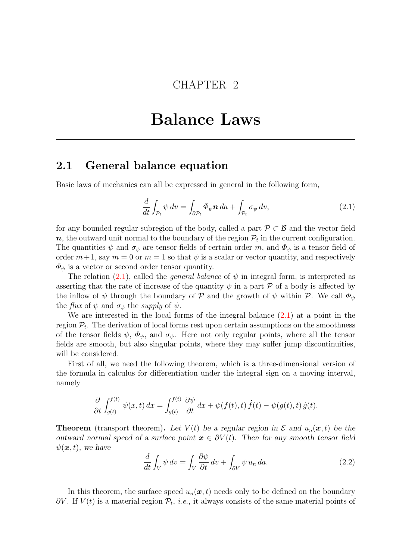# CHAPTER 2

# Balance Laws

### <span id="page-18-1"></span><span id="page-18-0"></span>2.1 General balance equation

Basic laws of mechanics can all be expressed in general in the following form,

$$
\frac{d}{dt} \int_{\mathcal{P}_t} \psi \, dv = \int_{\partial \mathcal{P}_t} \Phi_{\psi} \mathbf{n} \, da + \int_{\mathcal{P}_t} \sigma_{\psi} \, dv,\tag{2.1}
$$

for any bounded regular subregion of the body, called a part  $\mathcal{P} \subset \mathcal{B}$  and the vector field  $\bm{n},$  the outward unit normal to the boundary of the region  $\mathcal{P}_t$  in the current configuration. The quantities  $\psi$  and  $\sigma_{\psi}$  are tensor fields of certain order m, and  $\Phi_{\psi}$  is a tensor field of order  $m+1$ , say  $m=0$  or  $m=1$  so that  $\psi$  is a scalar or vector quantity, and respectively  $\Phi_{\psi}$  is a vector or second order tensor quantity.

The relation [\(2.1\)](#page-18-1), called the *general balance* of  $\psi$  in integral form, is interpreted as asserting that the rate of increase of the quantity  $\psi$  in a part  $\mathcal P$  of a body is affected by the inflow of  $\psi$  through the boundary of P and the growth of  $\psi$  within P. We call  $\Phi_{\psi}$ the *flux* of  $\psi$  and  $\sigma_{\psi}$  the *supply* of  $\psi$ .

We are interested in the local forms of the integral balance  $(2.1)$  at a point in the region  $P_t$ . The derivation of local forms rest upon certain assumptions on the smoothness of the tensor fields  $\psi$ ,  $\Phi_{\psi}$ , and  $\sigma_{\psi}$ . Here not only regular points, where all the tensor fields are smooth, but also singular points, where they may suffer jump discontinuities, will be considered.

First of all, we need the following theorem, which is a three-dimensional version of the formula in calculus for differentiation under the integral sign on a moving interval, namely

$$
\frac{\partial}{\partial t}\int_{g(t)}^{f(t)}\psi(x,t)\,dx = \int_{g(t)}^{f(t)}\frac{\partial\psi}{\partial t}\,dx + \psi(f(t),t)\,\dot{f}(t) - \psi(g(t),t)\,\dot{g}(t).
$$

**Theorem** (transport theorem). Let  $V(t)$  be a regular region in  $\mathcal E$  and  $u_n(x, t)$  be the outward normal speed of a surface point  $x \in \partial V(t)$ . Then for any smooth tensor field  $\psi(\mathbf{x}, t)$ , we have

$$
\frac{d}{dt} \int_{V} \psi \, dv = \int_{V} \frac{\partial \psi}{\partial t} \, dv + \int_{\partial V} \psi \, u_n \, da. \tag{2.2}
$$

In this theorem, the surface speed  $u_n(x,t)$  needs only to be defined on the boundary  $\partial V$ . If  $V(t)$  is a material region  $\mathcal{P}_t$ , *i.e.*, it always consists of the same material points of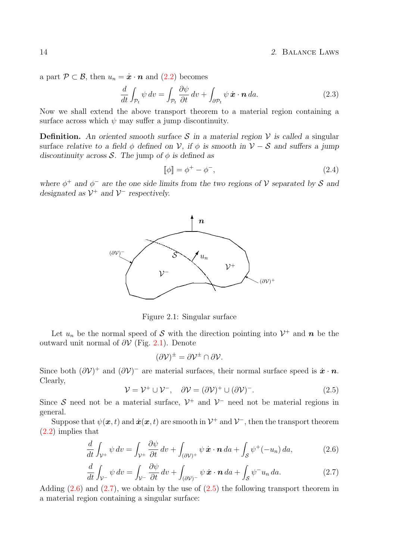a part  $\mathcal{P} \subset \mathcal{B}$ , then  $u_n = \dot{x} \cdot \mathbf{n}$  and [\(2.2\)](#page-18-1) becomes

$$
\frac{d}{dt} \int_{\mathcal{P}_t} \psi \, dv = \int_{\mathcal{P}_t} \frac{\partial \psi}{\partial t} \, dv + \int_{\partial \mathcal{P}_t} \psi \, \dot{\mathbf{x}} \cdot \mathbf{n} \, da. \tag{2.3}
$$

Now we shall extend the above transport theorem to a material region containing a surface across which  $\psi$  may suffer a jump discontinuity.

**Definition.** An oriented smooth surface S in a material region V is called a singular surface relative to a field  $\phi$  defined on V, if  $\phi$  is smooth in  $V - S$  and suffers a jump discontinuity across S. The jump of  $\phi$  is defined as

$$
\llbracket \phi \rrbracket = \phi^+ - \phi^-, \tag{2.4}
$$

where  $\phi^+$  and  $\phi^-$  are the one side limits from the two regions of V separated by S and designated as  $\mathcal{V}^+$  and  $\mathcal{V}^-$  respectively.



<span id="page-19-0"></span>Figure 2.1: Singular surface

Let  $u_n$  be the normal speed of S with the direction pointing into  $\mathcal{V}^+$  and n be the outward unit normal of  $\partial V$  (Fig. [2.1\)](#page-19-0). Denote

$$
(\partial \mathcal{V})^{\pm} = \partial \mathcal{V}^{\pm} \cap \partial \mathcal{V}.
$$

Since both  $(\partial \mathcal{V})^+$  and  $(\partial \mathcal{V})^-$  are material surfaces, their normal surface speed is  $\dot{x} \cdot \dot{n}$ . Clearly,

$$
\mathcal{V} = \mathcal{V}^+ \cup \mathcal{V}^-, \quad \partial \mathcal{V} = (\partial \mathcal{V})^+ \cup (\partial \mathcal{V})^-.
$$
 (2.5)

Since S need not be a material surface,  $\mathcal{V}^+$  and  $\mathcal{V}^-$  need not be material regions in general.

Suppose that  $\psi(\bm{x},t)$  and  $\dot{\bm{x}}(\bm{x},t)$  are smooth in  $\mathcal{V}^+$  and  $\mathcal{V}^-$ , then the transport theorem [\(2.2\)](#page-18-1) implies that

$$
\frac{d}{dt} \int_{\mathcal{V}^+} \psi \, dv = \int_{\mathcal{V}^+} \frac{\partial \psi}{\partial t} \, dv + \int_{(\partial \mathcal{V})^+} \psi \, \dot{\mathbf{x}} \cdot \mathbf{n} \, da + \int_{\mathcal{S}} \psi^+(-u_n) \, da,\tag{2.6}
$$

$$
\frac{d}{dt}\int_{\mathcal{V}^-}\psi\,dv=\int_{\mathcal{V}^-}\frac{\partial\psi}{\partial t}\,dv+\int_{(\partial\mathcal{V})^-}\psi\,\dot{\boldsymbol{x}}\cdot\boldsymbol{n}\,da+\int_{\mathcal{S}}\psi^{-}u_n\,da.\tag{2.7}
$$

Adding  $(2.6)$  and  $(2.7)$ , we obtain by the use of  $(2.5)$  the following transport theorem in a material region containing a singular surface: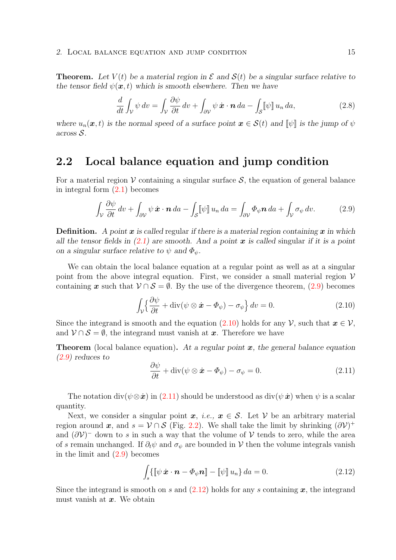**Theorem.** Let  $V(t)$  be a material region in  $\mathcal E$  and  $S(t)$  be a singular surface relative to the tensor field  $\psi(\mathbf{x}, t)$  which is smooth elsewhere. Then we have

$$
\frac{d}{dt} \int_{\mathcal{V}} \psi \, dv = \int_{\mathcal{V}} \frac{\partial \psi}{\partial t} \, dv + \int_{\partial \mathcal{V}} \psi \, \dot{\mathbf{x}} \cdot \mathbf{n} \, da - \int_{\mathcal{S}} [\psi] \, u_n \, da,\tag{2.8}
$$

where  $u_n(x, t)$  is the normal speed of a surface point  $x \in S(t)$  and  $\llbracket \psi \rrbracket$  is the jump of  $\psi$ across S.

## <span id="page-20-0"></span>2.2 Local balance equation and jump condition

For a material region  $\mathcal V$  containing a singular surface  $\mathcal S$ , the equation of general balance in integral form  $(2.1)$  becomes

$$
\int_{\mathcal{V}} \frac{\partial \psi}{\partial t} dv + \int_{\partial \mathcal{V}} \psi \dot{\mathbf{x}} \cdot \mathbf{n} da - \int_{\mathcal{S}} [\![\psi]\!] u_n da = \int_{\partial \mathcal{V}} \Phi_{\psi} \mathbf{n} da + \int_{\mathcal{V}} \sigma_{\psi} dv. \tag{2.9}
$$

**Definition.** A point x is called regular if there is a material region containing x in which all the tensor fields in  $(2.1)$  are smooth. And a point x is called singular if it is a point on a singular surface relative to  $\psi$  and  $\Phi_{\psi}$ .

We can obtain the local balance equation at a regular point as well as at a singular point from the above integral equation. First, we consider a small material region  $\mathcal V$ containing x such that  $\mathcal{V} \cap \mathcal{S} = \emptyset$ . By the use of the divergence theorem, [\(2.9\)](#page-20-0) becomes

$$
\int_{\mathcal{V}} \left\{ \frac{\partial \psi}{\partial t} + \text{div}(\psi \otimes \dot{\mathbf{x}} - \Phi_{\psi}) - \sigma_{\psi} \right\} dv = 0.
$$
 (2.10)

Since the integrand is smooth and the equation [\(2.10\)](#page-20-0) holds for any  $\mathcal{V}$ , such that  $x \in \mathcal{V}$ , and  $V \cap S = \emptyset$ , the integrand must vanish at x. Therefore we have

**Theorem** (local balance equation). At a regular point  $x$ , the general balance equation [\(2.9\)](#page-20-0) reduces to

$$
\frac{\partial \psi}{\partial t} + \text{div}(\psi \otimes \dot{\boldsymbol{x}} - \boldsymbol{\Phi}_{\psi}) - \sigma_{\psi} = 0.
$$
 (2.11)

The notation div( $\psi \otimes \dot{x}$ ) in [\(2.11\)](#page-20-0) should be understood as div( $\psi \dot{x}$ ) when  $\psi$  is a scalar quantity.

Next, we consider a singular point  $x, i.e., x \in S$ . Let V be an arbitrary material region around x, and  $s = V \cap S$  (Fig. [2.2\)](#page-21-1). We shall take the limit by shrinking  $(\partial V)^+$ and  $(\partial V)^-$  down to s in such a way that the volume of V tends to zero, while the area of s remain unchanged. If  $\partial_t \psi$  and  $\sigma_{\psi}$  are bounded in V then the volume integrals vanish in the limit and [\(2.9\)](#page-20-0) becomes

$$
\int_{s} \{ \llbracket \psi \, \dot{\boldsymbol{x}} \cdot \boldsymbol{n} - \boldsymbol{\Phi}_{\psi} \boldsymbol{n} \rrbracket - \llbracket \psi \rrbracket \, u_{n} \} \, da = 0. \tag{2.12}
$$

Since the integrand is smooth on s and  $(2.12)$  holds for any s containing x, the integrand must vanish at  $x$ . We obtain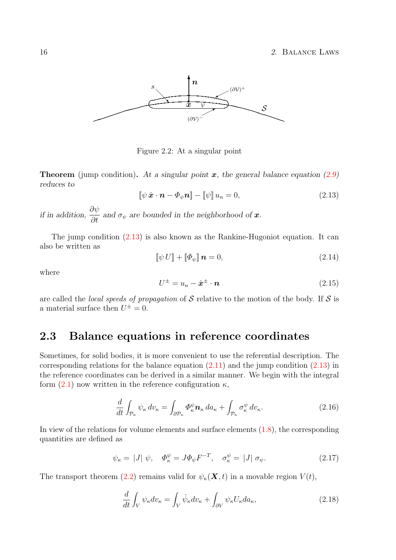

<span id="page-21-1"></span>Figure 2.2: At a singular point

**Theorem** (jump condition). At a singular point  $x$ , the general balance equation [\(2.9\)](#page-20-0) reduces to

$$
\llbracket \psi \dot{\boldsymbol{x}} \cdot \boldsymbol{n} - \boldsymbol{\Phi}_{\psi} \boldsymbol{n} \rrbracket - \llbracket \psi \rrbracket \, u_n = 0,\tag{2.13}
$$

if in addition,  $\frac{\partial \psi}{\partial t}$  $\frac{\partial \varphi}{\partial t}$  and  $\sigma_{\psi}$  are bounded in the neighborhood of **x**.

The jump condition [\(2.13\)](#page-21-1) is also known as the Rankine-Hugoniot equation. It can also be written as

$$
\llbracket \psi \, U \rrbracket + \llbracket \Phi_{\psi} \rrbracket \, \mathbf{n} = 0,\tag{2.14}
$$

where

$$
U^{\pm} = u_n - \dot{x}^{\pm} \cdot \boldsymbol{n} \tag{2.15}
$$

are called the *local speeds of propagation* of  $S$  relative to the motion of the body. If  $S$  is a material surface then  $U^{\pm} = 0$ .

## <span id="page-21-0"></span>2.3 Balance equations in reference coordinates

Sometimes, for solid bodies, it is more convenient to use the referential description. The corresponding relations for the balance equation  $(2.11)$  and the jump condition  $(2.13)$  in the reference coordinates can be derived in a similar manner. We begin with the integral form  $(2.1)$  now written in the reference configuration  $\kappa$ ,

$$
\frac{d}{dt} \int_{\mathcal{P}_{\kappa}} \psi_{\kappa} dv_{\kappa} = \int_{\partial \mathcal{P}_{\kappa}} \Phi_{\kappa}^{\psi} \mathbf{n}_{\kappa} da_{\kappa} + \int_{\mathcal{P}_{\kappa}} \sigma_{\kappa}^{\psi} dv_{\kappa}.
$$
\n(2.16)

In view of the relations for volume elements and surface elements [\(1.8\)](#page-8-0), the corresponding quantities are defined as

$$
\psi_{\kappa} = |J| \psi, \quad \Phi_{\kappa}^{\psi} = J\Phi_{\psi}F^{-T}, \quad \sigma_{\kappa}^{\psi} = |J| \sigma_{\psi}.
$$
\n(2.17)

The transport theorem [\(2.2\)](#page-18-1) remains valid for  $\psi_{\kappa}(\mathbf{X},t)$  in a movable region  $V(t)$ ,

$$
\frac{d}{dt} \int_{V} \psi_{\kappa} dv_{\kappa} = \int_{V} \dot{\psi}_{\kappa} dv_{\kappa} + \int_{\partial V} \psi_{\kappa} U_{\kappa} da_{\kappa}, \tag{2.18}
$$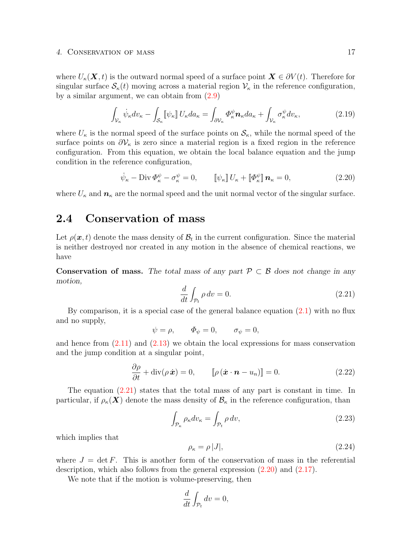#### 4. Conservation of mass 17

where  $U_{\kappa}(\mathbf{X},t)$  is the outward normal speed of a surface point  $\mathbf{X} \in \partial V(t)$ . Therefore for singular surface  $\mathcal{S}_{\kappa}(t)$  moving across a material region  $\mathcal{V}_{\kappa}$  in the reference configuration, by a similar argument, we can obtain from [\(2.9\)](#page-20-0)

$$
\int_{\mathcal{V}_{\kappa}} \dot{\psi}_{\kappa} dv_{\kappa} - \int_{\mathcal{S}_{\kappa}} [\psi_{\kappa}] U_{\kappa} da_{\kappa} = \int_{\partial \mathcal{V}_{\kappa}} \Phi_{\kappa}^{\psi} \mathbf{n}_{\kappa} da_{\kappa} + \int_{\mathcal{V}_{\kappa}} \sigma_{\kappa}^{\psi} dv_{\kappa},
$$
\n(2.19)

where  $U_{\kappa}$  is the normal speed of the surface points on  $S_{\kappa}$ , while the normal speed of the surface points on  $\partial V_{\kappa}$  is zero since a material region is a fixed region in the reference configuration. From this equation, we obtain the local balance equation and the jump condition in the reference configuration,

$$
\dot{\psi}_{\kappa} - \text{Div}\,\Phi_{\kappa}^{\psi} - \sigma_{\kappa}^{\psi} = 0, \qquad \left[\psi_{\kappa}\right]U_{\kappa} + \left[\Phi_{\kappa}^{\psi}\right] \mathbf{n}_{\kappa} = 0, \tag{2.20}
$$

where  $U_{\kappa}$  and  $n_{\kappa}$  are the normal speed and the unit normal vector of the singular surface.

# <span id="page-22-0"></span>2.4 Conservation of mass

Let  $\rho(\boldsymbol{x},t)$  denote the mass density of  $\mathcal{B}_t$  in the current configuration. Since the material is neither destroyed nor created in any motion in the absence of chemical reactions, we have

Conservation of mass. The total mass of any part  $P \subset \mathcal{B}$  does not change in any motion,

$$
\frac{d}{dt} \int_{\mathcal{P}_t} \rho \, dv = 0. \tag{2.21}
$$

By comparison, it is a special case of the general balance equation  $(2.1)$  with no flux and no supply,

$$
\psi = \rho, \qquad \Phi_{\psi} = 0, \qquad \sigma_{\psi} = 0,
$$

and hence from  $(2.11)$  and  $(2.13)$  we obtain the local expressions for mass conservation and the jump condition at a singular point,

$$
\frac{\partial \rho}{\partial t} + \text{div}(\rho \, \dot{\boldsymbol{x}}) = 0, \qquad [\![ \rho \, (\dot{\boldsymbol{x}} \cdot \boldsymbol{n} - u_n) ]\!] = 0. \tag{2.22}
$$

The equation  $(2.21)$  states that the total mass of any part is constant in time. In particular, if  $\rho_{\kappa}(\mathbf{X})$  denote the mass density of  $\mathcal{B}_{\kappa}$  in the reference configuration, than

$$
\int_{\mathcal{P}_{\kappa}} \rho_{\kappa} dv_{\kappa} = \int_{\mathcal{P}_{t}} \rho \, dv,
$$
\n(2.23)

which implies that

$$
\rho_{\kappa} = \rho |J|, \tag{2.24}
$$

where  $J = \det F$ . This is another form of the conservation of mass in the referential description, which also follows from the general expression [\(2.20\)](#page-21-0) and [\(2.17\)](#page-21-0).

We note that if the motion is volume-preserving, then

$$
\frac{d}{dt} \int_{\mathcal{P}_t} dv = 0,
$$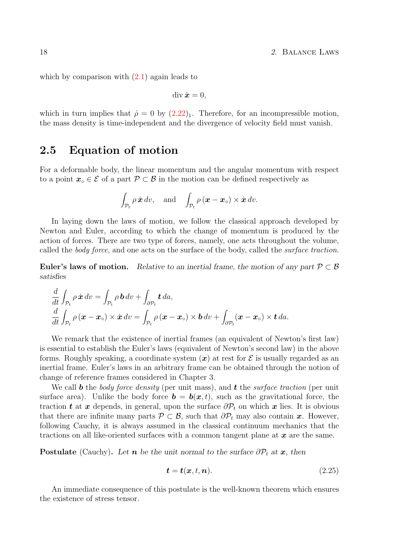which by comparison with  $(2.1)$  again leads to

$$
\operatorname{div}\dot{\bm{x}}=0,
$$

which in turn implies that  $\dot{\rho} = 0$  by  $(2.22)_1$  $(2.22)_1$ . Therefore, for an incompressible motion, the mass density is time-independent and the divergence of velocity field must vanish.

## <span id="page-23-0"></span>2.5 Equation of motion

For a deformable body, the linear momentum and the angular momentum with respect to a point  $x \in \mathcal{E}$  of a part  $\mathcal{P} \subset \mathcal{B}$  in the motion can be defined respectively as

$$
\int_{\mathcal{P}_t} \rho \dot{\boldsymbol{x}} \, dv
$$
, and  $\int_{\mathcal{P}_t} \rho (\boldsymbol{x} - \boldsymbol{x}_0) \times \dot{\boldsymbol{x}} \, dv$ .

In laying down the laws of motion, we follow the classical approach developed by Newton and Euler, according to which the change of momentum is produced by the action of forces. There are two type of forces, namely, one acts throughout the volume, called the *body force*, and one acts on the surface of the body, called the *surface traction*.

Euler's laws of motion. Relative to an inertial frame, the motion of any part  $\mathcal{P} \subset \mathcal{B}$ satisfies

$$
\frac{d}{dt} \int_{\mathcal{P}_t} \rho \dot{\mathbf{x}} \, dv = \int_{\mathcal{P}_t} \rho \, \mathbf{b} \, dv + \int_{\partial \mathcal{P}_t} \mathbf{t} \, da,
$$
\n
$$
\frac{d}{dt} \int_{\mathcal{P}_t} \rho \left( \mathbf{x} - \mathbf{x}_{\circ} \right) \times \dot{\mathbf{x}} \, dv = \int_{\mathcal{P}_t} \rho \left( \mathbf{x} - \mathbf{x}_{\circ} \right) \times \mathbf{b} \, dv + \int_{\partial \mathcal{P}_t} (\mathbf{x} - \mathbf{x}_{\circ}) \times \mathbf{t} \, da.
$$

We remark that the existence of inertial frames (an equivalent of Newton's first law) is essential to establish the Euler's laws (equivalent of Newton's second law) in the above forms. Roughly speaking, a coordinate system  $(x)$  at rest for  $\mathcal E$  is usually regarded as an inertial frame. Euler's laws in an arbitrary frame can be obtained through the notion of change of reference frames considered in Chapter 3.

We call **b** the body force density (per unit mass), and **t** the surface traction (per unit surface area). Unlike the body force  $\mathbf{b} = \mathbf{b}(\mathbf{x}, t)$ , such as the gravitational force, the traction t at x depends, in general, upon the surface  $\partial \mathcal{P}_t$  on which x lies. It is obvious that there are infinite many parts  $\mathcal{P} \subset \mathcal{B}$ , such that  $\partial \mathcal{P}_t$  may also contain x. However, following Cauchy, it is always assumed in the classical continuum mechanics that the tractions on all like-oriented surfaces with a common tangent plane at  $x$  are the same.

**Postulate** (Cauchy). Let **n** be the unit normal to the surface  $\partial P_t$  at **x**, then

$$
\boldsymbol{t} = \boldsymbol{t}(\boldsymbol{x}, t, \boldsymbol{n}).\tag{2.25}
$$

An immediate consequence of this postulate is the well-known theorem which ensures the existence of stress tensor.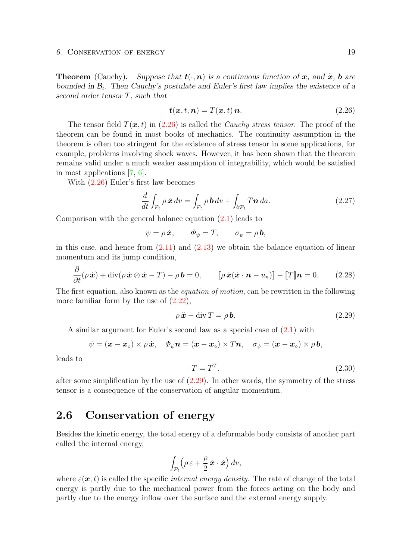**Theorem** (Cauchy). Suppose that  $t(\cdot, n)$  is a continuous function of x, and  $\ddot{x}$ , b are bounded in  $\mathcal{B}_t$ . Then Cauchy's postulate and Euler's first law implies the existence of a second order tensor T, such that

$$
\boldsymbol{t}(\boldsymbol{x},t,\boldsymbol{n})=T(\boldsymbol{x},t)\,\boldsymbol{n}.\tag{2.26}
$$

The tensor field  $T(x, t)$  in [\(2.26\)](#page-23-0) is called the *Cauchy stress tensor*. The proof of the theorem can be found in most books of mechanics. The continuity assumption in the theorem is often too stringent for the existence of stress tensor in some applications, for example, problems involving shock waves. However, it has been shown that the theorem remains valid under a much weaker assumption of integrability, which would be satisfied in most applications [\[7,](#page-94-1) [6\]](#page-94-2).

With [\(2.26\)](#page-23-0) Euler's first law becomes

$$
\frac{d}{dt} \int_{\mathcal{P}_t} \rho \dot{\boldsymbol{x}} \, dv = \int_{\mathcal{P}_t} \rho \, \boldsymbol{b} \, dv + \int_{\partial \mathcal{P}_t} T \boldsymbol{n} \, da. \tag{2.27}
$$

Comparison with the general balance equation [\(2.1\)](#page-18-1) leads to

$$
\psi = \rho \dot{\boldsymbol{x}}, \qquad \Phi_{\psi} = T, \qquad \sigma_{\psi} = \rho \, \boldsymbol{b},
$$

in this case, and hence from  $(2.11)$  and  $(2.13)$  we obtain the balance equation of linear momentum and its jump condition,

$$
\frac{\partial}{\partial t}(\rho \dot{\boldsymbol{x}}) + \mathrm{div}(\rho \dot{\boldsymbol{x}} \otimes \dot{\boldsymbol{x}} - T) - \rho \boldsymbol{b} = 0, \qquad [\rho \dot{\boldsymbol{x}}(\dot{\boldsymbol{x}} \cdot \boldsymbol{n} - u_n)] - [T] \boldsymbol{n} = 0. \tag{2.28}
$$

The first equation, also known as the *equation of motion*, can be rewritten in the following more familiar form by the use of  $(2.22)$ ,

$$
\rho \ddot{\mathbf{x}} - \text{div}\, T = \rho \mathbf{b}.\tag{2.29}
$$

A similar argument for Euler's second law as a special case of [\(2.1\)](#page-18-1) with

$$
\psi = (\boldsymbol{x} - \boldsymbol{x}_{\circ}) \times \rho \dot{\boldsymbol{x}}, \quad \Phi_{\psi} \boldsymbol{n} = (\boldsymbol{x} - \boldsymbol{x}_{\circ}) \times T \boldsymbol{n}, \quad \sigma_{\psi} = (\boldsymbol{x} - \boldsymbol{x}_{\circ}) \times \rho \boldsymbol{b},
$$

leads to

$$
T = T^T,\t\t(2.30)
$$

after some simplification by the use of  $(2.29)$ . In other words, the symmetry of the stress tensor is a consequence of the conservation of angular momentum.

## <span id="page-24-0"></span>2.6 Conservation of energy

Besides the kinetic energy, the total energy of a deformable body consists of another part called the internal energy,

$$
\int_{\mathcal{P}_t} \left(\rho \,\varepsilon + \frac{\rho}{2} \,\dot{\boldsymbol{x}}\cdot\dot{\boldsymbol{x}}\right) \, dv,
$$

where  $\varepsilon(\mathbf{x}, t)$  is called the specific *internal energy density*. The rate of change of the total energy is partly due to the mechanical power from the forces acting on the body and partly due to the energy inflow over the surface and the external energy supply.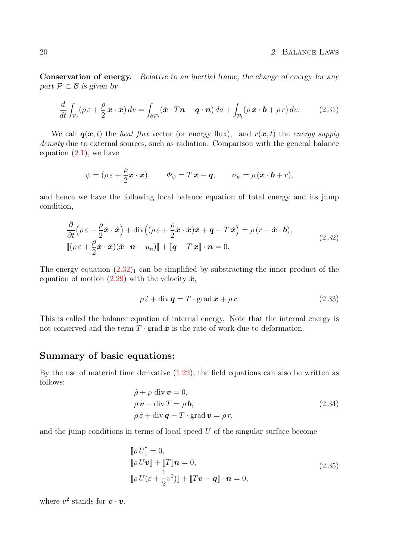Conservation of energy. Relative to an inertial frame, the change of energy for any part  $\mathcal{P} \subset \mathcal{B}$  is given by

$$
\frac{d}{dt} \int_{\mathcal{P}_t} (\rho \,\varepsilon + \frac{\rho}{2} \,\dot{\boldsymbol{x}} \cdot \dot{\boldsymbol{x}}) \, dv = \int_{\partial \mathcal{P}_t} (\dot{\boldsymbol{x}} \cdot T \boldsymbol{n} - \boldsymbol{q} \cdot \boldsymbol{n}) \, da + \int_{\mathcal{P}_t} (\rho \,\dot{\boldsymbol{x}} \cdot \boldsymbol{b} + \rho \, r) \, dv. \tag{2.31}
$$

We call  $q(x, t)$  the heat flux vector (or energy flux), and  $r(x, t)$  the energy supply density due to external sources, such as radiation. Comparison with the general balance equation  $(2.1)$ , we have

$$
\psi = (\rho \varepsilon + \frac{\rho}{2}\dot{\boldsymbol{x}} \cdot \dot{\boldsymbol{x}}), \qquad \Phi_{\psi} = T\dot{\boldsymbol{x}} - \boldsymbol{q}, \qquad \sigma_{\psi} = \rho(\dot{\boldsymbol{x}} \cdot \boldsymbol{b} + r),
$$

and hence we have the following local balance equation of total energy and its jump condition,

$$
\frac{\partial}{\partial t} \left( \rho \,\varepsilon + \frac{\rho}{2} \dot{\mathbf{x}} \cdot \dot{\mathbf{x}} \right) + \text{div} \left( (\rho \,\varepsilon + \frac{\rho}{2} \dot{\mathbf{x}} \cdot \dot{\mathbf{x}}) \dot{\mathbf{x}} + \mathbf{q} - T \, \dot{\mathbf{x}} \right) = \rho \left( r + \dot{\mathbf{x}} \cdot \mathbf{b} \right),
$$
\n
$$
[\![ (\rho \varepsilon + \frac{\rho}{2} \dot{\mathbf{x}} \cdot \dot{\mathbf{x}}) (\dot{\mathbf{x}} \cdot \mathbf{n} - u_n) ]\!] + [\![ \mathbf{q} - T \, \dot{\mathbf{x}} ]\!] \cdot \mathbf{n} = 0.
$$
\n(2.32)

The energy equation  $(2.32)_1$  $(2.32)_1$  can be simplified by substracting the inner product of the equation of motion [\(2.29\)](#page-23-0) with the velocity  $\dot{x}$ ,

$$
\rho \dot{\varepsilon} + \text{div} \, \mathbf{q} = T \cdot \text{grad} \, \dot{\mathbf{x}} + \rho \, r. \tag{2.33}
$$

This is called the balance equation of internal energy. Note that the internal energy is not conserved and the term  $T \cdot \text{grad} \dot{x}$  is the rate of work due to deformation.

### <span id="page-25-0"></span>Summary of basic equations:

By the use of material time derivative [\(1.22\)](#page-12-0), the field equations can also be written as follows:

$$
\dot{\rho} + \rho \operatorname{div} \mathbf{v} = 0,\n\rho \dot{\mathbf{v}} - \operatorname{div} T = \rho \mathbf{b},\n\rho \dot{\varepsilon} + \operatorname{div} \mathbf{q} - T \cdot \operatorname{grad} \mathbf{v} = \rho r,
$$
\n(2.34)

and the jump conditions in terms of local speed  $U$  of the singular surface become

$$
\[\rho U\] = 0,\[\rho U\mathbf{v}\] + [T]\mathbf{n} = 0,\[\rho U(\varepsilon + \frac{1}{2}v^2)\] + [T\mathbf{v} - \mathbf{q}]\cdot\mathbf{n} = 0,
$$
\n(2.35)

where  $v^2$  stands for  $\boldsymbol{v} \cdot \boldsymbol{v}$ .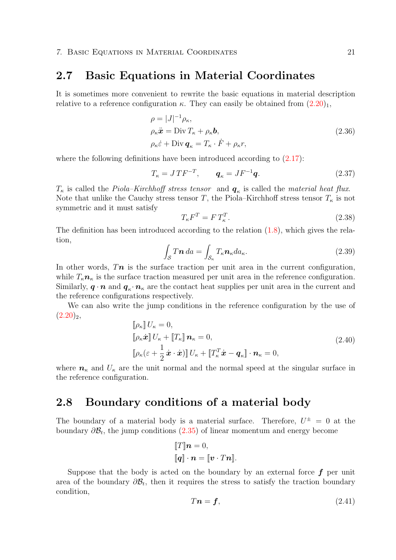### <span id="page-26-0"></span>2.7 Basic Equations in Material Coordinates

It is sometimes more convenient to rewrite the basic equations in material description relative to a reference configuration  $\kappa$ . They can easily be obtained from  $(2.20)_1$  $(2.20)_1$ ,

$$
\rho = |J|^{-1} \rho_{\kappa},
$$
  
\n
$$
\rho_{\kappa} \ddot{\mathbf{x}} = \text{Div} T_{\kappa} + \rho_{\kappa} \mathbf{b},
$$
  
\n
$$
\rho_{\kappa} \dot{\varepsilon} + \text{Div} \, \mathbf{q}_{\kappa} = T_{\kappa} \cdot \dot{F} + \rho_{\kappa} r,
$$
\n(2.36)

where the following definitions have been introduced according to  $(2.17)$ :

$$
T_{\kappa} = J \, T F^{-T}, \qquad \mathbf{q}_{\kappa} = J F^{-1} \mathbf{q}.\tag{2.37}
$$

 $T_{\kappa}$  is called the *Piola–Kirchhoff stress tensor* and  $q_{\kappa}$  is called the *material heat flux*. Note that unlike the Cauchy stress tensor T, the Piola–Kirchhoff stress tensor  $T_{\kappa}$  is not symmetric and it must satisfy

$$
T_{\kappa}F^{T} = F T_{\kappa}^{T}.
$$
\n
$$
(2.38)
$$

The definition has been introduced according to the relation  $(1.8)$ , which gives the relation,

$$
\int_{\mathcal{S}} T \mathbf{n} \, da = \int_{\mathcal{S}_{\kappa}} T_{\kappa} \mathbf{n}_{\kappa} da_{\kappa}.
$$
\n(2.39)

In other words,  $Tn$  is the surface traction per unit area in the current configuration, while  $T_{\kappa}$  is the surface traction measured per unit area in the reference configuration. Similarly,  $\bm{q} \cdot \bm{n}$  and  $\bm{q}_{\kappa} \cdot \bm{n}_{\kappa}$  are the contact heat supplies per unit area in the current and the reference configurations respectively.

We can also write the jump conditions in the reference configuration by the use of  $(2.20)_2$  $(2.20)_2$ ,

$$
\[\rho_{\kappa}\] U_{\kappa} = 0,\n\[\rho_{\kappa}\dot{x}\] U_{\kappa} + [T_{\kappa}] \mathbf{n}_{\kappa} = 0,\n\[\rho_{\kappa}(\varepsilon + \frac{1}{2}\dot{x}\cdot\dot{x})\] U_{\kappa} + [T_{\kappa}^T\dot{x} - \mathbf{q}_{\kappa}] \cdot \mathbf{n}_{\kappa} = 0,
$$
\n(2.40)

where  $n_{\kappa}$  and  $U_{\kappa}$  are the unit normal and the normal speed at the singular surface in the reference configuration.

### <span id="page-26-1"></span>2.8 Boundary conditions of a material body

The boundary of a material body is a material surface. Therefore,  $U^{\pm} = 0$  at the boundary  $\partial \mathcal{B}_t$ , the jump conditions [\(2.35\)](#page-25-0) of linear momentum and energy become

$$
\llbracket T \rrbracket \mathbf{n} = 0,
$$

$$
\llbracket \mathbf{q} \rrbracket \cdot \mathbf{n} = \llbracket \mathbf{v} \cdot T \mathbf{n} \rrbracket.
$$

Suppose that the body is acted on the boundary by an external force  $f$  per unit area of the boundary  $\partial \mathcal{B}_t$ , then it requires the stress to satisfy the traction boundary condition,

$$
T\mathbf{n} = \mathbf{f},\tag{2.41}
$$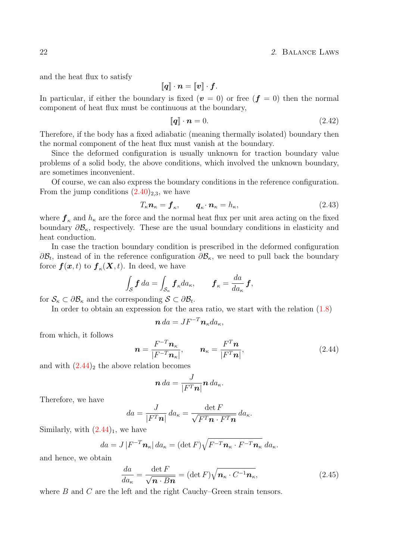and the heat flux to satisfy

$$
\llbracket q \rrbracket \cdot n = \llbracket v \rrbracket \cdot f.
$$

In particular, if either the boundary is fixed  $(v = 0)$  or free  $(f = 0)$  then the normal component of heat flux must be continuous at the boundary,

$$
\llbracket \mathbf{q} \rrbracket \cdot \mathbf{n} = 0. \tag{2.42}
$$

Therefore, if the body has a fixed adiabatic (meaning thermally isolated) boundary then the normal component of the heat flux must vanish at the boundary.

Since the deformed configuration is usually unknown for traction boundary value problems of a solid body, the above conditions, which involved the unknown boundary, are sometimes inconvenient.

Of course, we can also express the boundary conditions in the reference configuration. From the jump conditions  $(2.40)_{2,3}$  $(2.40)_{2,3}$ , we have

$$
T_{\kappa} \mathbf{n}_{\kappa} = \mathbf{f}_{\kappa}, \qquad \mathbf{q}_{\kappa} \cdot \mathbf{n}_{\kappa} = h_{\kappa}, \tag{2.43}
$$

where  $f_{\kappa}$  and  $h_{\kappa}$  are the force and the normal heat flux per unit area acting on the fixed boundary  $\partial \mathcal{B}_{\kappa}$ , respectively. These are the usual boundary conditions in elasticity and heat conduction.

In case the traction boundary condition is prescribed in the deformed configuration  $\partial \mathcal{B}_t$ , instead of in the reference configuration  $\partial \mathcal{B}_\kappa$ , we need to pull back the boundary force  $\boldsymbol{f}(\boldsymbol{x},t)$  to  $\boldsymbol{f}_{\kappa}(\boldsymbol{X},t)$ . In deed, we have

$$
\int_{\mathcal{S}} \boldsymbol{f} \, da = \int_{\mathcal{S}_{\kappa}} \boldsymbol{f}_{\kappa} da_{\kappa}, \qquad \boldsymbol{f}_{\kappa} = \frac{da}{da_{\kappa}} \boldsymbol{f},
$$

for  $\mathcal{S}_{\kappa} \subset \partial \mathcal{B}_{\kappa}$  and the corresponding  $\mathcal{S} \subset \partial \mathcal{B}_{t}$ .

In order to obtain an expression for the area ratio, we start with the relation [\(1.8\)](#page-8-0)

$$
\boldsymbol{n} \, da = J F^{-T} \boldsymbol{n}_{\kappa} da_{\kappa},
$$

from which, it follows

$$
\boldsymbol{n} = \frac{F^{-T}\boldsymbol{n}_{\kappa}}{|F^{-T}\boldsymbol{n}_{\kappa}|}, \qquad \boldsymbol{n}_{\kappa} = \frac{F^{T}\boldsymbol{n}}{|F^{T}\boldsymbol{n}|}, \qquad (2.44)
$$

and with  $(2.44)$ <sub>2</sub> the above relation becomes

$$
\boldsymbol{n} \, da = \frac{J}{|F^T \boldsymbol{n}|} \boldsymbol{n} \, da_{\kappa}.
$$

Therefore, we have

$$
da = \frac{J}{|F^T \mathbf{n}|} da_{\kappa} = \frac{\det F}{\sqrt{F^T \mathbf{n} \cdot F^T \mathbf{n}}} da_{\kappa}.
$$

Similarly, with  $(2.44)_1$  $(2.44)_1$ , we have

$$
da = J |F^{-T}\boldsymbol{n}_{\kappa}| da_{\kappa} = (\det F)\sqrt{F^{-T}\boldsymbol{n}_{\kappa}\cdot F^{-T}\boldsymbol{n}_{\kappa}} da_{\kappa}.
$$

and hence, we obtain

$$
\frac{da}{da_{\kappa}} = \frac{\det F}{\sqrt{n \cdot Bn}} = (\det F)\sqrt{n_{\kappa} \cdot C^{-1}n_{\kappa}},\tag{2.45}
$$

where  $B$  and  $C$  are the left and the right Cauchy–Green strain tensors.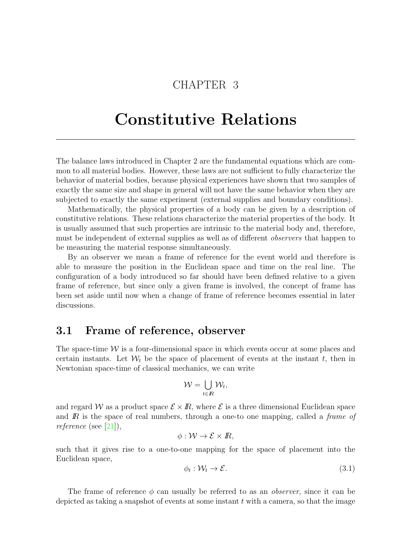# CHAPTER 3

# <span id="page-28-0"></span>Constitutive Relations

The balance laws introduced in Chapter 2 are the fundamental equations which are common to all material bodies. However, these laws are not sufficient to fully characterize the behavior of material bodies, because physical experiences have shown that two samples of exactly the same size and shape in general will not have the same behavior when they are subjected to exactly the same experiment (external supplies and boundary conditions).

Mathematically, the physical properties of a body can be given by a description of constitutive relations. These relations characterize the material properties of the body. It is usually assumed that such properties are intrinsic to the material body and, therefore, must be independent of external supplies as well as of different observers that happen to be measuring the material response simultaneously.

By an observer we mean a frame of reference for the event world and therefore is able to measure the position in the Euclidean space and time on the real line. The configuration of a body introduced so far should have been defined relative to a given frame of reference, but since only a given frame is involved, the concept of frame has been set aside until now when a change of frame of reference becomes essential in later discussions.

### <span id="page-28-1"></span>3.1 Frame of reference, observer

The space-time  $\mathcal W$  is a four-dimensional space in which events occur at some places and certain instants. Let  $\mathcal{W}_t$  be the space of placement of events at the instant t, then in Newtonian space-time of classical mechanics, we can write

$$
\mathcal{W}=\bigcup_{t\in\mathbb{R}}\mathcal{W}_t,
$$

and regard W as a product space  $\mathcal{E} \times \mathbb{R}$ , where  $\mathcal{E}$  is a three dimensional Euclidean space and  $\overline{R}$  is the space of real numbers, through a one-to one mapping, called a *frame of* reference (see [\[21\]](#page-95-1)),

$$
\phi:\mathcal{W}\to\mathcal{E}\times\mathbb{R},
$$

such that it gives rise to a one-to-one mapping for the space of placement into the Euclidean space,

$$
\phi_t: \mathcal{W}_t \to \mathcal{E}.\tag{3.1}
$$

The frame of reference  $\phi$  can usually be referred to as an *observer*, since it can be depicted as taking a snapshot of events at some instant  $t$  with a camera, so that the image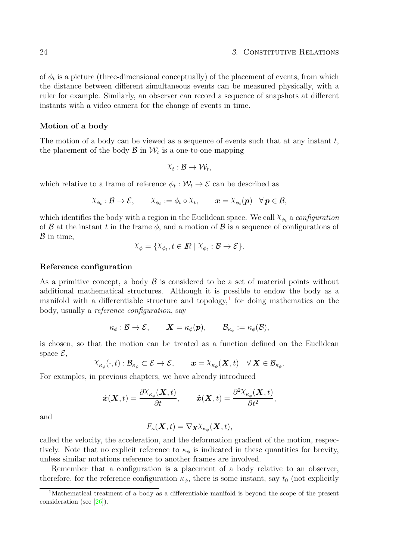of  $\phi_t$  is a picture (three-dimensional conceptually) of the placement of events, from which the distance between different simultaneous events can be measured physically, with a ruler for example. Similarly, an observer can record a sequence of snapshots at different instants with a video camera for the change of events in time.

#### Motion of a body

The motion of a body can be viewed as a sequence of events such that at any instant  $t$ , the placement of the body  $\mathcal{B}$  in  $\mathcal{W}_t$  is a one-to-one mapping

$$
\chi_t : \mathcal{B} \to \mathcal{W}_t,
$$

which relative to a frame of reference  $\phi_t : \mathcal{W}_t \to \mathcal{E}$  can be described as

$$
\chi_{\phi_t} : \mathcal{B} \to \mathcal{E}, \qquad \chi_{\phi_t} := \phi_t \circ \chi_t, \qquad \boldsymbol{x} = \chi_{\phi_t}(\boldsymbol{p}) \quad \forall \, \boldsymbol{p} \in \mathcal{B},
$$

which identifies the body with a region in the Euclidean space. We call  $\chi_{\phi_t}$  a configuration of  $\mathcal B$  at the instant t in the frame  $\phi$ , and a motion of  $\mathcal B$  is a sequence of configurations of  $\beta$  in time,

$$
\chi_{\phi} = \{ \chi_{\phi_t}, t \in \mathbb{R} \mid \chi_{\phi_t} : \mathcal{B} \to \mathcal{E} \}.
$$

#### Reference configuration

As a primitive concept, a body  $\beta$  is considered to be a set of material points without additional mathematical structures. Although it is possible to endow the body as a manifold with a differentiable structure and topology,<sup>[1](#page-29-0)</sup> for doing mathematics on the body, usually a reference configuration, say

$$
\kappa_{\phi}: \mathcal{B} \to \mathcal{E}, \qquad \mathbf{X} = \kappa_{\phi}(\mathbf{p}), \qquad \mathcal{B}_{\kappa_{\phi}} := \kappa_{\phi}(\mathcal{B}),
$$

is chosen, so that the motion can be treated as a function defined on the Euclidean space  $\mathcal{E},$ 

$$
\chi_{\kappa_\phi}(\cdot,t):\mathcal{B}_{\kappa_\phi}\subset \mathcal{E}\to \mathcal{E},\qquad \pmb{x}=\chi_{\kappa_\phi}(\pmb{X},t)\quad \forall\,\pmb{X}\in \mathcal{B}_{\kappa_\phi}.
$$

For examples, in previous chapters, we have already introduced

$$
\dot{\boldsymbol{x}}(\boldsymbol{X},t)=\frac{\partial \raisebox{2pt}{\rm{$\chi$}}_{\kappa_\phi}(\boldsymbol{X},t)}{\partial t},\qquad \ddot{\boldsymbol{x}}(\boldsymbol{X},t)=\frac{\partial^2 \raisebox{2pt}{\rm{$\chi$}}_{\kappa_\phi}(\boldsymbol{X},t)}{\partial t^2},
$$

and

$$
F_{\kappa}(\boldsymbol{X},t)=\nabla_{\boldsymbol{X}}\chi_{\kappa_{\phi}}(\boldsymbol{X},t),
$$

called the velocity, the acceleration, and the deformation gradient of the motion, respectively. Note that no explicit reference to  $\kappa_{\phi}$  is indicated in these quantities for brevity, unless similar notations reference to another frames are involved.

Remember that a configuration is a placement of a body relative to an observer, therefore, for the reference configuration  $\kappa_{\phi}$ , there is some instant, say  $t_0$  (not explicitly

<span id="page-29-0"></span><sup>1</sup>Mathematical treatment of a body as a differentiable manifold is beyond the scope of the present consideration (see [\[26\]](#page-95-2)).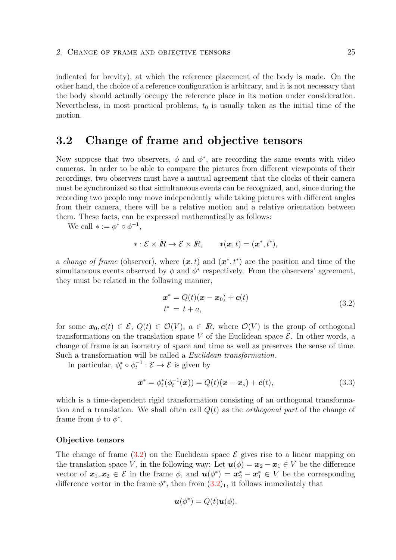indicated for brevity), at which the reference placement of the body is made. On the other hand, the choice of a reference configuration is arbitrary, and it is not necessary that the body should actually occupy the reference place in its motion under consideration. Nevertheless, in most practical problems,  $t_0$  is usually taken as the initial time of the motion.

### <span id="page-30-0"></span>3.2 Change of frame and objective tensors

Now suppose that two observers,  $\phi$  and  $\phi^*$ , are recording the same events with video cameras. In order to be able to compare the pictures from different viewpoints of their recordings, two observers must have a mutual agreement that the clocks of their camera must be synchronized so that simultaneous events can be recognized, and, since during the recording two people may move independently while taking pictures with different angles from their camera, there will be a relative motion and a relative orientation between them. These facts, can be expressed mathematically as follows:

We call  $* := \phi^* \circ \phi^{-1}$ ,

$$
* : \mathcal{E} \times \mathbb{R} \to \mathcal{E} \times \mathbb{R}, \qquad *(\boldsymbol{x},t) = (\boldsymbol{x}^*,t^*),
$$

a *change of frame* (observer), where  $(x, t)$  and  $(x^*, t^*)$  are the position and time of the simultaneous events observed by  $\phi$  and  $\phi^*$  respectively. From the observers' agreement, they must be related in the following manner,

$$
\boldsymbol{x}^* = Q(t)(\boldsymbol{x} - \boldsymbol{x}_0) + \boldsymbol{c}(t) \nt^* = t + a,
$$
\n(3.2)

for some  $x_0, c(t) \in \mathcal{E}, Q(t) \in \mathcal{O}(V), a \in \mathbb{R}$ , where  $\mathcal{O}(V)$  is the group of orthogonal transformations on the translation space V of the Euclidean space  $\mathcal{E}$ . In other words, a change of frame is an isometry of space and time as well as preserves the sense of time. Such a transformation will be called a *Euclidean transformation*.

In particular,  $\phi_t^* \circ \phi_t^{-1} : \mathcal{E} \to \mathcal{E}$  is given by

$$
\boldsymbol{x}^* = \phi_t^*(\phi_t^{-1}(\boldsymbol{x})) = Q(t)(\boldsymbol{x} - \boldsymbol{x}_o) + \boldsymbol{c}(t),
$$
\n(3.3)

which is a time-dependent rigid transformation consisting of an orthogonal transformation and a translation. We shall often call  $Q(t)$  as the *orthogonal part* of the change of frame from  $\phi$  to  $\phi^*$ .

#### <span id="page-30-1"></span>Objective tensors

The change of frame  $(3.2)$  on the Euclidean space  $\mathcal E$  gives rise to a linear mapping on the translation space V, in the following way: Let  $u(\phi) = x_2 - x_1 \in V$  be the difference vector of  $x_1, x_2 \in \mathcal{E}$  in the frame  $\phi$ , and  $u(\phi^*) = x_2^* - x_1^* \in V$  be the corresponding difference vector in the frame  $\phi^*$ , then from  $(3.2)_1$  $(3.2)_1$ , it follows immediately that

$$
\boldsymbol{u}(\phi^*) = Q(t)\boldsymbol{u}(\phi).
$$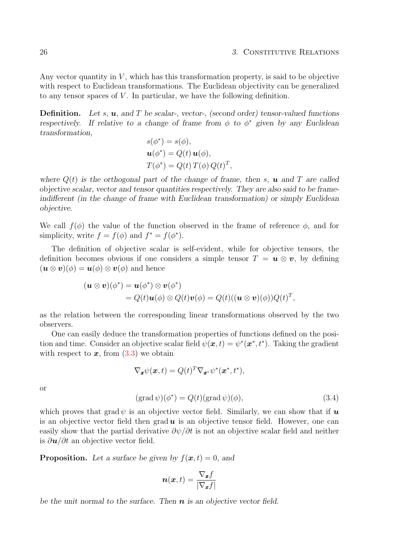Any vector quantity in  $V$ , which has this transformation property, is said to be objective with respect to Euclidean transformations. The Euclidean objectivity can be generalized to any tensor spaces of V . In particular, we have the following definition.

**Definition.** Let s, **u**, and T be scalar-, vector-, (second order) tensor-valued functions respectively. If relative to a change of frame from  $\phi$  to  $\phi^*$  given by any Euclidean transformation,

$$
s(\phi^*) = s(\phi),
$$
  

$$
\mathbf{u}(\phi^*) = Q(t) \mathbf{u}(\phi),
$$
  

$$
T(\phi^*) = Q(t) T(\phi) Q(t)^T,
$$

where  $Q(t)$  is the orthogonal part of the change of frame, then s, **u** and T are called objective scalar, vector and tensor quantities respectively. They are also said to be frameindifferent (in the change of frame with Euclidean transformation) or simply Euclidean objective.

We call  $f(\phi)$  the value of the function observed in the frame of reference  $\phi$ , and for simplicity, write  $f = f(\phi)$  and  $f^* = f(\phi^*)$ .

The definition of objective scalar is self-evident, while for objective tensors, the definition becomes obvious if one considers a simple tensor  $T = u \otimes v$ , by defining  $(\mathbf{u} \otimes \mathbf{v})(\phi) = \mathbf{u}(\phi) \otimes \mathbf{v}(\phi)$  and hence

$$
(\mathbf{u} \otimes \mathbf{v})(\phi^*) = \mathbf{u}(\phi^*) \otimes \mathbf{v}(\phi^*)
$$
  
=  $Q(t)\mathbf{u}(\phi) \otimes Q(t)\mathbf{v}(\phi) = Q(t)((\mathbf{u} \otimes \mathbf{v})(\phi))Q(t)^T$ ,

as the relation between the corresponding linear transformations observed by the two observers.

One can easily deduce the transformation properties of functions defined on the position and time. Consider an objective scalar field  $\psi(\mathbf{x},t) = \psi^*(\mathbf{x}^*, t^*)$ . Taking the gradient with respect to  $x$ , from  $(3.3)$  we obtain

$$
\nabla_{\boldsymbol{x}} \psi(\boldsymbol{x},t) = Q(t)^T \nabla_{\boldsymbol{x}^*} \psi^*(\boldsymbol{x}^*,t^*),
$$

or

$$
(\text{grad}\,\psi)(\phi^*) = Q(t)(\text{grad}\,\psi)(\phi),\tag{3.4}
$$

which proves that grad  $\psi$  is an objective vector field. Similarly, we can show that if  $\boldsymbol{u}$ is an objective vector field then grad  $u$  is an objective tensor field. However, one can easily show that the partial derivative  $\partial \psi / \partial t$  is not an objective scalar field and neither is  $\partial u/\partial t$  an objective vector field.

**Proposition.** Let a surface be given by  $f(x, t) = 0$ , and

$$
\boldsymbol{n}(\boldsymbol{x},t)=\frac{\nabla_{\boldsymbol{x}}f}{|\nabla_{\boldsymbol{x}}f|}
$$

be the unit normal to the surface. Then  $n$  is an objective vector field.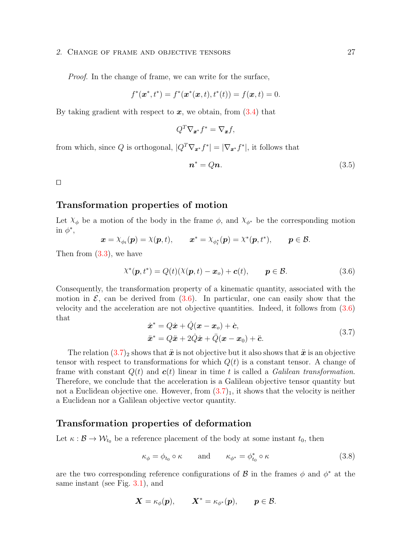#### 2. CHANGE OF FRAME AND OBJECTIVE TENSORS 27

Proof. In the change of frame, we can write for the surface,

$$
f^*(\boldsymbol{x}^*, t^*) = f^*(\boldsymbol{x}^*(\boldsymbol{x}, t), t^*(t)) = f(\boldsymbol{x}, t) = 0.
$$

By taking gradient with respect to  $x$ , we obtain, from  $(3.4)$  that

$$
Q^T \nabla_{\bm{x}^*} f^* = \nabla_{\bm{x}} f,
$$

from which, since Q is orthogonal,  $|Q^T \nabla_{\mathbf{x}^*} f^*| = |\nabla_{\mathbf{x}^*} f^*|$ , it follows that

$$
n^* = Qn.\t\t(3.5)
$$

 $\Box$ 

#### <span id="page-32-0"></span>Transformation properties of motion

Let  $\chi_{\phi}$  be a motion of the body in the frame  $\phi$ , and  $\chi_{\phi^*}$  be the corresponding motion in  $\phi^*$ ,

$$
\boldsymbol{x} = \chi_{\phi_t}(\boldsymbol{p}) = \chi(\boldsymbol{p},t), \qquad \boldsymbol{x}^* = \chi_{\phi_t^*}(\boldsymbol{p}) = \chi^*(\boldsymbol{p},t^*), \qquad \boldsymbol{p} \in \mathcal{B}.
$$

Then from  $(3.3)$ , we have

$$
\chi^*(\mathbf{p}, t^*) = Q(t)(\chi(\mathbf{p}, t) - \mathbf{x}_o) + \mathbf{c}(t), \qquad \mathbf{p} \in \mathcal{B}.
$$
 (3.6)

Consequently, the transformation property of a kinematic quantity, associated with the motion in  $\mathcal{E}$ , can be derived from  $(3.6)$ . In particular, one can easily show that the velocity and the acceleration are not objective quantities. Indeed, it follows from [\(3.6\)](#page-32-0) that

$$
\dot{\boldsymbol{x}}^* = Q\dot{\boldsymbol{x}} + \dot{Q}(\boldsymbol{x} - \boldsymbol{x}_o) + \dot{\boldsymbol{c}},
$$
  

$$
\ddot{\boldsymbol{x}}^* = Q\ddot{\boldsymbol{x}} + 2\dot{Q}\dot{\boldsymbol{x}} + \ddot{Q}(\boldsymbol{x} - \boldsymbol{x}_0) + \ddot{\boldsymbol{c}}.
$$
 (3.7)

The relation  $(3.7)_2$  $(3.7)_2$  shows that  $\ddot{x}$  is not objective but it also shows that  $\ddot{x}$  is an objective tensor with respect to transformations for which  $Q(t)$  is a constant tensor. A change of frame with constant  $Q(t)$  and  $c(t)$  linear in time t is called a Galilean transformation. Therefore, we conclude that the acceleration is a Galilean objective tensor quantity but not a Euclidean objective one. However, from  $(3.7)_1$  $(3.7)_1$ , it shows that the velocity is neither a Euclidean nor a Galilean objective vector quantity.

#### <span id="page-32-1"></span>Transformation properties of deformation

Let  $\kappa : \mathcal{B} \to \mathcal{W}_{t_0}$  be a reference placement of the body at some instant  $t_0$ , then

$$
\kappa_{\phi} = \phi_{t_0} \circ \kappa \qquad \text{and} \qquad \kappa_{\phi^*} = \phi_{t_0}^* \circ \kappa \tag{3.8}
$$

are the two corresponding reference configurations of  $\mathcal{B}$  in the frames  $\phi$  and  $\phi^*$  at the same instant (see Fig. [3.1\)](#page-33-0), and

$$
\boldsymbol{X} = \kappa_\phi(\boldsymbol{p}), \qquad \boldsymbol{X}^* = \kappa_{\phi^*}(\boldsymbol{p}), \qquad \boldsymbol{p} \in \mathcal{B}.
$$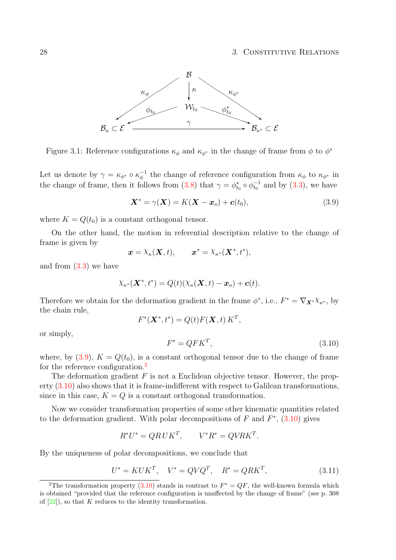#### 28 3. CONSTITUTIVE RELATIONS



<span id="page-33-0"></span>Figure 3.1: Reference configurations  $\kappa_{\phi}$  and  $\kappa_{\phi^*}$  in the change of frame from  $\phi$  to  $\phi^*$ 

Let us denote by  $\gamma = \kappa_{\phi^*} \circ \kappa_{\phi}^{-1}$  the change of reference configuration from  $\kappa_{\phi}$  to  $\kappa_{\phi^*}$  in the change of frame, then it follows from [\(3.8\)](#page-32-1) that  $\gamma = \phi_{t_0}^* \circ \phi_{t_0}^{-1}$  and by [\(3.3\)](#page-30-0), we have

$$
\mathbf{X}^* = \gamma(\mathbf{X}) = K(\mathbf{X} - \mathbf{x}_o) + \mathbf{c}(t_0),\tag{3.9}
$$

where  $K = Q(t_0)$  is a constant orthogonal tensor.

On the other hand, the motion in referential description relative to the change of frame is given by

$$
\boldsymbol{x} = \lambda_{\kappa}(\boldsymbol{X},t), \qquad \boldsymbol{x}^* = \lambda_{\kappa^*}(\boldsymbol{X}^*,t^*),
$$

and from [\(3.3\)](#page-30-0) we have

$$
\chi_{\kappa^*}(\boldsymbol{X}^*,t^*) = Q(t)(\chi_{\kappa}(\boldsymbol{X},t) - \boldsymbol{x}_o) + \boldsymbol{c}(t).
$$

Therefore we obtain for the deformation gradient in the frame  $\phi^*$ , i.e.,  $F^* = \nabla_{\mathbf{X}^*} \chi_{\kappa^*}$ , by the chain rule,

$$
F^*(\mathbf{X}^*,t^*) = Q(t)F(\mathbf{X},t)K^T,
$$

or simply,

$$
F^* = QFK^T,\tag{3.10}
$$

where, by [\(3.9\)](#page-32-1),  $K = Q(t_0)$ , is a constant orthogonal tensor due to the change of frame for the reference configuration.<sup>[2](#page-33-1)</sup>

The deformation gradient  $F$  is not a Euclidean objective tensor. However, the property [\(3.10\)](#page-33-0) also shows that it is frame-indifferent with respect to Galilean transformations, since in this case,  $K = Q$  is a constant orthogonal transformation.

Now we consider transformation properties of some other kinematic quantities related to the deformation gradient. With polar decompositions of  $F$  and  $F^*$ ,  $(3.10)$  gives

$$
R^*U^* = QRUK^T, \qquad V^*R^* = QVRK^T.
$$

By the uniqueness of polar decompositions, we conclude that

$$
U^* = KUK^T, \quad V^* = QVQ^T, \quad R^* = QRK^T,\tag{3.11}
$$

<span id="page-33-1"></span><sup>&</sup>lt;sup>2</sup>The transformation property [\(3.10\)](#page-33-0) stands in contrast to  $F^* = QF$ , the well-known formula which is obtained "provided that the reference configuration is unaffected by the change of frame" (see p. 308 of  $[22]$ , so that K reduces to the identity transformation.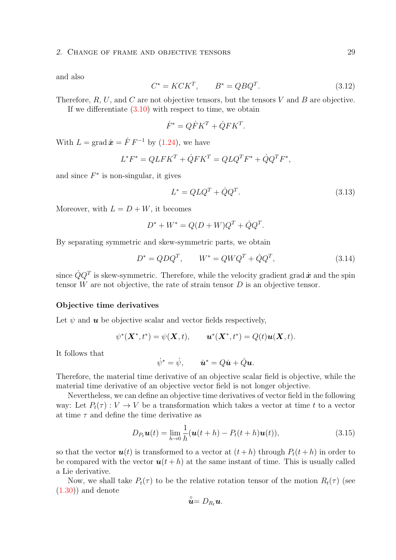#### 2. CHANGE OF FRAME AND OBJECTIVE TENSORS 29

and also

$$
C^* = KCK^T, \qquad B^* = QBQ^T. \tag{3.12}
$$

Therefore,  $R, U$ , and  $C$  are not objective tensors, but the tensors  $V$  and  $B$  are objective. If we differentiate  $(3.10)$  with respect to time, we obtain

$$
\dot{F}^* = Q\dot{F}K^T + \dot{Q}FK^T.
$$

With  $L = \text{grad} \dot{x} = \dot{F} F^{-1}$  by [\(1.24\)](#page-12-0), we have

$$
L^*F^* = QLFK^T + \dot{Q}FK^T = QLQ^TF^* + \dot{Q}Q^TF^*,
$$

and since  $F^*$  is non-singular, it gives

$$
L^* = Q L Q^T + \dot{Q} Q^T. \tag{3.13}
$$

Moreover, with  $L = D + W$ , it becomes

$$
D^* + W^* = Q(D + W)Q^T + \dot{Q}Q^T.
$$

By separating symmetric and skew-symmetric parts, we obtain

$$
D^* = QDQ^T, \qquad W^* = QWQ^T + \dot{Q}Q^T,\tag{3.14}
$$

since  $\dot{Q}Q^T$  is skew-symmetric. Therefore, while the velocity gradient grad  $\dot{x}$  and the spin tensor  $W$  are not objective, the rate of strain tensor  $D$  is an objective tensor.

#### Objective time derivatives

Let  $\psi$  and  $\boldsymbol{u}$  be objective scalar and vector fields respectively,

$$
\psi^*(\mathbf{X}^*, t^*) = \psi(\mathbf{X}, t), \qquad \mathbf{u}^*(\mathbf{X}^*, t^*) = Q(t)\mathbf{u}(\mathbf{X}, t).
$$

It follows that

$$
\dot{\psi}^* = \dot{\psi}, \qquad \dot{\bm{u}}^* = Q\dot{\bm{u}} + \dot{Q}\bm{u}.
$$

Therefore, the material time derivative of an objective scalar field is objective, while the material time derivative of an objective vector field is not longer objective.

Nevertheless, we can define an objective time derivatives of vector field in the following way: Let  $P_t(\tau): V \to V$  be a transformation which takes a vector at time t to a vector at time  $\tau$  and define the time derivative as

$$
D_{P_t}\boldsymbol{u}(t) = \lim_{h \to 0} \frac{1}{h}(\boldsymbol{u}(t+h) - P_t(t+h)\boldsymbol{u}(t)),
$$
\n(3.15)

so that the vector  $u(t)$  is transformed to a vector at  $(t+h)$  through  $P_t(t+h)$  in order to be compared with the vector  $u(t+h)$  at the same instant of time. This is usually called a Lie derivative.

Now, we shall take  $P_t(\tau)$  to be the relative rotation tensor of the motion  $R_t(\tau)$  (see  $(1.30)$  and denote

$$
\stackrel{\circ}{\bm{u}}=D_{R_t}\bm{u}.
$$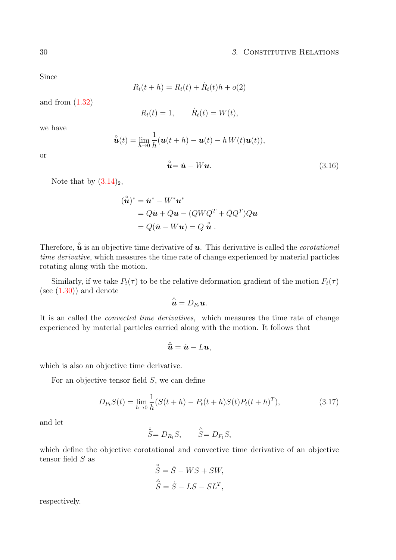Since

$$
R_t(t + h) = R_t(t) + \dot{R}_t(t)h + o(2)
$$

and from  $(1.32)$ 

$$
R_t(t) = 1, \qquad \dot{R}_t(t) = W(t),
$$

we have

or

$$
\hat{\mathbf{u}}(t) = \lim_{h \to 0} \frac{1}{h} (\mathbf{u}(t+h) - \mathbf{u}(t) - h W(t) \mathbf{u}(t)),
$$
  

$$
\hat{\mathbf{u}} = \dot{\mathbf{u}} - W \mathbf{u}.
$$
 (3.16)

Note that by  $(3.14)_2$  $(3.14)_2$ ,

$$
(\hat{\mathbf{u}})^* = \dot{\mathbf{u}}^* - W^* \mathbf{u}^*
$$
  
=  $Q\dot{\mathbf{u}} + \dot{Q}\mathbf{u} - (QWQ^T + \dot{Q}Q^T)Q\mathbf{u}$   
=  $Q(\dot{\mathbf{u}} - W\mathbf{u}) = Q \hat{\mathbf{u}}$ .

Therefore,  $\hat{u}$  is an objective time derivative of **u**. This derivative is called the *corotational* time derivative, which measures the time rate of change experienced by material particles rotating along with the motion.

Similarly, if we take  $P_t(\tau)$  to be the relative deformation gradient of the motion  $F_t(\tau)$ (see  $(1.30)$ ) and denote

$$
\hat{\hat{\bm{u}}} = D_{F_t} \bm{u}.
$$

It is an called the convected time derivatives, which measures the time rate of change experienced by material particles carried along with the motion. It follows that

$$
\overset{\scriptscriptstyle\triangle}{\bm{u}}=\dot{\bm{u}}-L\bm{u},
$$

which is also an objective time derivative.

For an objective tensor field  $S$ , we can define

$$
D_{P_t}S(t) = \lim_{h \to 0} \frac{1}{h}(S(t+h) - P_t(t+h)S(t)P_t(t+h)^T), \tag{3.17}
$$

and let

$$
\stackrel{\circ}{S} = D_{R_t} S, \qquad \stackrel{\triangle}{S} = D_{F_t} S,
$$

which define the objective corotational and convective time derivative of an objective tensor field  $S$  as ◦

$$
\check{S} = \dot{S} - WS + SW,
$$
  

$$
\hat{S} = \dot{S} - LS - SL^{T},
$$

respectively.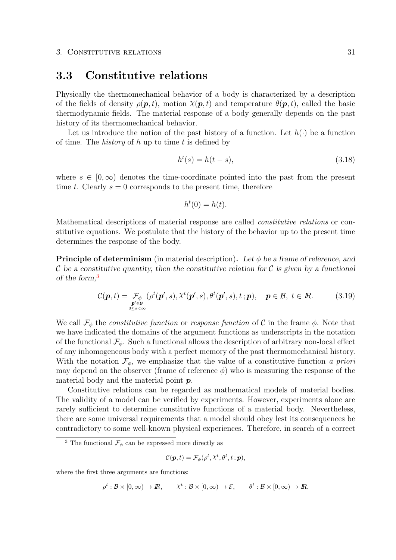### <span id="page-36-1"></span>3.3 Constitutive relations

Physically the thermomechanical behavior of a body is characterized by a description of the fields of density  $\rho(\mathbf{p}, t)$ , motion  $\chi(\mathbf{p}, t)$  and temperature  $\theta(\mathbf{p}, t)$ , called the basic thermodynamic fields. The material response of a body generally depends on the past history of its thermomechanical behavior.

Let us introduce the notion of the past history of a function. Let  $h(\cdot)$  be a function of time. The *history* of h up to time t is defined by

$$
h^t(s) = h(t - s),\tag{3.18}
$$

where  $s \in [0,\infty)$  denotes the time-coordinate pointed into the past from the present time t. Clearly  $s = 0$  corresponds to the present time, therefore

$$
h^t(0) = h(t).
$$

Mathematical descriptions of material response are called constitutive relations or constitutive equations. We postulate that the history of the behavior up to the present time determines the response of the body.

**Principle of determinism** (in material description). Let  $\phi$  be a frame of reference, and C be a constitutive quantity, then the constitutive relation for C is given by a functional of the form,<sup>[3](#page-36-0)</sup>

$$
\mathcal{C}(\boldsymbol{p},t) = \underset{\substack{\boldsymbol{p}' \in \mathcal{B} \\ 0 \le s < \infty}}{\mathcal{F}_{\phi}} (\rho^t(\boldsymbol{p}',s), \lambda^t(\boldsymbol{p}',s), \theta^t(\boldsymbol{p}',s), t \, ; \boldsymbol{p}), \quad \boldsymbol{p} \in \mathcal{B}, t \in \mathbb{R}.
$$

We call  $\mathcal{F}_{\phi}$  the *constitutive function* or *response function* of  $\mathcal{C}$  in the frame  $\phi$ . Note that we have indicated the domains of the argument functions as underscripts in the notation of the functional  $\mathcal{F}_{\phi}$ . Such a functional allows the description of arbitrary non-local effect of any inhomogeneous body with a perfect memory of the past thermomechanical history. With the notation  $\mathcal{F}_{\phi}$ , we emphasize that the value of a constitutive function a priori may depend on the observer (frame of reference  $\phi$ ) who is measuring the response of the material body and the material point p.

Constitutive relations can be regarded as mathematical models of material bodies. The validity of a model can be verified by experiments. However, experiments alone are rarely sufficient to determine constitutive functions of a material body. Nevertheless, there are some universal requirements that a model should obey lest its consequences be contradictory to some well-known physical experiences. Therefore, in search of a correct

$$
\mathcal{C}(\boldsymbol{p},t)=\mathcal{F}_{\phi}(\rho^{t},\chi^{t},\theta^{t},t\,;\boldsymbol{p}),
$$

where the first three arguments are functions:

$$
\rho^t : \mathcal{B} \times [0, \infty) \to I\!\!R, \qquad \chi^t : \mathcal{B} \times [0, \infty) \to \mathcal{E}, \qquad \theta^t : \mathcal{B} \times [0, \infty) \to I\!\!R.
$$

<span id="page-36-0"></span><sup>&</sup>lt;sup>3</sup> The functional  $\mathcal{F}_{\phi}$  can be expressed more directly as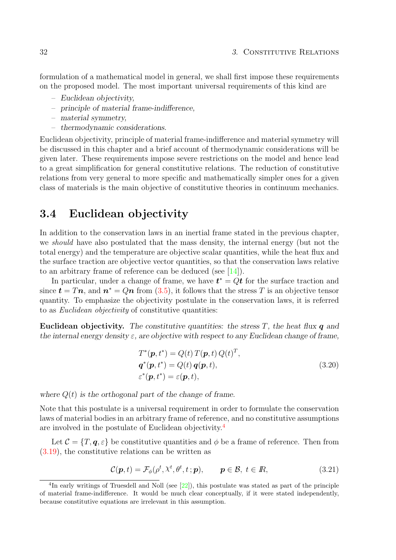formulation of a mathematical model in general, we shall first impose these requirements on the proposed model. The most important universal requirements of this kind are

- Euclidean objectivity,
- principle of material frame-indifference,
- material symmetry,
- thermodynamic considerations.

Euclidean objectivity, principle of material frame-indifference and material symmetry will be discussed in this chapter and a brief account of thermodynamic considerations will be given later. These requirements impose severe restrictions on the model and hence lead to a great simplification for general constitutive relations. The reduction of constitutive relations from very general to more specific and mathematically simpler ones for a given class of materials is the main objective of constitutive theories in continuum mechanics.

### <span id="page-37-1"></span>3.4 Euclidean objectivity

In addition to the conservation laws in an inertial frame stated in the previous chapter, we *should* have also postulated that the mass density, the internal energy (but not the total energy) and the temperature are objective scalar quantities, while the heat flux and the surface traction are objective vector quantities, so that the conservation laws relative to an arbitrary frame of reference can be deduced (see [\[14\]](#page-95-0)).

In particular, under a change of frame, we have  $t^* = Qt$  for the surface traction and since  $t = Tn$ , and  $n^* = Qn$  from [\(3.5\)](#page-30-0), it follows that the stress T is an objective tensor quantity. To emphasize the objectivity postulate in the conservation laws, it is referred to as Euclidean objectivity of constitutive quantities:

**Euclidean objectivity.** The constitutive quantities: the stress  $T$ , the heat flux  $q$  and the internal energy density  $\varepsilon$ , are objective with respect to any Euclidean change of frame,

$$
T^*(\mathbf{p}, t^*) = Q(t) T(\mathbf{p}, t) Q(t)^T,
$$
  
\n
$$
\mathbf{q}^*(\mathbf{p}, t^*) = Q(t) \mathbf{q}(\mathbf{p}, t),
$$
  
\n
$$
\varepsilon^*(\mathbf{p}, t^*) = \varepsilon(\mathbf{p}, t),
$$
\n(3.20)

where  $Q(t)$  is the orthogonal part of the change of frame.

Note that this postulate is a universal requirement in order to formulate the conservation laws of material bodies in an arbitrary frame of reference, and no constitutive assumptions are involved in the postulate of Euclidean objectivity.[4](#page-37-0)

Let  $\mathcal{C} = \{T, q, \varepsilon\}$  be constitutive quantities and  $\phi$  be a frame of reference. Then from [\(3.19\)](#page-36-1), the constitutive relations can be written as

$$
\mathcal{C}(\boldsymbol{p},t) = \mathcal{F}_{\phi}(\rho^t, \lambda^t, \theta^t, t \,; \boldsymbol{p}), \qquad \boldsymbol{p} \in \mathcal{B}, \ t \in \mathbb{R}, \tag{3.21}
$$

<span id="page-37-0"></span><sup>&</sup>lt;sup>4</sup>In early writings of Truesdell and Noll (see [\[22\]](#page-95-1)), this postulate was stated as part of the principle of material frame-indifference. It would be much clear conceptually, if it were stated independently, because constitutive equations are irrelevant in this assumption.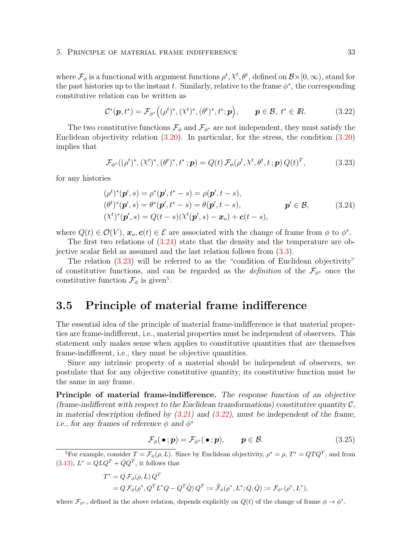#### 5. Principle of material frame indifference 33

where  $\mathcal{F}_{\phi}$  is a functional with argument functions  $\rho^t$ ,  $\chi^t$ ,  $\theta^t$ , defined on  $\mathcal{B} \times [0,\infty)$ , stand for the past histories up to the instant t. Similarly, relative to the frame  $\phi^*$ , the corresponding constitutive relation can be written as

$$
C^*(p, t^*) = \mathcal{F}_{\phi^*}\Big((\rho^t)^*, (\chi^t)^*, (\theta^t)^*, t^*; p\Big), \qquad p \in \mathcal{B}, t^* \in \mathbb{R}.
$$
 (3.22)

The two constitutive functions  $\mathcal{F}_{\phi}$  and  $\mathcal{F}_{\phi^*}$  are not independent, they must satisfy the Euclidean objectivity relation [\(3.20\)](#page-37-1). In particular, for the stress, the condition [\(3.20\)](#page-37-1) implies that

$$
\mathcal{F}_{\phi^*}((\rho^t)^*, (\chi^t)^*, (\theta^t)^*, t^*; \mathbf{p}) = Q(t) \mathcal{F}_{\phi}(\rho^t, \chi^t, \theta^t, t; \mathbf{p}) Q(t)^T,
$$
\n(3.23)

for any histories

$$
(\rho^t)^*(\mathbf{p}', s) = \rho^*(\mathbf{p}', t^* - s) = \rho(\mathbf{p}', t - s),
$$
  
\n
$$
(\theta^t)^*(\mathbf{p}', s) = \theta^*(\mathbf{p}', t^* - s) = \theta(\mathbf{p}', t - s),
$$
  
\n
$$
(\chi^t)^*(\mathbf{p}', s) = Q(t - s)(\chi^t(\mathbf{p}', s) - \mathbf{x}_o) + \mathbf{c}(t - s),
$$
\n(3.24)

where  $Q(t) \in \mathcal{O}(V)$ ,  $\mathbf{x}_o, \mathbf{c}(t) \in \mathcal{E}$  are associated with the change of frame from  $\phi$  to  $\phi^*$ .

The first two relations of [\(3.24\)](#page-37-1) state that the density and the temperature are objective scalar field as assumed and the last relation follows from [\(3.3\)](#page-30-1).

The relation [\(3.23\)](#page-37-1) will be referred to as the "condition of Euclidean objectivity" of constitutive functions, and can be regarded as the *definition* of the  $\mathcal{F}_{\phi^*}$  once the constitutive function  $\mathcal{F}_{\phi}$  is given<sup>[5](#page-38-0)</sup>.

### <span id="page-38-1"></span>3.5 Principle of material frame indifference

The essential idea of the principle of material frame-indifference is that material properties are frame-indifferent, i.e., material properties must be independent of observers. This statement only makes sense when applies to constitutive quantities that are themselves frame-indifferent, i.e., they must be objective quantities.

Since any intrinsic property of a material should be independent of observers, we postulate that for any objective constitutive quantity, its constitutive function must be the same in any frame.

Principle of material frame-indifference. The response function of an objective (frame-indifferent with respect to the Euclidean transformations) constitutive quantity  $\mathcal{C}$ , in material description defined by  $(3.21)$  and  $(3.22)$ , must be independent of the frame, i.e., for any frames of reference  $\phi$  and  $\phi^*$ 

$$
\mathcal{F}_{\phi}(\bullet; \mathbf{p}) = \mathcal{F}_{\phi^*}(\bullet; \mathbf{p}), \qquad \mathbf{p} \in \mathcal{B}.\tag{3.25}
$$

$$
T^* = Q \mathcal{F}_{\phi}(\rho, L) Q^T
$$
  
=  $Q \mathcal{F}_{\phi}(\rho^*, Q^T L^* Q - Q^T \dot{Q}) Q^T := \hat{\mathcal{F}}_{\phi}(\rho^*, L^*; Q, \dot{Q}) := \mathcal{F}_{\phi^*}(\rho^*, L^*),$ 

where  $\mathcal{F}_{\phi^*}$ , defined in the above relation, depends explicitly on  $Q(t)$  of the change of frame  $\phi \to \phi^*$ .

<span id="page-38-0"></span><sup>&</sup>lt;sup>5</sup>For example, consider  $T = \mathcal{F}_{\phi}(\rho, L)$ . Since by Euclidean objectivity,  $\rho^* = \rho, T^* = QTQ^T$ , and from  $(3.13), L^* = QLQ^T + \dot{Q}Q^T$  $(3.13), L^* = QLQ^T + \dot{Q}Q^T$ , it follows that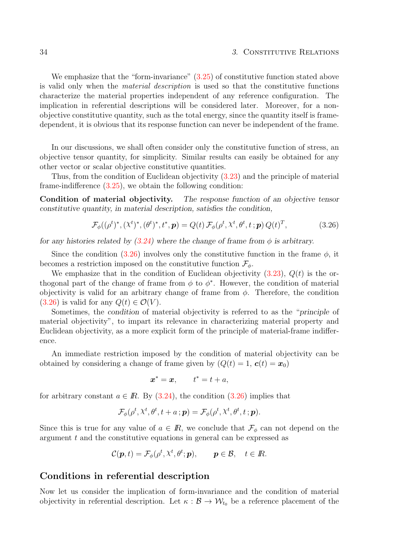#### 34 34 34 35 September 2012 1 2013 31 September 2013 31 September 2013 31 September 2013 31 September 2013 31 September 2013 31 September 2013 31 September 2014 31 September 2013 31 September 2013 31 September 2013 31 Septe

We emphasize that the "form-invariance"  $(3.25)$  of constitutive function stated above is valid only when the material description is used so that the constitutive functions characterize the material properties independent of any reference configuration. The implication in referential descriptions will be considered later. Moreover, for a nonobjective constitutive quantity, such as the total energy, since the quantity itself is framedependent, it is obvious that its response function can never be independent of the frame.

In our discussions, we shall often consider only the constitutive function of stress, an objective tensor quantity, for simplicity. Similar results can easily be obtained for any other vector or scalar objective constitutive quantities.

Thus, from the condition of Euclidean objectivity [\(3.23\)](#page-37-1) and the principle of material frame-indifference [\(3.25\)](#page-38-1), we obtain the following condition:

Condition of material objectivity. The response function of an objective tensor constitutive quantity, in material description, satisfies the condition,

$$
\mathcal{F}_{\phi}((\rho^t)^*, (\chi^t)^*, (\theta^t)^*, t^*, \mathbf{p}) = Q(t) \mathcal{F}_{\phi}(\rho^t, \chi^t, \theta^t, t^); \mathbf{p}) Q(t)^T, \tag{3.26}
$$

for any histories related by  $(3.24)$  where the change of frame from  $\phi$  is arbitrary.

Since the condition [\(3.26\)](#page-38-1) involves only the constitutive function in the frame  $\phi$ , it becomes a restriction imposed on the constitutive function  $\mathcal{F}_{\phi}$ .

We emphasize that in the condition of Euclidean objectivity  $(3.23)$ ,  $Q(t)$  is the orthogonal part of the change of frame from  $\phi$  to  $\phi^*$ . However, the condition of material objectivity is valid for an arbitrary change of frame from  $\phi$ . Therefore, the condition  $(3.26)$  is valid for any  $Q(t) \in \mathcal{O}(V)$ .

Sometimes, the condition of material objectivity is referred to as the "principle of material objectivity", to impart its relevance in characterizing material property and Euclidean objectivity, as a more explicit form of the principle of material-frame indifference.

An immediate restriction imposed by the condition of material objectivity can be obtained by considering a change of frame given by  $(Q(t) = 1, c(t) = x_0)$ 

$$
\boldsymbol{x}^* = \boldsymbol{x}, \qquad t^* = t + a,
$$

for arbitrary constant  $a \in \mathbb{R}$ . By [\(3.24\)](#page-37-1), the condition [\(3.26\)](#page-38-1) implies that

$$
\mathcal{F}_{\phi}(\rho^t, \lambda^t, \theta^t, t + a; \mathbf{p}) = \mathcal{F}_{\phi}(\rho^t, \lambda^t, \theta^t, t; \mathbf{p}).
$$

Since this is true for any value of  $a \in \mathbb{R}$ , we conclude that  $\mathcal{F}_{\phi}$  can not depend on the argument t and the constitutive equations in general can be expressed as

$$
\mathcal{C}(\boldsymbol{p},t)=\mathcal{F}_{\phi}(\rho^{t},\chi^{t},\theta^{t};\boldsymbol{p}),\qquad \boldsymbol{p}\in\mathcal{B},\quad t\in\mathbb{R}.
$$

#### Conditions in referential description

Now let us consider the implication of form-invariance and the condition of material objectivity in referential description. Let  $\kappa : \mathcal{B} \to \mathcal{W}_{t_0}$  be a reference placement of the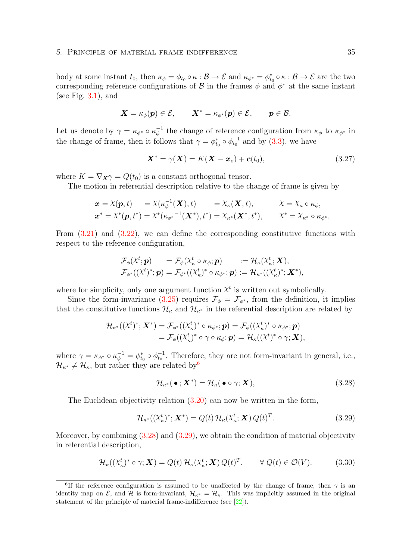#### 5. Principle of material frame indifference 35

body at some instant  $t_0$ , then  $\kappa_{\phi} = \phi_{t_0} \circ \kappa : \mathcal{B} \to \mathcal{E}$  and  $\kappa_{\phi^*} = \phi_{t_0}^* \circ \kappa : \mathcal{B} \to \mathcal{E}$  are the two corresponding reference configurations of  $\mathcal{B}$  in the frames  $\phi$  and  $\phi^*$  at the same instant (see Fig.  $3.1$ ), and

$$
\boldsymbol{X} = \kappa_\phi(\boldsymbol{p}) \in \mathcal{E}, \qquad \boldsymbol{X}^* = \kappa_{\phi^*}(\boldsymbol{p}) \in \mathcal{E}, \qquad \boldsymbol{p} \in \mathcal{B}.
$$

Let us denote by  $\gamma = \kappa_{\phi^*} \circ \kappa_{\phi}^{-1}$  the change of reference configuration from  $\kappa_{\phi}$  to  $\kappa_{\phi^*}$  in the change of frame, then it follows that  $\gamma = \phi_{t_0}^* \circ \phi_{t_0}^{-1}$  and by [\(3.3\)](#page-30-1), we have

$$
\mathbf{X}^* = \gamma(\mathbf{X}) = K(\mathbf{X} - \mathbf{x}_o) + \mathbf{c}(t_0), \tag{3.27}
$$

where  $K = \nabla_{\mathbf{X}} \gamma = Q(t_0)$  is a constant orthogonal tensor.

The motion in referential description relative to the change of frame is given by

<span id="page-40-1"></span>
$$
\mathbf{x} = \chi(\mathbf{p}, t) = \chi(\kappa_{\phi}^{-1}(\mathbf{X}), t) = \chi_{\kappa}(\mathbf{X}, t), \qquad \chi = \chi_{\kappa} \circ \kappa_{\phi},
$$
  

$$
\mathbf{x}^* = \chi^*(\mathbf{p}, t^*) = \chi^*(\kappa_{\phi^*}^{-1}(\mathbf{X}^*), t^*) = \chi_{\kappa^*}(\mathbf{X}^*, t^*), \qquad \chi^* = \chi_{\kappa^*} \circ \kappa_{\phi^*}.
$$

From [\(3.21\)](#page-37-1) and [\(3.22\)](#page-37-1), we can define the corresponding constitutive functions with respect to the reference configuration,

$$
\begin{array}{ll}\mathcal{F}_{\phi}(\chi^t;\bm p)&=\mathcal{F}_{\phi}(\chi^t_{\kappa}\circ\kappa_{\phi};\bm p)&:=\mathcal{H}_{\kappa}(\chi^t_{\kappa};\bm X),\\ \mathcal{F}_{\phi^*}((\chi^t)^*;\bm p)&=\mathcal{F}_{\phi^*}((\chi^t_{\kappa})^*\circ\kappa_{\phi^*};\bm p)&:=\mathcal{H}_{\kappa^*}((\chi^t_{\kappa})^*;\bm X^*),\end{array}
$$

where for simplicity, only one argument function  $\chi^t$  is written out symbolically.

Since the form-invariance [\(3.25\)](#page-38-1) requires  $\mathcal{F}_{\phi} = \mathcal{F}_{\phi^*}$ , from the definition, it implies that the constitutive functions  $\mathcal{H}_{\kappa}$  and  $\mathcal{H}_{\kappa^*}$  in the referential description are related by

$$
\mathcal{H}_{\kappa^*}((\chi^t)^*; \mathbf{X}^*) = \mathcal{F}_{\phi^*}((\chi^t_{\kappa})^* \circ \kappa_{\phi^*}; \mathbf{p}) = \mathcal{F}_{\phi}((\chi^t_{\kappa})^* \circ \kappa_{\phi^*}; \mathbf{p})
$$
  
=  $\mathcal{F}_{\phi}((\chi^t_{\kappa})^* \circ \gamma \circ \kappa_{\phi}; \mathbf{p}) = \mathcal{H}_{\kappa}((\chi^t)^* \circ \gamma; \mathbf{X}),$ 

where  $\gamma = \kappa_{\phi^*} \circ \kappa_{\phi}^{-1} = \phi_{t_0}^* \circ \phi_{t_0}^{-1}$ . Therefore, they are not form-invariant in general, i.e.,  $\mathcal{H}_{\kappa^*} \neq \mathcal{H}_{\kappa}$ , but rather they are related by<sup>[6](#page-40-0)</sup>

$$
\mathcal{H}_{\kappa^*}(\bullet; \mathbf{X}^*) = \mathcal{H}_{\kappa}(\bullet \circ \gamma; \mathbf{X}), \tag{3.28}
$$

The Euclidean objectivity relation [\(3.20\)](#page-37-1) can now be written in the form,

$$
\mathcal{H}_{\kappa^*}((X_{\kappa}^t)^*; \mathbf{X}^*) = Q(t) \, \mathcal{H}_{\kappa}(X_{\kappa}^t; \mathbf{X}) \, Q(t)^T. \tag{3.29}
$$

Moreover, by combining  $(3.28)$  and  $(3.29)$ , we obtain the condition of material objectivity in referential description,

$$
\mathcal{H}_{\kappa}((\mathcal{X}_{\kappa}^{t})^{*} \circ \gamma; \mathbf{X}) = Q(t) \mathcal{H}_{\kappa}(\mathcal{X}_{\kappa}^{t}; \mathbf{X}) Q(t)^{T}, \qquad \forall Q(t) \in \mathcal{O}(V). \tag{3.30}
$$

<span id="page-40-0"></span><sup>&</sup>lt;sup>6</sup>If the reference configuration is assumed to be unaffected by the change of frame, then  $\gamma$  is an identity map on  $\mathcal{E}$ , and  $\mathcal{H}$  is form-invariant,  $\mathcal{H}_{\kappa^*} = \mathcal{H}_{\kappa}$ . This was implicitly assumed in the original statement of the principle of material frame-indifference (see [\[22\]](#page-95-1)).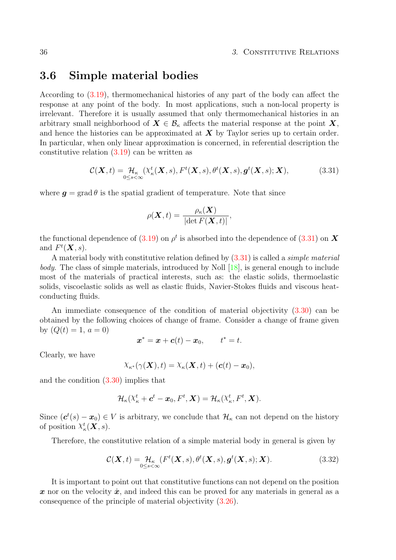#### 36 36 36 36 37 September 2012 12:30 38 36 36 36 37 September 2013 12:30 38 36 36 37 September 2013 12:30 37 September 2013 12:30 37 September 2013 12:30 37 September 2013 12:30 37 September 2013 12:30 37 September 2013 12:

### <span id="page-41-0"></span>3.6 Simple material bodies

According to [\(3.19\)](#page-36-1), thermomechanical histories of any part of the body can affect the response at any point of the body. In most applications, such a non-local property is irrelevant. Therefore it is usually assumed that only thermomechanical histories in an arbitrary small neighborhood of  $X \in \mathcal{B}_{\kappa}$  affects the material response at the point X, and hence the histories can be approximated at  $X$  by Taylor series up to certain order. In particular, when only linear approximation is concerned, in referential description the constitutive relation [\(3.19\)](#page-36-1) can be written as

$$
\mathcal{C}(\boldsymbol{X},t) = \mathcal{H}_{\kappa}(\mathcal{X}_{\kappa}^{t}(\boldsymbol{X},s),F^{t}(\boldsymbol{X},s),\theta^{t}(\boldsymbol{X},s),\boldsymbol{g}^{t}(\boldsymbol{X},s); \boldsymbol{X}),
$$
(3.31)

where  $g = \text{grad } \theta$  is the spatial gradient of temperature. Note that since

$$
\rho(\boldsymbol{X},t)=\frac{\rho_{\kappa}(\boldsymbol{X})}{\left|\det F(\boldsymbol{X},t)\right|},
$$

the functional dependence of  $(3.19)$  on  $\rho^t$  is absorbed into the dependence of  $(3.31)$  on  $\boldsymbol{X}$ and  $F^t(\mathbf{X}, s)$ .

A material body with constitutive relation defined by  $(3.31)$  is called a *simple material* body. The class of simple materials, introduced by Noll [\[18\]](#page-95-2), is general enough to include most of the materials of practical interests, such as: the elastic solids, thermoelastic solids, viscoelastic solids as well as elastic fluids, Navier-Stokes fluids and viscous heatconducting fluids.

An immediate consequence of the condition of material objectivity [\(3.30\)](#page-40-1) can be obtained by the following choices of change of frame. Consider a change of frame given by  $(Q(t) = 1, a = 0)$ 

$$
\boldsymbol{x}^* = \boldsymbol{x} + \boldsymbol{c}(t) - \boldsymbol{x}_0, \qquad t^* = t.
$$

Clearly, we have

$$
\chi_{\kappa^*}(\gamma(\boldsymbol{X}),t)=\chi_{\kappa}(\boldsymbol{X},t)+(\boldsymbol{c}(t)-\boldsymbol{x}_0),
$$

and the condition [\(3.30\)](#page-40-1) implies that

$$
\mathcal{H}_{\kappa}(\mathbf{\mathbf{\chi}}_{\kappa}^{t}+\boldsymbol{c}^{t}-\boldsymbol{x}_{0}, F^{t},\boldsymbol{X})=\mathcal{H}_{\kappa}(\mathbf{\mathbf{\mathbf{\chi}}}_{\kappa}^{t}, F^{t},\boldsymbol{X}).
$$

Since  $(c^t(s) - x_0) \in V$  is arbitrary, we conclude that  $\mathcal{H}_\kappa$  can not depend on the history of position  $\chi^t_{\kappa}(\boldsymbol{X},s)$ .

Therefore, the constitutive relation of a simple material body in general is given by

$$
\mathcal{C}(\mathbf{X},t) = \mathcal{H}_{\kappa} \left( F^t(\mathbf{X},s), \theta^t(\mathbf{X},s), \mathbf{g}^t(\mathbf{X},s); \mathbf{X} \right).
$$
(3.32)

It is important to point out that constitutive functions can not depend on the position x nor on the velocity  $\dot{x}$ , and indeed this can be proved for any materials in general as a consequence of the principle of material objectivity [\(3.26\)](#page-38-1).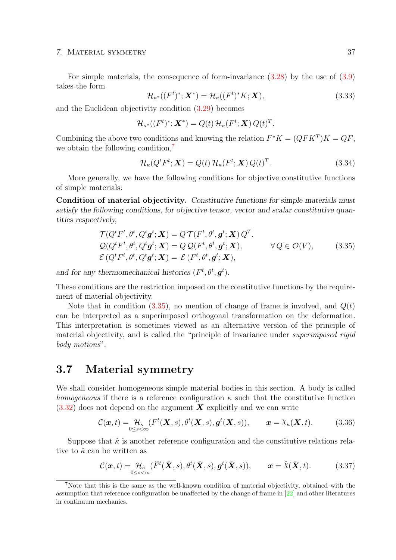#### 7. Material symmetry 37

For simple materials, the consequence of form-invariance [\(3.28\)](#page-40-1) by the use of [\(3.9\)](#page-32-0) takes the form

$$
\mathcal{H}_{\kappa^*}((F^t)^*; \mathbf{X}^*) = \mathcal{H}_{\kappa}((F^t)^*K; \mathbf{X}),\tag{3.33}
$$

and the Euclidean objectivity condition [\(3.29\)](#page-40-1) becomes

$$
\mathcal{H}_{\kappa^*}((F^t)^*; \mathbf{X}^*) = Q(t) \mathcal{H}_{\kappa}(F^t; \mathbf{X}) Q(t)^T.
$$

Combining the above two conditions and knowing the relation  $F^*K = (QFK^T)K = QF$ , we obtain the following condition,<sup>[7](#page-42-0)</sup>

$$
\mathcal{H}_{\kappa}(Q^{t}F^{t};\mathbf{X})=Q(t)\,\mathcal{H}_{\kappa}(F^{t};\mathbf{X})\,Q(t)^{T}.
$$
\n(3.34)

More generally, we have the following conditions for objective constitutive functions of simple materials:

Condition of material objectivity. Constitutive functions for simple materials must satisfy the following conditions, for objective tensor, vector and scalar constitutive quantities respectively,

$$
\mathcal{T}(Q^t F^t, \theta^t, Q^t \mathbf{g}^t; \mathbf{X}) = Q \mathcal{T}(F^t, \theta^t, \mathbf{g}^t; \mathbf{X}) Q^T,\n\mathcal{Q}(Q^t F^t, \theta^t, Q^t \mathbf{g}^t; \mathbf{X}) = Q \mathcal{Q}(F^t, \theta^t, \mathbf{g}^t; \mathbf{X}), \qquad \forall Q \in \mathcal{O}(V),\n\mathcal{E}(Q^t F^t, \theta^t, Q^t \mathbf{g}^t; \mathbf{X}) = \mathcal{E}(F^t, \theta^t, \mathbf{g}^t; \mathbf{X}),
$$
\n(3.35)

and for any thermomechanical histories  $(F^t, \theta^t, \mathbf{g}^t)$ .

These conditions are the restriction imposed on the constitutive functions by the requirement of material objectivity.

Note that in condition  $(3.35)$ , no mention of change of frame is involved, and  $Q(t)$ can be interpreted as a superimposed orthogonal transformation on the deformation. This interpretation is sometimes viewed as an alternative version of the principle of material objectivity, and is called the "principle of invariance under superimposed rigid body motions".

### <span id="page-42-1"></span>3.7 Material symmetry

We shall consider homogeneous simple material bodies in this section. A body is called homogeneous if there is a reference configuration  $\kappa$  such that the constitutive function  $(3.32)$  does not depend on the argument X explicitly and we can write

$$
\mathcal{C}(\boldsymbol{x},t) = \mathcal{H}_{\kappa} \left( F^{t}(\boldsymbol{X},s), \theta^{t}(\boldsymbol{X},s), \boldsymbol{g}^{t}(\boldsymbol{X},s) \right), \qquad \boldsymbol{x} = \chi_{\kappa}(\boldsymbol{X},t). \tag{3.36}
$$

Suppose that  $\hat{\kappa}$  is another reference configuration and the constitutive relations relative to  $\hat{\kappa}$  can be written as

$$
\mathcal{C}(\boldsymbol{x},t) = \mathcal{H}_{\hat{\kappa}}\left(\widehat{F}^t(\hat{\boldsymbol{X}},s),\theta^t(\hat{\boldsymbol{X}},s),\boldsymbol{g}^t(\hat{\boldsymbol{X}},s)\right), \qquad \boldsymbol{x} = \hat{\chi}(\hat{\boldsymbol{X}},t). \tag{3.37}
$$

<span id="page-42-0"></span><sup>7</sup>Note that this is the same as the well-known condition of material objectivity, obtained with the assumption that reference configuration be unaffected by the change of frame in [\[22\]](#page-95-1) and other literatures in continuum mechanics.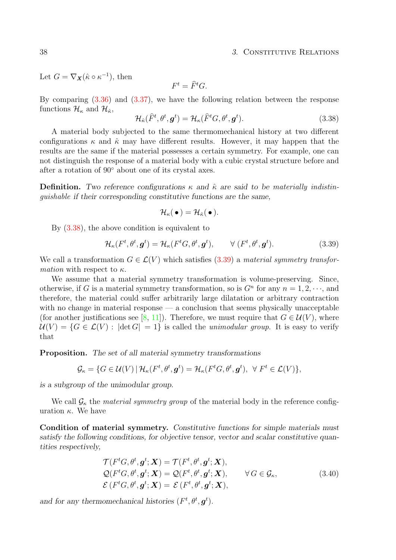#### 38 3. Constitutive Relations

Let  $G = \nabla_{\mathbf{X}} (\hat{\kappa} \circ \kappa^{-1}),$  then

$$
F^t = \widehat{F}^t G.
$$

By comparing [\(3.36\)](#page-42-1) and [\(3.37\)](#page-42-1), we have the following relation between the response functions  $\mathcal{H}_{\kappa}$  and  $\mathcal{H}_{\hat{\kappa}}$ ,

$$
\mathcal{H}_{\hat{\kappa}}(\hat{F}^t, \theta^t, \mathbf{g}^t) = \mathcal{H}_{\kappa}(\hat{F}^t G, \theta^t, \mathbf{g}^t).
$$
\n(3.38)

A material body subjected to the same thermomechanical history at two different configurations  $\kappa$  and  $\hat{\kappa}$  may have different results. However, it may happen that the results are the same if the material possesses a certain symmetry. For example, one can not distinguish the response of a material body with a cubic crystal structure before and after a rotation of 90◦ about one of its crystal axes.

**Definition.** Two reference configurations  $\kappa$  and  $\hat{\kappa}$  are said to be materially indistinguishable if their corresponding constitutive functions are the same,

$$
\mathcal{H}_{\kappa}(\,\bullet\,) = \mathcal{H}_{\hat{\kappa}}(\,\bullet\,).
$$

By [\(3.38\)](#page-42-1), the above condition is equivalent to

$$
\mathcal{H}_{\kappa}(F^t, \theta^t, \mathbf{g}^t) = \mathcal{H}_{\kappa}(F^t G, \theta^t, \mathbf{g}^t), \qquad \forall (F^t, \theta^t, \mathbf{g}^t).
$$
\n(3.39)

We call a transformation  $G \in \mathcal{L}(V)$  which satisfies [\(3.39\)](#page-42-1) a material symmetry transfor*mation* with respect to  $\kappa$ .

We assume that a material symmetry transformation is volume-preserving. Since, otherwise, if G is a material symmetry transformation, so is  $G<sup>n</sup>$  for any  $n = 1, 2, \dots$ , and therefore, the material could suffer arbitrarily large dilatation or arbitrary contraction with no change in material response  $\frac{d}{dx}$  a conclusion that seems physically unacceptable (for another justifications see [\[8,](#page-94-0) [11\]](#page-94-1)). Therefore, we must require that  $G \in \mathcal{U}(V)$ , where  $U(V) = \{G \in \mathcal{L}(V) : |\det G| = 1\}$  is called the unimodular group. It is easy to verify that

Proposition. The set of all material symmetry transformations

$$
\mathcal{G}_{\kappa} = \{ G \in \mathcal{U}(V) \, | \, \mathcal{H}_{\kappa}(F^t, \theta^t, \boldsymbol{g}^t) = \mathcal{H}_{\kappa}(F^t G, \theta^t, \boldsymbol{g}^t), \ \ \forall \ F^t \in \mathcal{L}(V) \},
$$

is a subgroup of the unimodular group.

We call  $\mathcal{G}_{\kappa}$  the *material symmetry group* of the material body in the reference configuration  $\kappa$ . We have

Condition of material symmetry. Constitutive functions for simple materials must satisfy the following conditions, for objective tensor, vector and scalar constitutive quantities respectively,

$$
\mathcal{T}(F^tG, \theta^t, \mathbf{g}^t; \mathbf{X}) = \mathcal{T}(F^t, \theta^t, \mathbf{g}^t; \mathbf{X}),
$$
  
\n
$$
\mathcal{Q}(F^tG, \theta^t, \mathbf{g}^t; \mathbf{X}) = \mathcal{Q}(F^t, \theta^t, \mathbf{g}^t; \mathbf{X}), \qquad \forall G \in \mathcal{G}_\kappa,
$$
  
\n
$$
\mathcal{E}(F^tG, \theta^t, \mathbf{g}^t; \mathbf{X}) = \mathcal{E}(F^t, \theta^t, \mathbf{g}^t; \mathbf{X}),
$$
\n(3.40)

and for any thermomechanical histories  $(F^t, \theta^t, \mathbf{g}^t)$ .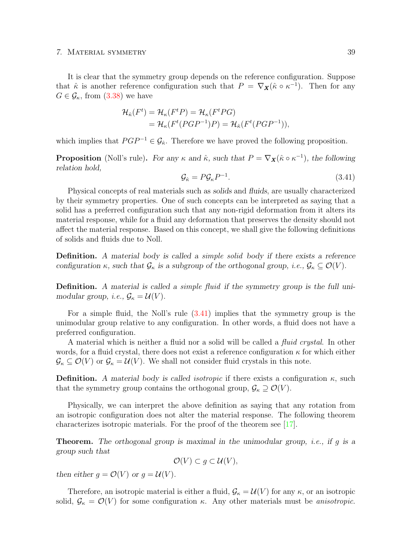#### 7. Material symmetry 39

It is clear that the symmetry group depends on the reference configuration. Suppose that  $\hat{\kappa}$  is another reference configuration such that  $P = \nabla_{\mathbf{X}} (\hat{\kappa} \circ \kappa^{-1})$ . Then for any  $G \in \mathcal{G}_{\kappa}$ , from [\(3.38\)](#page-42-1) we have

$$
\mathcal{H}_{\hat{\kappa}}(F^t) = \mathcal{H}_{\kappa}(F^t P) = \mathcal{H}_{\kappa}(F^t P G)
$$
  
=  $\mathcal{H}_{\kappa}(F^t (P G P^{-1}) P) = \mathcal{H}_{\hat{\kappa}}(F^t (P G P^{-1})),$ 

which implies that  $PGP^{-1} \in \mathcal{G}_{\hat{\kappa}}$ . Therefore we have proved the following proposition.

**Proposition** (Noll's rule). For any  $\kappa$  and  $\hat{\kappa}$ , such that  $P = \nabla_{\mathbf{X}} (\hat{\kappa} \circ \kappa^{-1})$ , the following relation hold,

$$
\mathcal{G}_{\hat{\kappa}} = P \mathcal{G}_{\kappa} P^{-1}.
$$
\n(3.41)

Physical concepts of real materials such as solids and fluids, are usually characterized by their symmetry properties. One of such concepts can be interpreted as saying that a solid has a preferred configuration such that any non-rigid deformation from it alters its material response, while for a fluid any deformation that preserves the density should not affect the material response. Based on this concept, we shall give the following definitions of solids and fluids due to Noll.

Definition. A material body is called a simple solid body if there exists a reference configuration  $\kappa$ , such that  $\mathcal{G}_{\kappa}$  is a subgroup of the orthogonal group, i.e.,  $\mathcal{G}_{\kappa} \subseteq \mathcal{O}(V)$ .

Definition. A material is called a simple fluid if the symmetry group is the full unimodular group, *i.e.*,  $\mathcal{G}_{\kappa} = \mathcal{U}(V)$ .

For a simple fluid, the Noll's rule [\(3.41\)](#page-42-1) implies that the symmetry group is the unimodular group relative to any configuration. In other words, a fluid does not have a preferred configuration.

A material which is neither a fluid nor a solid will be called a fluid crystal. In other words, for a fluid crystal, there does not exist a reference configuration  $\kappa$  for which either  $\mathcal{G}_{\kappa} \subseteq \mathcal{O}(V)$  or  $\mathcal{G}_{\kappa} = \mathcal{U}(V)$ . We shall not consider fluid crystals in this note.

**Definition.** A material body is called isotropic if there exists a configuration  $\kappa$ , such that the symmetry group contains the orthogonal group,  $\mathcal{G}_{\kappa} \supseteq \mathcal{O}(V)$ .

Physically, we can interpret the above definition as saying that any rotation from an isotropic configuration does not alter the material response. The following theorem characterizes isotropic materials. For the proof of the theorem see [\[17\]](#page-95-3).

**Theorem.** The orthogonal group is maximal in the unimodular group, *i.e.*, if g is a group such that

 $\mathcal{O}(V) \subset q \subset \mathcal{U}(V)$ ,

then either  $q = \mathcal{O}(V)$  or  $q = \mathcal{U}(V)$ .

Therefore, an isotropic material is either a fluid,  $\mathcal{G}_{\kappa} = \mathcal{U}(V)$  for any  $\kappa$ , or an isotropic solid,  $\mathcal{G}_{\kappa} = \mathcal{O}(V)$  for some configuration  $\kappa$ . Any other materials must be *anisotropic*.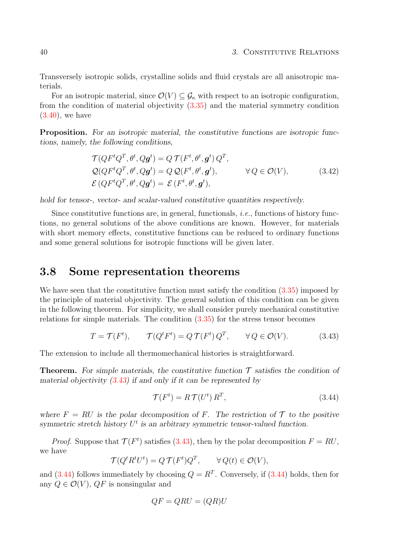Transversely isotropic solids, crystalline solids and fluid crystals are all anisotropic materials.

For an isotropic material, since  $\mathcal{O}(V) \subseteq \mathcal{G}_{\kappa}$  with respect to an isotropic configuration, from the condition of material objectivity [\(3.35\)](#page-41-0) and the material symmetry condition [\(3.40\)](#page-42-1), we have

**Proposition.** For an isotropic material, the constitutive functions are isotropic functions, namely, the following conditions,

$$
\mathcal{T}(QF^tQ^T, \theta^t, Qg^t) = Q \mathcal{T}(F^t, \theta^t, g^t) Q^T,
$$
  
\n
$$
\mathcal{Q}(QF^tQ^T, \theta^t, Qg^t) = Q \mathcal{Q}(F^t, \theta^t, g^t), \qquad \forall Q \in \mathcal{O}(V),
$$
  
\n
$$
\mathcal{E}(QF^tQ^T, \theta^t, Qg^t) = \mathcal{E}(F^t, \theta^t, g^t),
$$
\n(3.42)

hold for tensor-, vector- and scalar-valued constitutive quantities respectively.

Since constitutive functions are, in general, functionals, i.e., functions of history functions, no general solutions of the above conditions are known. However, for materials with short memory effects, constitutive functions can be reduced to ordinary functions and some general solutions for isotropic functions will be given later.

### <span id="page-45-0"></span>3.8 Some representation theorems

We have seen that the constitutive function must satisfy the condition  $(3.35)$  imposed by the principle of material objectivity. The general solution of this condition can be given in the following theorem. For simplicity, we shall consider purely mechanical constitutive relations for simple materials. The condition  $(3.35)$  for the stress tensor becomes

$$
T = \mathcal{T}(F^t), \qquad \mathcal{T}(Q^t F^t) = Q \mathcal{T}(F^t) Q^T, \qquad \forall Q \in \mathcal{O}(V). \tag{3.43}
$$

The extension to include all thermomechanical histories is straightforward.

**Theorem.** For simple materials, the constitutive function  $\mathcal T$  satisfies the condition of material objectivity  $(3.43)$  if and only if it can be represented by

$$
\mathcal{T}(F^t) = R \mathcal{T}(U^t) R^T,\tag{3.44}
$$

where  $F = RU$  is the polar decomposition of F. The restriction of  $\mathcal T$  to the positive symmetric stretch history  $U^t$  is an arbitrary symmetric tensor-valued function.

*Proof.* Suppose that  $\mathcal{T}(F^t)$  satisfies [\(3.43\)](#page-45-0), then by the polar decomposition  $F = RU$ , we have

$$
\mathcal{T}(Q^t R^t U^t) = Q \mathcal{T}(F^t) Q^T, \qquad \forall Q(t) \in \mathcal{O}(V),
$$

and  $(3.44)$  follows immediately by choosing  $Q = R<sup>T</sup>$ . Conversely, if  $(3.44)$  holds, then for any  $Q \in \mathcal{O}(V)$ ,  $QF$  is nonsingular and

$$
QF = QRU = (QR)U
$$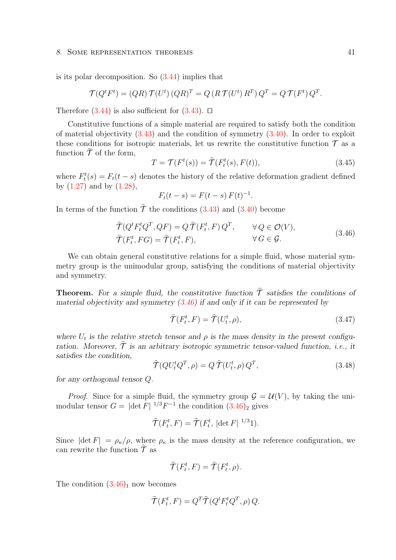#### 8. SOME REPRESENTATION THEOREMS 41

is its polar decomposition. So [\(3.44\)](#page-45-0) implies that

$$
\mathcal{T}(Q^t F^t) = (QR) \mathcal{T}(U^t) (QR)^T = Q (R \mathcal{T}(U^t) R^T) Q^T = Q \mathcal{T}(F^t) Q^T.
$$

Therefore  $(3.44)$  is also sufficient for  $(3.43)$ .  $\Box$ 

Constitutive functions of a simple material are required to satisfy both the condition of material objectivity  $(3.43)$  and the condition of symmetry  $(3.40)$ . In order to exploit these conditions for isotropic materials, let us rewrite the constitutive function  $\mathcal T$  as a function  $\tilde{\mathcal{T}}$  of the form,

$$
T = \mathcal{T}(F^t(s)) = \tilde{\mathcal{T}}(F^t_t(s), F(t)),
$$
\n(3.45)

where  $F_t^t(s) = F_t(t - s)$  denotes the history of the relative deformation gradient defined by  $(1.27)$  and by  $(1.28)$ ,

$$
F_t(t - s) = F(t - s) F(t)^{-1}.
$$

In terms of the function  $\tilde{\mathcal{T}}$  the conditions [\(3.43\)](#page-45-0) and [\(3.40\)](#page-42-1) become

$$
\widetilde{\mathcal{T}}(Q^t F_t^t Q^T, QF) = Q \widetilde{\mathcal{T}}(F_t^t, F) Q^T, \qquad \forall Q \in \mathcal{O}(V), \n\widetilde{\mathcal{T}}(F_t^t, FG) = \widetilde{\mathcal{T}}(F_t^t, F), \qquad \forall G \in \mathcal{G}.
$$
\n(3.46)

We can obtain general constitutive relations for a simple fluid, whose material symmetry group is the unimodular group, satisfying the conditions of material objectivity and symmetry.

**Theorem.** For a simple fluid, the constitutive function  $\tilde{T}$  satisfies the conditions of material objectivity and symmetry  $(3.46)$  if and only if it can be represented by

$$
\widetilde{\mathcal{T}}(F_t^t, F) = \widehat{\mathcal{T}}(U_t^t, \rho), \tag{3.47}
$$

where  $U_t$  is the relative stretch tensor and  $\rho$  is the mass density in the present configuration. Moreover,  $\hat{\tau}$  is an arbitrary isotropic symmetric tensor-valued function, *i.e.*, it satisfies the condition,

$$
\widehat{\mathcal{T}}(QU_t^t Q^T, \rho) = Q \,\widehat{\mathcal{T}}(U_t^t, \rho) \, Q^T,\tag{3.48}
$$

for any orthogonal tensor Q.

*Proof.* Since for a simple fluid, the symmetry group  $\mathcal{G} = \mathcal{U}(V)$ , by taking the unimodular tensor  $G = |\det F|^{1/3} F^{-1}$  the condition  $(3.46)_2$  $(3.46)_2$  gives

$$
\widetilde{\mathcal{T}}(F_t^t, F) = \widetilde{\mathcal{T}}(F_t^t, |\det F|^{-1/3}1).
$$

Since  $|\det F| = \rho_{\kappa}/\rho$ , where  $\rho_{\kappa}$  is the mass density at the reference configuration, we can rewrite the function  $\widetilde{\mathcal{T}}$  as

$$
\widetilde{\mathcal{T}}(F_t^t, F) = \widehat{\mathcal{T}}(F_t^t, \rho).
$$

The condition  $(3.46)<sub>1</sub>$  $(3.46)<sub>1</sub>$  now becomes

$$
\widetilde{\mathcal{T}}(F_t^t, F) = Q^T \widehat{\mathcal{T}}(Q^t F_t^t Q^T, \rho) Q.
$$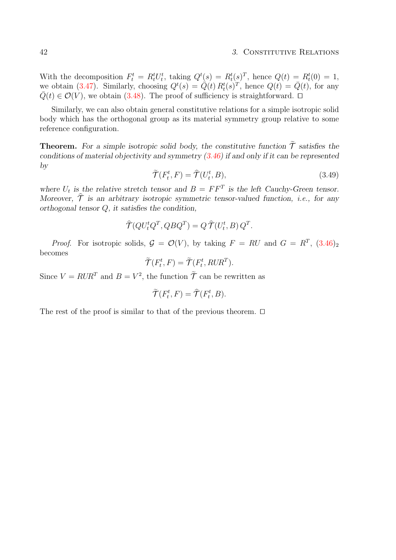#### 42 3. CONSTITUTIVE RELATIONS

With the decomposition  $F_t^t = R_t^t U_t^t$ , taking  $Q^t(s) = R_t^t(s)^T$ , hence  $Q(t) = R_t^t(0) = 1$ , we obtain [\(3.47\)](#page-45-0). Similarly, choosing  $Q^t(s) = \dot{Q}(t) R^t_t(s)^T$ , hence  $Q(t) = \bar{Q}(t)$ , for any  $\overline{Q}(t) \in \mathcal{O}(V)$ , we obtain [\(3.48\)](#page-45-0). The proof of sufficiency is straightforward.  $\Box$ 

Similarly, we can also obtain general constitutive relations for a simple isotropic solid body which has the orthogonal group as its material symmetry group relative to some reference configuration.

**Theorem.** For a simple isotropic solid body, the constitutive function  $\tilde{\mathcal{T}}$  satisfies the conditions of material objectivity and symmetry [\(3.46\)](#page-45-0) if and only if it can be represented by

$$
\widetilde{\mathcal{T}}(F_t^t, F) = \widehat{\mathcal{T}}(U_t^t, B),\tag{3.49}
$$

where  $U_t$  is the relative stretch tensor and  $B = FF^T$  is the left Cauchy-Green tensor. Moreover,  $\hat{\mathcal{T}}$  is an arbitrary isotropic symmetric tensor-valued function, i.e., for any orthogonal tensor Q, it satisfies the condition,

$$
\widehat{\mathcal{T}}(Q U_t^t Q^T, Q B Q^T) = Q \,\widehat{\mathcal{T}}(U_t^t, B) \, Q^T.
$$

*Proof.* For isotropic solids,  $G = \mathcal{O}(V)$ , by taking  $F = RU$  and  $G = R^T$ ,  $(3.46)_2$  $(3.46)_2$ becomes

$$
\widetilde{\mathcal{T}}(F_t^t, F) = \widetilde{\mathcal{T}}(F_t^t, RUR^T).
$$

Since  $V = RUR^T$  and  $B = V^2$ , the function  $\tilde{T}$  can be rewritten as

$$
\widetilde{\mathcal{T}}(F_t^t, F) = \widehat{\mathcal{T}}(F_t^t, B).
$$

The rest of the proof is similar to that of the previous theorem.  $\Box$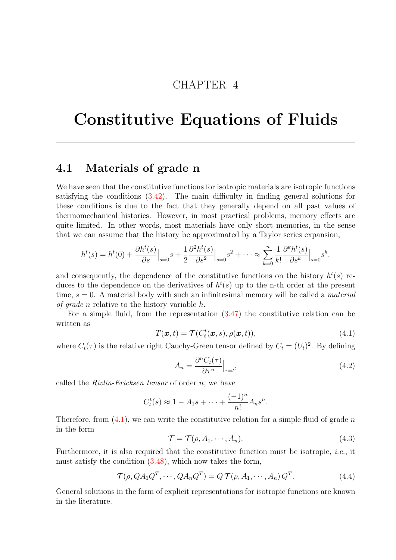## CHAPTER 4

# Constitutive Equations of Fluids

### <span id="page-48-0"></span>4.1 Materials of grade n

We have seen that the constitutive functions for isotropic materials are isotropic functions satisfying the conditions [\(3.42\)](#page-42-1). The main difficulty in finding general solutions for these conditions is due to the fact that they generally depend on all past values of thermomechanical histories. However, in most practical problems, memory effects are quite limited. In other words, most materials have only short memories, in the sense that we can assume that the history be approximated by a Taylor series expansion,

$$
h^{t}(s) = h^{t}(0) + \frac{\partial h^{t}(s)}{\partial s}\Big|_{s=0} s + \frac{1}{2} \frac{\partial^{2} h^{t}(s)}{\partial s^{2}}\Big|_{s=0} s^{2} + \dots \approx \sum_{k=0}^{n} \frac{1}{k!} \frac{\partial^{k} h^{t}(s)}{\partial s^{k}}\Big|_{s=0} s^{k}.
$$

and consequently, the dependence of the constitutive functions on the history  $h^t(s)$  reduces to the dependence on the derivatives of  $h<sup>t</sup>(s)$  up to the n-th order at the present time,  $s = 0$ . A material body with such an infinitesimal memory will be called a *material* of grade n relative to the history variable h.

For a simple fluid, from the representation [\(3.47\)](#page-45-0) the constitutive relation can be written as

$$
T(\boldsymbol{x},t) = \mathcal{T}(C_t^t(\boldsymbol{x},s), \rho(\boldsymbol{x},t)),
$$
\n(4.1)

where  $C_t(\tau)$  is the relative right Cauchy-Green tensor defined by  $C_t = (U_t)^2$ . By defining

$$
A_n = \frac{\partial^n C_t(\tau)}{\partial \tau^n}\Big|_{\tau=t},\tag{4.2}
$$

called the *Rivlin-Ericksen tensor* of order  $n$ , we have

$$
C_t^t(s) \approx 1 - A_1 s + \dots + \frac{(-1)^n}{n!} A_n s^n.
$$

Therefore, from  $(4.1)$ , we can write the constitutive relation for a simple fluid of grade n in the form

$$
\mathcal{T} = \mathcal{T}(\rho, A_1, \cdots, A_n). \tag{4.3}
$$

Furthermore, it is also required that the constitutive function must be isotropic, *i.e.*, it must satisfy the condition  $(3.48)$ , which now takes the form,

$$
\mathcal{T}(\rho, QA_1Q^T, \cdots, QA_nQ^T) = Q \mathcal{T}(\rho, A_1, \cdots, A_n) Q^T.
$$
\n(4.4)

General solutions in the form of explicit representations for isotropic functions are known in the literature.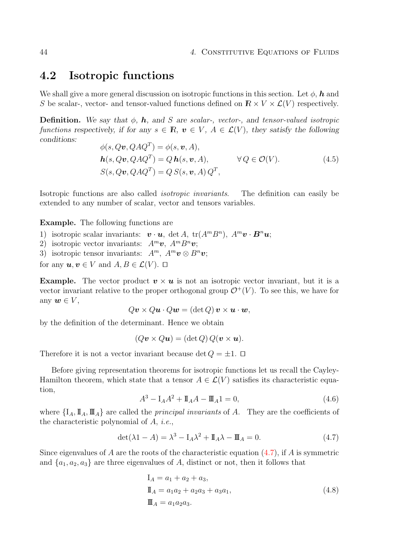### <span id="page-49-0"></span>4.2 Isotropic functions

We shall give a more general discussion on isotropic functions in this section. Let  $\phi$ , h and S be scalar-, vector- and tensor-valued functions defined on  $\mathbb{R} \times V \times \mathcal{L}(V)$  respectively.

**Definition.** We say that  $\phi$ , h, and S are scalar-, vector-, and tensor-valued isotropic functions respectively, if for any  $s \in \mathbb{R}$ ,  $v \in V$ ,  $A \in \mathcal{L}(V)$ , they satisfy the following conditions:

$$
\begin{aligned}\n\phi(s, Q\mathbf{v}, QAQ^T) &= \phi(s, \mathbf{v}, A), \\
\mathbf{h}(s, Q\mathbf{v}, QAQ^T) &= Q \mathbf{h}(s, \mathbf{v}, A), \\
S(s, Q\mathbf{v}, QAQ^T) &= Q \, S(s, \mathbf{v}, A) \, Q^T,\n\end{aligned}\n\quad \forall Q \in \mathcal{O}(V).\n\tag{4.5}
$$

Isotropic functions are also called isotropic invariants. The definition can easily be extended to any number of scalar, vector and tensors variables.

Example. The following functions are

- 1) isotropic scalar invariants:  $\boldsymbol{v} \cdot \boldsymbol{u}$ , det A, tr( $A^m B^n$ ),  $A^m \boldsymbol{v} \cdot \boldsymbol{B}^n \boldsymbol{u}$ ;
- 2) isotropic vector invariants:  $A^m v$ ,  $A^m B^n v$ ;
- 3) isotropic tensor invariants:  $A^m$ ,  $A^m v \otimes B^n v$ ;

for any  $u, v \in V$  and  $A, B \in \mathcal{L}(V)$ .  $\Box$ 

**Example.** The vector product  $v \times u$  is not an isotropic vector invariant, but it is a vector invariant relative to the proper orthogonal group  $\mathcal{O}^+(V)$ . To see this, we have for any  $w \in V$ ,

$$
Q\mathbf{v} \times Q\mathbf{u} \cdot Q\mathbf{w} = (\det Q)\mathbf{v} \times \mathbf{u} \cdot \mathbf{w},
$$

by the definition of the determinant. Hence we obtain

$$
(Qv \times Qu) = (\det Q) Q(v \times u).
$$

Therefore it is not a vector invariant because det  $Q = \pm 1$ .  $\Box$ 

Before giving representation theorems for isotropic functions let us recall the Cayley-Hamilton theorem, which state that a tensor  $A \in \mathcal{L}(V)$  satisfies its characteristic equation,

$$
A^3 - I_A A^2 + I_A A - I I_A 1 = 0,
$$
\n(4.6)

where  $\{I_A, \mathbb{I}_A, \mathbb{I}_A\}$  are called the *principal invariants* of A. They are the coefficients of the characteristic polynomial of A, i.e.,

$$
\det(\lambda \mathbf{1} - A) = \lambda^3 - \mathbf{I}_A \lambda^2 + \mathbf{I}_A \lambda - \mathbf{I}_A = 0.
$$
 (4.7)

Since eigenvalues of A are the roots of the characteristic equation  $(4.7)$ , if A is symmetric and  $\{a_1, a_2, a_3\}$  are three eigenvalues of A, distinct or not, then it follows that

$$
I_A = a_1 + a_2 + a_3,
$$
  
\n
$$
I_A = a_1 a_2 + a_2 a_3 + a_3 a_1,
$$
  
\n
$$
I_A = a_1 a_2 a_3.
$$
\n(4.8)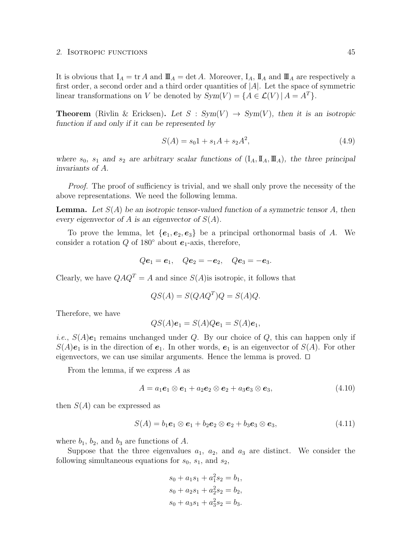#### 2. ISOTROPIC FUNCTIONS 45

It is obvious that  $I_A = \text{tr } A$  and  $\mathbb{I} \mathbb{I}_A = \text{det } A$ . Moreover,  $I_A$ ,  $\mathbb{I}_A$  and  $\mathbb{I} \mathbb{I}_A$  are respectively a first order, a second order and a third order quantities of  $|A|$ . Let the space of symmetric linear transformations on V be denoted by  $Sym(V) = \{A \in \mathcal{L}(V) | A = A^T\}.$ 

**Theorem** (Rivlin & Ericksen). Let  $S : Sym(V) \rightarrow Sym(V)$ , then it is an isotropic function if and only if it can be represented by

$$
S(A) = s_0 1 + s_1 A + s_2 A^2,
$$
\n(4.9)

where  $s_0$ ,  $s_1$  and  $s_2$  are arbitrary scalar functions of  $(I_A, \mathbb{I}_A, \mathbb{I}_A)$ , the three principal invariants of A.

Proof. The proof of sufficiency is trivial, and we shall only prove the necessity of the above representations. We need the following lemma.

**Lemma.** Let  $S(A)$  be an isotropic tensor-valued function of a symmetric tensor A, then every eigenvector of A is an eigenvector of  $S(A)$ .

To prove the lemma, let  ${e_1, e_2, e_3}$  be a principal orthonormal basis of A. We consider a rotation  $Q$  of 180 $\degree$  about  $e_1$ -axis, therefore,

$$
Qe_1 = e_1
$$
,  $Qe_2 = -e_2$ ,  $Qe_3 = -e_3$ .

Clearly, we have  $QAQ^T = A$  and since  $S(A)$  is isotropic, it follows that

$$
QS(A) = S(QAQ^T)Q = S(A)Q.
$$

Therefore, we have

$$
QS(A)\mathbf{e}_1 = S(A)Q\mathbf{e}_1 = S(A)\mathbf{e}_1,
$$

*i.e.*,  $S(A)e_1$  remains unchanged under Q. By our choice of Q, this can happen only if  $S(A)e_1$  is in the direction of  $e_1$ . In other words,  $e_1$  is an eigenvector of  $S(A)$ . For other eigenvectors, we can use similar arguments. Hence the lemma is proved.  $\Box$ 

From the lemma, if we express  $A$  as

$$
A = a_1 \mathbf{e}_1 \otimes \mathbf{e}_1 + a_2 \mathbf{e}_2 \otimes \mathbf{e}_2 + a_3 \mathbf{e}_3 \otimes \mathbf{e}_3, \tag{4.10}
$$

then  $S(A)$  can be expressed as

$$
S(A) = b_1 \mathbf{e}_1 \otimes \mathbf{e}_1 + b_2 \mathbf{e}_2 \otimes \mathbf{e}_2 + b_3 \mathbf{e}_3 \otimes \mathbf{e}_3, \tag{4.11}
$$

where  $b_1$ ,  $b_2$ , and  $b_3$  are functions of A.

Suppose that the three eigenvalues  $a_1$ ,  $a_2$ , and  $a_3$  are distinct. We consider the following simultaneous equations for  $s_0$ ,  $s_1$ , and  $s_2$ ,

$$
s_0 + a_1s_1 + a_1^2s_2 = b_1,
$$
  
\n
$$
s_0 + a_2s_1 + a_2^2s_2 = b_2,
$$
  
\n
$$
s_0 + a_3s_1 + a_3^2s_2 = b_3.
$$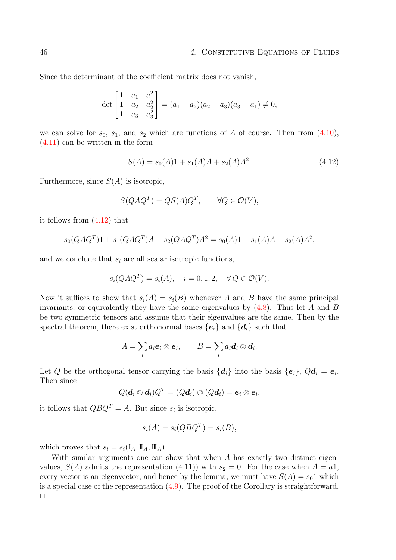Since the determinant of the coefficient matrix does not vanish,

$$
\det\begin{bmatrix} 1 & a_1 & a_1^2 \\ 1 & a_2 & a_2^2 \\ 1 & a_3 & a_3^2 \end{bmatrix} = (a_1 - a_2)(a_2 - a_3)(a_3 - a_1) \neq 0,
$$

we can solve for  $s_0$ ,  $s_1$ , and  $s_2$  which are functions of A of course. Then from  $(4.10)$ , [\(4.11\)](#page-49-0) can be written in the form

$$
S(A) = s_0(A)1 + s_1(A)A + s_2(A)A^2.
$$
\n(4.12)

Furthermore, since  $S(A)$  is isotropic,

$$
S(QAQ^T) = QS(A)Q^T, \qquad \forall Q \in \mathcal{O}(V),
$$

it follows from [\(4.12\)](#page-49-0) that

$$
s_0(QAQ^T)1 + s_1(QAQ^T)A + s_2(QAQ^T)A^2 = s_0(A)1 + s_1(A)A + s_2(A)A^2,
$$

and we conclude that  $s_i$  are all scalar isotropic functions,

$$
s_i(QAQ^T) = s_i(A), \quad i = 0, 1, 2, \quad \forall Q \in \mathcal{O}(V).
$$

Now it suffices to show that  $s_i(A) = s_i(B)$  whenever A and B have the same principal invariants, or equivalently they have the same eigenvalues by  $(4.8)$ . Thus let A and B be two symmetric tensors and assume that their eigenvalues are the same. Then by the spectral theorem, there exist orthonormal bases  ${e_i}$  and  ${d_i}$  such that

$$
A=\sum_i a_i \boldsymbol{e}_i\otimes \boldsymbol{e}_i, \qquad B=\sum_i a_i \boldsymbol{d}_i\otimes \boldsymbol{d}_i.
$$

Let Q be the orthogonal tensor carrying the basis  $\{\boldsymbol{d}_i\}$  into the basis  $\{\boldsymbol{e}_i\}$ ,  $Q\boldsymbol{d}_i = \boldsymbol{e}_i$ . Then since

$$
Q(\boldsymbol{d}_i\otimes \boldsymbol{d}_i)Q^T=(Q\boldsymbol{d}_i)\otimes (Q\boldsymbol{d}_i)=\boldsymbol{e}_i\otimes \boldsymbol{e}_i,
$$

it follows that  $QBQ^{T} = A$ . But since  $s_i$  is isotropic,

$$
s_i(A) = s_i(QBQ^T) = s_i(B),
$$

which proves that  $s_i = s_i(\mathbf{I}_A, \mathbf{I}_A, \mathbf{I}_A)$ .

With similar arguments one can show that when A has exactly two distinct eigenvalues,  $S(A)$  admits the representation (4.11)) with  $s_2 = 0$ . For the case when  $A = a_1$ , every vector is an eigenvector, and hence by the lemma, we must have  $S(A) = s_0 1$  which is a special case of the representation  $(4.9)$ . The proof of the Corollary is straightforward.  $\Box$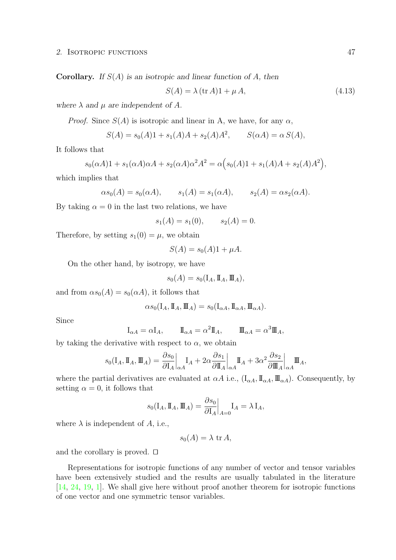**Corollary.** If  $S(A)$  is an isotropic and linear function of A, then

$$
S(A) = \lambda (\text{tr } A)1 + \mu A, \qquad (4.13)
$$

where  $\lambda$  and  $\mu$  are independent of A.

*Proof.* Since  $S(A)$  is isotropic and linear in A, we have, for any  $\alpha$ ,

$$
S(A) = s_0(A)1 + s_1(A)A + s_2(A)A^2, \qquad S(\alpha A) = \alpha S(A),
$$

It follows that

$$
s_0(\alpha A)1 + s_1(\alpha A)\alpha A + s_2(\alpha A)\alpha^2 A^2 = \alpha (s_0(A)1 + s_1(A)A + s_2(A)A^2),
$$

which implies that

$$
\alpha s_0(A) = s_0(\alpha A), \qquad s_1(A) = s_1(\alpha A), \qquad s_2(A) = \alpha s_2(\alpha A).
$$

By taking  $\alpha = 0$  in the last two relations, we have

$$
s_1(A) = s_1(0), \qquad s_2(A) = 0.
$$

Therefore, by setting  $s_1(0) = \mu$ , we obtain

$$
S(A) = s_0(A)1 + \mu A.
$$

On the other hand, by isotropy, we have

$$
s_0(A) = s_0(\mathbf{I}_A, \mathbf{I}_A, \mathbf{I}_A),
$$

and from  $\alpha s_0(A) = s_0(\alpha A)$ , it follows that

$$
\alpha s_0(\mathbf{I}_A, \mathbf{I}_A, \mathbf{I}_A) = s_0(\mathbf{I}_{\alpha A}, \mathbf{I}_{\alpha A}, \mathbf{I}_{\alpha A}).
$$

Since

$$
\mathbf{I}_{\alpha A} = \alpha \mathbf{I}_A, \qquad \mathbf{I}_{\alpha A} = \alpha^2 \mathbf{I}_A, \qquad \mathbf{I}_{\alpha A} = \alpha^3 \mathbf{I}_{A},
$$

by taking the derivative with respect to  $\alpha$ , we obtain

$$
s_0(\mathbf{I}_A, \mathbf{I}_A, \mathbf{I}_A) = \frac{\partial s_0}{\partial \mathbf{I}_A} \bigg|_{\alpha A} \mathbf{I}_A + 2\alpha \frac{\partial s_1}{\partial \mathbf{I}_A} \bigg|_{\alpha A} \mathbf{I}_A + 3\alpha^2 \frac{\partial s_2}{\partial \mathbf{I}_A} \bigg|_{\alpha A} \mathbf{I}_A,
$$

where the partial derivatives are evaluated at  $\alpha A$  i.e.,  $(I_{\alpha A}, \mathbb{I}_{\alpha A}, \mathbb{I}_{\alpha A})$ . Consequently, by setting  $\alpha = 0$ , it follows that

$$
s_0(\mathbf{I}_A, \mathbf{I}_A, \mathbf{I}_A) = \frac{\partial s_0}{\partial \mathbf{I}_A} \bigg|_{A=0} \mathbf{I}_A = \lambda \mathbf{I}_A,
$$

where  $\lambda$  is independent of A, i.e.,

$$
s_0(A) = \lambda \operatorname{tr} A,
$$

and the corollary is proved.  $\Box$ 

Representations for isotropic functions of any number of vector and tensor variables have been extensively studied and the results are usually tabulated in the literature [\[14,](#page-95-0) [24,](#page-95-4) [19,](#page-95-5) [1\]](#page-94-2). We shall give here without proof another theorem for isotropic functions of one vector and one symmetric tensor variables.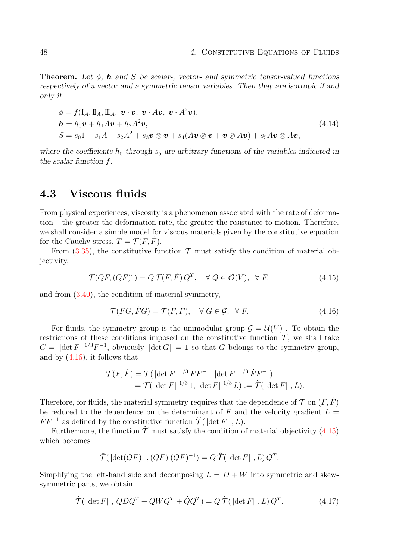**Theorem.** Let  $\phi$ , **h** and S be scalar-, vector- and symmetric tensor-valued functions respectively of a vector and a symmetric tensor variables. Then they are isotropic if and only if

$$
\begin{aligned}\n\phi &= f(\mathbf{I}_A, \mathbf{I}_A, \mathbf{I}_A, \mathbf{v} \cdot \mathbf{v}, \mathbf{v} \cdot A\mathbf{v}, \mathbf{v} \cdot A^2\mathbf{v}), \\
\mathbf{h} &= h_0 \mathbf{v} + h_1 A \mathbf{v} + h_2 A^2 \mathbf{v}, \\
S &= s_0 \mathbf{1} + s_1 A + s_2 A^2 + s_3 \mathbf{v} \otimes \mathbf{v} + s_4 (A \mathbf{v} \otimes \mathbf{v} + \mathbf{v} \otimes A\mathbf{v}) + s_5 A \mathbf{v} \otimes A\mathbf{v},\n\end{aligned} \tag{4.14}
$$

where the coefficients  $h_0$  through  $s_5$  are arbitrary functions of the variables indicated in the scalar function f.

### <span id="page-53-0"></span>4.3 Viscous fluids

From physical experiences, viscosity is a phenomenon associated with the rate of deformation – the greater the deformation rate, the greater the resistance to motion. Therefore, we shall consider a simple model for viscous materials given by the constitutive equation for the Cauchy stress,  $T = \mathcal{T}(F, F)$ .

From  $(3.35)$ , the constitutive function  $\mathcal T$  must satisfy the condition of material objectivity,

$$
\mathcal{T}(QF,(QF)) = Q\,\mathcal{T}(F,\dot{F})\,Q^T, \quad \forall\ Q \in \mathcal{O}(V), \ \forall\ F,
$$
\n
$$
(4.15)
$$

and from [\(3.40\)](#page-42-1), the condition of material symmetry,

$$
\mathcal{T}(FG, FG) = \mathcal{T}(F, \dot{F}), \quad \forall \ G \in \mathcal{G}, \ \forall \ F.
$$
\n
$$
(4.16)
$$

For fluids, the symmetry group is the unimodular group  $\mathcal{G} = \mathcal{U}(V)$ . To obtain the restrictions of these conditions imposed on the constitutive function  $\mathcal{T}$ , we shall take  $G = |\det F|^{1/3} F^{-1}$ , obviously  $|\det G| = 1$  so that G belongs to the symmetry group, and by [\(4.16\)](#page-53-0), it follows that

$$
\mathcal{T}(F,\dot{F}) = \mathcal{T}(|\det F|^{1/3} F F^{-1}, |\det F|^{1/3} \dot{F} F^{-1})
$$
  
=  $\mathcal{T}(|\det F|^{1/3} 1, |\det F|^{1/3} L) := \hat{\mathcal{T}}(|\det F|, L).$ 

Therefore, for fluids, the material symmetry requires that the dependence of  $\mathcal T$  on  $(F, \dot F)$ be reduced to the dependence on the determinant of F and the velocity gradient  $L =$  $\dot{F} F^{-1}$  as defined by the constitutive function  $\hat{\mathcal{T}}(|\det F|, L)$ .

Furthermore, the function  $\hat{\mathcal{T}}$  must satisfy the condition of material objectivity [\(4.15\)](#page-53-0) which becomes

$$
\widehat{\mathcal{T}}(\left|\det(QF)\right|,(QF)\left(QF\right)^{-1})=Q\,\widehat{\mathcal{T}}(\left|\det F\right|,L)Q^T.
$$

Simplifying the left-hand side and decomposing  $L = D + W$  into symmetric and skewsymmetric parts, we obtain

$$
\hat{\mathcal{T}}(\left|\det F\right|, QDQ^T + QWQ^T + \dot{Q}Q^T) = Q \hat{\mathcal{T}}(\left|\det F\right|, L) Q^T.
$$
\n(4.17)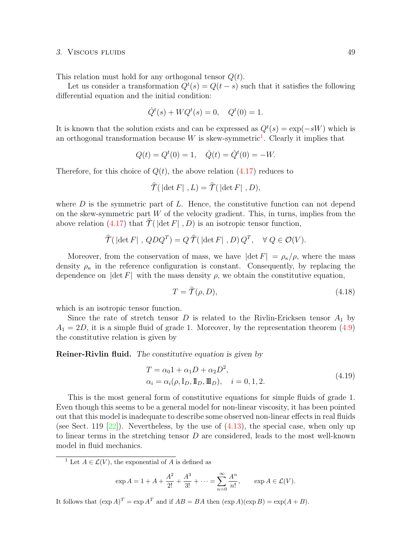#### 3. Viscous fluids 49

This relation must hold for any orthogonal tensor  $Q(t)$ .

Let us consider a transformation  $Q^t(s) = Q(t-s)$  such that it satisfies the following differential equation and the initial condition:

$$
\dot{Q}^t(s) + WQ^t(s) = 0, \quad Q^t(0) = 1.
$$

It is known that the solution exists and can be expressed as  $Q^t(s) = \exp(-sW)$  which is an orthogonal transformation because  $W$  is skew-symmetric<sup>[1](#page-54-0)</sup>. Clearly it implies that

$$
Q(t) = Qt(0) = 1, \quad \dot{Q}(t) = \dot{Q}t(0) = -W.
$$

Therefore, for this choice of  $Q(t)$ , the above relation  $(4.17)$  reduces to

$$
\widehat{\mathcal{T}}(\left|\det F\right|,L)=\widehat{\mathcal{T}}(\left|\det F\right|,D),
$$

where  $D$  is the symmetric part of  $L$ . Hence, the constitutive function can not depend on the skew-symmetric part  $W$  of the velocity gradient. This, in turns, implies from the above relation [\(4.17\)](#page-53-0) that  $\hat{\mathcal{T}}$  ( $|\det F|$ , D) is an isotropic tensor function,

$$
\widehat{\mathcal{T}}(\left|\det F\right|, QDQ^T) = Q \widehat{\mathcal{T}}(\left|\det F\right|, D) Q^T, \quad \forall Q \in \mathcal{O}(V).
$$

Moreover, from the conservation of mass, we have  $|\det F| = \rho_{\kappa}/\rho$ , where the mass density  $\rho_{\kappa}$  in the reference configuration is constant. Consequently, by replacing the dependence on  $|\det F|$  with the mass density  $\rho$ , we obtain the constitutive equation,

$$
T = \tilde{\mathcal{T}}(\rho, D), \tag{4.18}
$$

which is an isotropic tensor function.

Since the rate of stretch tensor D is related to the Rivlin-Ericksen tensor  $A_1$  by  $A_1 = 2D$ , it is a simple fluid of grade 1. Moreover, by the representation theorem  $(4.9)$ the constitutive relation is given by

Reiner-Rivlin fluid. The constitutive equation is given by

$$
T = \alpha_0 1 + \alpha_1 D + \alpha_2 D^2,
$$
  
\n
$$
\alpha_i = \alpha_i(\rho, I_D, \mathbb{I}_D, \mathbb{I}_D), \quad i = 0, 1, 2.
$$
\n(4.19)

This is the most general form of constitutive equations for simple fluids of grade 1. Even though this seems to be a general model for non-linear viscosity, it has been pointed out that this model is inadequate to describe some observed non-linear effects in real fluids (see Sect. 119  $[22]$ ). Nevertheless, by the use of  $(4.13)$ , the special case, when only up to linear terms in the stretching tensor  $D$  are considered, leads to the most well-known model in fluid mechanics.

<span id="page-54-0"></span><sup>1</sup> Let  $A \in \mathcal{L}(V)$ , the exponential of A is defined as

$$
\exp A = 1 + A + \frac{A^2}{2!} + \frac{A^3}{3!} + \dots = \sum_{n=0}^{\infty} \frac{A^n}{n!}, \qquad \exp A \in \mathcal{L}(V).
$$

It follows that  $(\exp A)^T = \exp A^T$  and if  $AB = BA$  then  $(\exp A)(\exp B) = \exp(A + B)$ .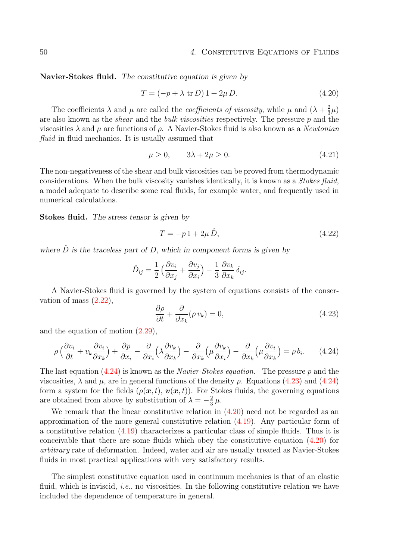Navier-Stokes fluid. The constitutive equation is given by

$$
T = (-p + \lambda \text{ tr } D) 1 + 2\mu D. \qquad (4.20)
$$

The coefficients  $\lambda$  and  $\mu$  are called the *coefficients of viscosity*, while  $\mu$  and  $(\lambda + \frac{2}{3})$  $\frac{2}{3}\mu)$ are also known as the shear and the bulk viscosities respectively. The pressure p and the viscosities  $\lambda$  and  $\mu$  are functions of  $\rho$ . A Navier-Stokes fluid is also known as a Newtonian fluid in fluid mechanics. It is usually assumed that

$$
\mu \ge 0, \qquad 3\lambda + 2\mu \ge 0. \tag{4.21}
$$

The non-negativeness of the shear and bulk viscosities can be proved from thermodynamic considerations. When the bulk viscosity vanishes identically, it is known as a Stokes fluid, a model adequate to describe some real fluids, for example water, and frequently used in numerical calculations.

Stokes fluid. The stress tensor is given by

$$
T = -p1 + 2\mu \hat{D},\tag{4.22}
$$

where  $\hat{D}$  is the traceless part of D, which in component forms is given by

$$
\hat{D}_{ij} = \frac{1}{2} \left( \frac{\partial v_i}{\partial x_j} + \frac{\partial v_j}{\partial x_i} \right) - \frac{1}{3} \frac{\partial v_k}{\partial x_k} \delta_{ij}.
$$

A Navier-Stokes fluid is governed by the system of equations consists of the conservation of mass [\(2.22\)](#page-22-0),

$$
\frac{\partial \rho}{\partial t} + \frac{\partial}{\partial x_k} (\rho v_k) = 0, \tag{4.23}
$$

and the equation of motion [\(2.29\)](#page-23-0),

$$
\rho \left( \frac{\partial v_i}{\partial t} + v_k \frac{\partial v_i}{\partial x_k} \right) + \frac{\partial p}{\partial x_i} - \frac{\partial}{\partial x_i} \left( \lambda \frac{\partial v_k}{\partial x_k} \right) - \frac{\partial}{\partial x_k} \left( \mu \frac{\partial v_k}{\partial x_i} \right) - \frac{\partial}{\partial x_k} \left( \mu \frac{\partial v_i}{\partial x_k} \right) = \rho b_i.
$$
 (4.24)

The last equation  $(4.24)$  is known as the *Navier-Stokes equation*. The pressure p and the viscosities,  $\lambda$  and  $\mu$ , are in general functions of the density  $\rho$ . Equations [\(4.23\)](#page-53-0) and [\(4.24\)](#page-53-0) form a system for the fields  $(\rho(\mathbf{x}, t), \mathbf{v}(\mathbf{x}, t))$ . For Stokes fluids, the governing equations are obtained from above by substitution of  $\lambda = -\frac{2}{3}$  $rac{2}{3}\mu$ .

We remark that the linear constitutive relation in  $(4.20)$  need not be regarded as an approximation of the more general constitutive relation [\(4.19\)](#page-53-0). Any particular form of a constitutive relation [\(4.19\)](#page-53-0) characterizes a particular class of simple fluids. Thus it is conceivable that there are some fluids which obey the constitutive equation [\(4.20\)](#page-53-0) for arbitrary rate of deformation. Indeed, water and air are usually treated as Navier-Stokes fluids in most practical applications with very satisfactory results.

The simplest constitutive equation used in continuum mechanics is that of an elastic fluid, which is inviscid, *i.e.*, no viscosities. In the following constitutive relation we have included the dependence of temperature in general.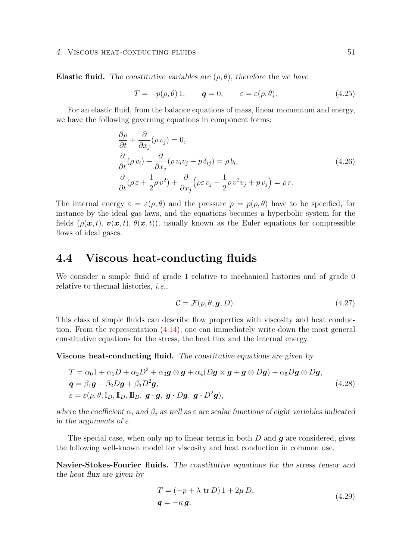#### 4. VISCOUS HEAT-CONDUCTING FLUIDS 51

Elastic fluid. The constitutive variables are  $(\rho, \theta)$ , therefore the we have

$$
T = -p(\rho, \theta) 1, \qquad q = 0, \qquad \varepsilon = \varepsilon(\rho, \theta). \tag{4.25}
$$

For an elastic fluid, from the balance equations of mass, linear momentum and energy, we have the following governing equations in component forms:

$$
\frac{\partial \rho}{\partial t} + \frac{\partial}{\partial x_j} (\rho v_j) = 0,
$$
\n
$$
\frac{\partial}{\partial t} (\rho v_i) + \frac{\partial}{\partial x_j} (\rho v_i v_j + p \delta_{ij}) = \rho b_i,
$$
\n
$$
\frac{\partial}{\partial t} (\rho \varepsilon + \frac{1}{2} \rho v^2) + \frac{\partial}{\partial x_j} (\rho \varepsilon v_j + \frac{1}{2} \rho v^2 v_j + p v_j) = \rho r.
$$
\n(4.26)

The internal energy  $\varepsilon = \varepsilon(\rho, \theta)$  and the pressure  $p = p(\rho, \theta)$  have to be specified, for instance by the ideal gas laws, and the equations becomes a hyperbolic system for the fields ( $\rho(\bm{x}, t)$ ,  $\bm{v}(\bm{x}, t)$ ,  $\theta(\bm{x}, t)$ ), usually known as the Euler equations for compressible flows of ideal gases.

### <span id="page-56-0"></span>4.4 Viscous heat-conducting fluids

We consider a simple fluid of grade 1 relative to mechanical histories and of grade 0 relative to thermal histories, i.e.,

$$
\mathcal{C} = \mathcal{F}(\rho, \theta, \mathbf{g}, D). \tag{4.27}
$$

This class of simple fluids can describe flow properties with viscosity and heat conduction. From the representation [\(4.14\)](#page-49-0), one can immediately write down the most general constitutive equations for the stress, the heat flux and the internal energy.

Viscous heat-conducting fluid. The constitutive equations are given by

$$
T = \alpha_0 1 + \alpha_1 D + \alpha_2 D^2 + \alpha_3 g \otimes g + \alpha_4 (Dg \otimes g + g \otimes Dg) + \alpha_5 Dg \otimes Dg,
$$
  
\n
$$
q = \beta_1 g + \beta_2 Dg + \beta_3 D^2 g,
$$
  
\n
$$
\varepsilon = \varepsilon(\rho, \theta, I_D, \mathbb{I}_D, \mathbb{I}_D, g \cdot g, g \cdot Dg, g \cdot D^2 g),
$$
\n(4.28)

where the coefficient  $\alpha_i$  and  $\beta_j$  as well as  $\varepsilon$  are scalar functions of eight variables indicated in the arguments of  $\varepsilon$ .

The special case, when only up to linear terms in both  $D$  and  $q$  are considered, gives the following well-known model for viscosity and heat conduction in common use.

Navier-Stokes-Fourier fluids. The constitutive equations for the stress tensor and the heat flux are given by

$$
T = (-p + \lambda \text{ tr } D) 1 + 2\mu D,
$$
  
\n
$$
q = -\kappa g,
$$
\n(4.29)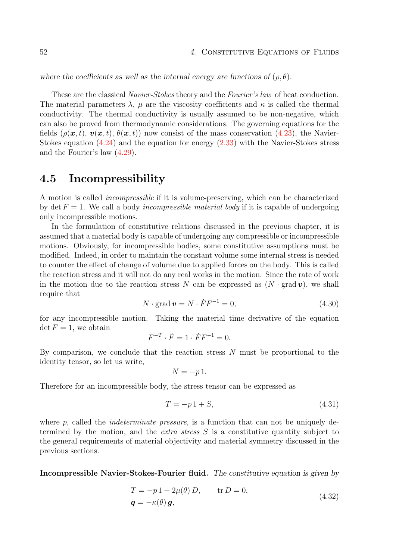where the coefficients as well as the internal energy are functions of  $(\rho, \theta)$ .

These are the classical *Navier-Stokes* theory and the *Fourier's law* of heat conduction. The material parameters  $\lambda$ ,  $\mu$  are the viscosity coefficients and  $\kappa$  is called the thermal conductivity. The thermal conductivity is usually assumed to be non-negative, which can also be proved from thermodynamic considerations. The governing equations for the fields  $(\rho(\mathbf{x}, t), \mathbf{v}(\mathbf{x}, t), \theta(\mathbf{x}, t))$  now consist of the mass conservation [\(4.23\)](#page-53-0), the Navier-Stokes equation [\(4.24\)](#page-53-0) and the equation for energy [\(2.33\)](#page-24-0) with the Navier-Stokes stress and the Fourier's law [\(4.29\)](#page-56-0).

### <span id="page-57-0"></span>4.5 Incompressibility

A motion is called incompressible if it is volume-preserving, which can be characterized by det  $F = 1$ . We call a body *incompressible material body* if it is capable of undergoing only incompressible motions.

In the formulation of constitutive relations discussed in the previous chapter, it is assumed that a material body is capable of undergoing any compressible or incompressible motions. Obviously, for incompressible bodies, some constitutive assumptions must be modified. Indeed, in order to maintain the constant volume some internal stress is needed to counter the effect of change of volume due to applied forces on the body. This is called the reaction stress and it will not do any real works in the motion. Since the rate of work in the motion due to the reaction stress N can be expressed as  $(N \cdot \text{grad } v)$ , we shall require that

$$
N \cdot \text{grad } \mathbf{v} = N \cdot \dot{F} F^{-1} = 0,\tag{4.30}
$$

for any incompressible motion. Taking the material time derivative of the equation  $\det F = 1$ , we obtain

$$
F^{-T} \cdot \dot{F} = 1 \cdot \dot{F} F^{-1} = 0.
$$

By comparison, we conclude that the reaction stress  $N$  must be proportional to the identity tensor, so let us write,

$$
N = -p1.
$$

Therefore for an incompressible body, the stress tensor can be expressed as

$$
T = -p1 + S,\tag{4.31}
$$

where p, called the *indeterminate pressure*, is a function that can not be uniquely determined by the motion, and the *extra stress S* is a constitutive quantity subject to the general requirements of material objectivity and material symmetry discussed in the previous sections.

Incompressible Navier-Stokes-Fourier fluid. The constitutive equation is given by

$$
T = -p1 + 2\mu(\theta) D, \qquad \text{tr } D = 0,
$$
  

$$
\mathbf{q} = -\kappa(\theta) \mathbf{g}, \qquad (4.32)
$$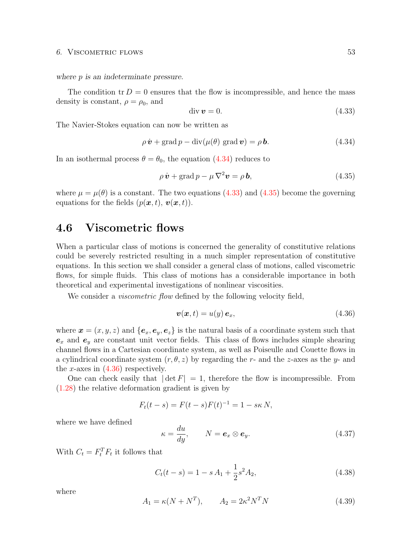#### 6. VISCOMETRIC FLOWS 53

where *p* is an indeterminate pressure.

The condition tr  $D = 0$  ensures that the flow is incompressible, and hence the mass density is constant,  $\rho = \rho_0$ , and

$$
\operatorname{div} \mathbf{v} = 0. \tag{4.33}
$$

The Navier-Stokes equation can now be written as

$$
\rho \dot{\boldsymbol{v}} + \text{grad } p - \text{div}(\mu(\theta) \text{ grad } \boldsymbol{v}) = \rho \boldsymbol{b}.
$$
 (4.34)

In an isothermal process  $\theta = \theta_0$ , the equation [\(4.34\)](#page-57-0) reduces to

$$
\rho \dot{\boldsymbol{v}} + \text{grad } p - \mu \nabla^2 \boldsymbol{v} = \rho \, \boldsymbol{b},\tag{4.35}
$$

where  $\mu = \mu(\theta)$  is a constant. The two equations [\(4.33\)](#page-57-0) and [\(4.35\)](#page-57-0) become the governing equations for the fields  $(p(\boldsymbol{x}, t), \boldsymbol{v}(\boldsymbol{x}, t)).$ 

### <span id="page-58-0"></span>4.6 Viscometric flows

When a particular class of motions is concerned the generality of constitutive relations could be severely restricted resulting in a much simpler representation of constitutive equations. In this section we shall consider a general class of motions, called viscometric flows, for simple fluids. This class of motions has a considerable importance in both theoretical and experimental investigations of nonlinear viscosities.

We consider a *viscometric flow* defined by the following velocity field,

$$
\boldsymbol{v}(\boldsymbol{x},t) = u(y) \,\boldsymbol{e}_x,\tag{4.36}
$$

where  $\mathbf{x} = (x, y, z)$  and  $\{\mathbf{e}_x, \mathbf{e}_y, \mathbf{e}_z\}$  is the natural basis of a coordinate system such that  $e_x$  and  $e_y$  are constant unit vector fields. This class of flows includes simple shearing channel flows in a Cartesian coordinate system, as well as Poiseulle and Couette flows in a cylindrical coordinate system  $(r, \theta, z)$  by regarding the r- and the z-axes as the y- and the x-axes in  $(4.36)$  respectively.

One can check easily that  $|\det F| = 1$ , therefore the flow is incompressible. From [\(1.28\)](#page-14-0) the relative deformation gradient is given by

$$
F_t(t - s) = F(t - s)F(t)^{-1} = 1 - s\kappa N,
$$

where we have defined

$$
\kappa = \frac{du}{dy}, \qquad N = \mathbf{e}_x \otimes \mathbf{e}_y. \tag{4.37}
$$

With  $C_t = F_t^T F_t$  it follows that

$$
C_t(t-s) = 1 - sA_1 + \frac{1}{2}s^2A_2,
$$
\n(4.38)

where

$$
A_1 = \kappa (N + N^T), \qquad A_2 = 2\kappa^2 N^T N \tag{4.39}
$$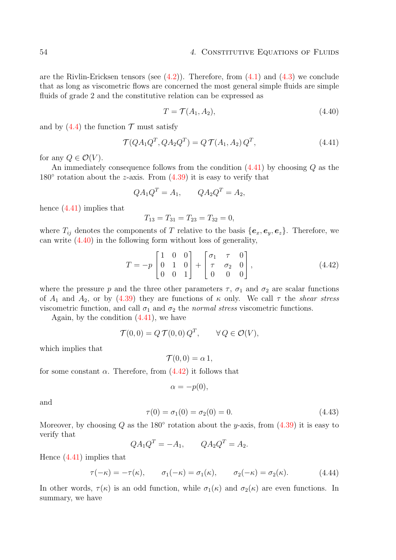are the Rivlin-Ericksen tensors (see  $(4.2)$ ). Therefore, from  $(4.1)$  and  $(4.3)$  we conclude that as long as viscometric flows are concerned the most general simple fluids are simple fluids of grade 2 and the constitutive relation can be expressed as

$$
T = \mathcal{T}(A_1, A_2),\tag{4.40}
$$

and by  $(4.4)$  the function  $\mathcal T$  must satisfy

$$
\mathcal{T}(QA_1Q^T, QA_2Q^T) = Q \mathcal{T}(A_1, A_2) Q^T,
$$
\n(4.41)

for any  $Q \in \mathcal{O}(V)$ .

An immediately consequence follows from the condition [\(4.41\)](#page-58-0) by choosing Q as the  $180^\circ$  rotation about the z-axis. From  $(4.39)$  it is easy to verify that

$$
QA_1Q^T = A_1, \qquad QA_2Q^T = A_2,
$$

hence [\(4.41\)](#page-58-0) implies that

$$
T_{13} = T_{31} = T_{23} = T_{32} = 0,
$$

where  $T_{ij}$  denotes the components of T relative to the basis  $\{e_x, e_y, e_z\}$ . Therefore, we can write [\(4.40\)](#page-58-0) in the following form without loss of generality,

$$
T = -p \begin{bmatrix} 1 & 0 & 0 \\ 0 & 1 & 0 \\ 0 & 0 & 1 \end{bmatrix} + \begin{bmatrix} \sigma_1 & \tau & 0 \\ \tau & \sigma_2 & 0 \\ 0 & 0 & 0 \end{bmatrix},
$$
(4.42)

where the pressure p and the three other parameters  $\tau$ ,  $\sigma_1$  and  $\sigma_2$  are scalar functions of  $A_1$  and  $A_2$ , or by [\(4.39\)](#page-58-0) they are functions of  $\kappa$  only. We call  $\tau$  the shear stress viscometric function, and call  $\sigma_1$  and  $\sigma_2$  the normal stress viscometric functions.

Again, by the condition  $(4.41)$ , we have

$$
\mathcal{T}(0,0) = Q \,\mathcal{T}(0,0) \, Q^T, \qquad \forall \, Q \in \mathcal{O}(V),
$$

which implies that

$$
\mathcal{T}(0,0) = \alpha 1,
$$

for some constant  $\alpha$ . Therefore, from  $(4.42)$  it follows that

$$
\alpha = -p(0),
$$

and

$$
\tau(0) = \sigma_1(0) = \sigma_2(0) = 0. \tag{4.43}
$$

Moreover, by choosing Q as the 180 $\degree$  rotation about the y-axis, from  $(4.39)$  it is easy to verify that

$$
QA_1Q^T = -A_1, \qquad QA_2Q^T = A_2.
$$

Hence  $(4.41)$  implies that

$$
\tau(-\kappa) = -\tau(\kappa), \qquad \sigma_1(-\kappa) = \sigma_1(\kappa), \qquad \sigma_2(-\kappa) = \sigma_2(\kappa). \tag{4.44}
$$

In other words,  $\tau(\kappa)$  is an odd function, while  $\sigma_1(\kappa)$  and  $\sigma_2(\kappa)$  are even functions. In summary, we have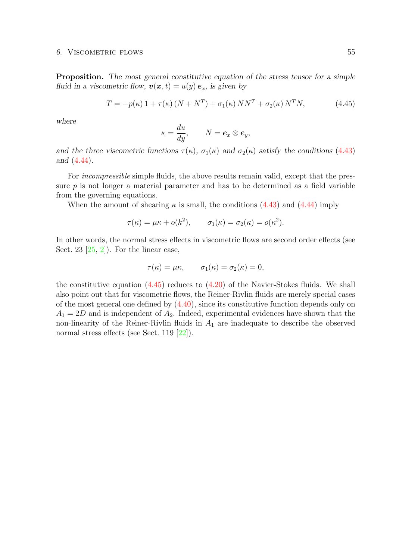#### 6. VISCOMETRIC FLOWS 55

Proposition. The most general constitutive equation of the stress tensor for a simple fluid in a viscometric flow,  $\mathbf{v}(\mathbf{x}, t) = u(y) \mathbf{e}_x$ , is given by

$$
T = -p(\kappa) \, 1 + \tau(\kappa) \left( N + N^T \right) + \sigma_1(\kappa) \, NN^T + \sigma_2(\kappa) \, N^T N, \tag{4.45}
$$

where

$$
\kappa = \frac{du}{dy}, \qquad N = \boldsymbol{e}_x \otimes \boldsymbol{e}_y,
$$

and the three viscometric functions  $\tau(\kappa)$ ,  $\sigma_1(\kappa)$  and  $\sigma_2(\kappa)$  satisfy the conditions [\(4.43\)](#page-58-0) and [\(4.44\)](#page-58-0).

For *incompressible* simple fluids, the above results remain valid, except that the pressure p is not longer a material parameter and has to be determined as a field variable from the governing equations.

When the amount of shearing  $\kappa$  is small, the conditions [\(4.43\)](#page-58-0) and [\(4.44\)](#page-58-0) imply

$$
\tau(\kappa) = \mu \kappa + o(k^2), \qquad \sigma_1(\kappa) = \sigma_2(\kappa) = o(\kappa^2).
$$

In other words, the normal stress effects in viscometric flows are second order effects (see Sect. 23  $[25, 2]$  $[25, 2]$  $[25, 2]$ . For the linear case,

$$
\tau(\kappa) = \mu \kappa, \qquad \sigma_1(\kappa) = \sigma_2(\kappa) = 0,
$$

the constitutive equation  $(4.45)$  reduces to  $(4.20)$  of the Navier-Stokes fluids. We shall also point out that for viscometric flows, the Reiner-Rivlin fluids are merely special cases of the most general one defined by [\(4.40\)](#page-58-0), since its constitutive function depends only on  $A_1 = 2D$  and is independent of  $A_2$ . Indeed, experimental evidences have shown that the non-linearity of the Reiner-Rivlin fluids in  $A_1$  are inadequate to describe the observed normal stress effects (see Sect. 119 [\[22\]](#page-95-1)).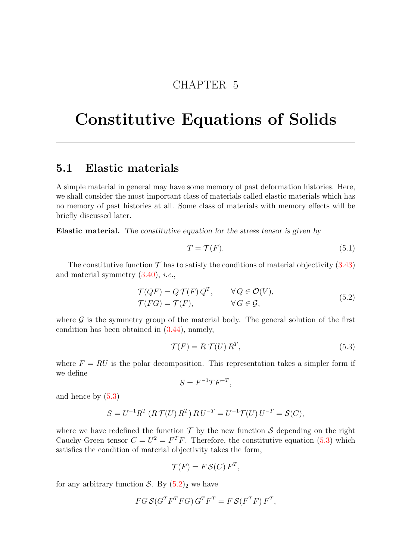## CHAPTER 5

# Constitutive Equations of Solids

### <span id="page-62-0"></span>5.1 Elastic materials

A simple material in general may have some memory of past deformation histories. Here, we shall consider the most important class of materials called elastic materials which has no memory of past histories at all. Some class of materials with memory effects will be briefly discussed later.

Elastic material. The constitutive equation for the stress tensor is given by

$$
T = \mathcal{T}(F). \tag{5.1}
$$

The constitutive function  $\mathcal T$  has to satisfy the conditions of material objectivity [\(3.43\)](#page-45-0) and material symmetry  $(3.40)$ , *i.e.*,

$$
\mathcal{T}(QF) = Q \mathcal{T}(F) Q^T, \qquad \forall Q \in \mathcal{O}(V), \n\mathcal{T}(FG) = \mathcal{T}(F), \qquad \forall G \in \mathcal{G},
$$
\n(5.2)

where  $\mathcal G$  is the symmetry group of the material body. The general solution of the first condition has been obtained in [\(3.44\)](#page-45-0), namely,

$$
\mathcal{T}(F) = R \mathcal{T}(U) R^T,\tag{5.3}
$$

where  $F = RU$  is the polar decomposition. This representation takes a simpler form if we define

$$
S = F^{-1} T F^{-T},
$$

and hence by [\(5.3\)](#page-62-0)

$$
S = U^{-1}R^{T} (R T(U) R^{T}) R U^{-T} = U^{-1} T(U) U^{-T} = S(C),
$$

where we have redefined the function  $\mathcal T$  by the new function  $\mathcal S$  depending on the right Cauchy-Green tensor  $C = U^2 = F^T F$ . Therefore, the constitutive equation [\(5.3\)](#page-62-0) which satisfies the condition of material objectivity takes the form,

$$
\mathcal{T}(F) = F \mathcal{S}(C) F^T,
$$

for any arbitrary function S. By  $(5.2)_2$  $(5.2)_2$  we have

$$
FG S(G^T F^T F G) G^T F^T = F S(F^T F) F^T,
$$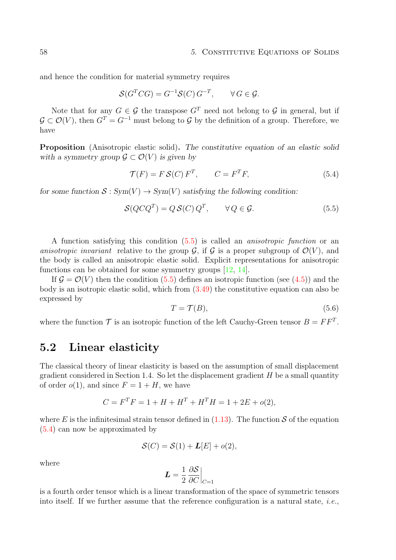and hence the condition for material symmetry requires

$$
\mathcal{S}(G^T C G) = G^{-1} \mathcal{S}(C) G^{-T}, \qquad \forall G \in \mathcal{G}.
$$

Note that for any  $G \in \mathcal{G}$  the transpose  $G<sup>T</sup>$  need not belong to  $\mathcal{G}$  in general, but if  $G \subset \mathcal{O}(V)$ , then  $G<sup>T</sup> = G<sup>-1</sup>$  must belong to G by the definition of a group. Therefore, we have

Proposition (Anisotropic elastic solid). The constitutive equation of an elastic solid with a symmetry group  $\mathcal{G} \subset \mathcal{O}(V)$  is given by

$$
\mathcal{T}(F) = F\mathcal{S}(C) F^T, \qquad C = F^T F,\tag{5.4}
$$

for some function  $S: Sym(V) \to Sym(V)$  satisfying the following condition:

$$
\mathcal{S}(Q C Q^T) = Q \mathcal{S}(C) Q^T, \qquad \forall Q \in \mathcal{G}.
$$
 (5.5)

A function satisfying this condition [\(5.5\)](#page-62-0) is called an anisotropic function or an anisotropic invariant relative to the group  $\mathcal{G}$ , if  $\mathcal{G}$  is a proper subgroup of  $\mathcal{O}(V)$ , and the body is called an anisotropic elastic solid. Explicit representations for anisotropic functions can be obtained for some symmetry groups [\[12,](#page-94-4) [14\]](#page-95-0).

If  $\mathcal{G} = \mathcal{O}(V)$  then the condition [\(5.5\)](#page-62-0) defines an isotropic function (see [\(4.5\)](#page-49-0)) and the body is an isotropic elastic solid, which from [\(3.49\)](#page-45-0) the constitutive equation can also be expressed by

$$
T = \mathcal{T}(B),\tag{5.6}
$$

where the function  $\mathcal T$  is an isotropic function of the left Cauchy-Green tensor  $B = FF^T$ .

### <span id="page-63-0"></span>5.2 Linear elasticity

The classical theory of linear elasticity is based on the assumption of small displacement gradient considered in Section 1.4. So let the displacement gradient  $H$  be a small quantity of order  $o(1)$ , and since  $F = 1 + H$ , we have

$$
C = FTF = 1 + H + HT + HTH = 1 + 2E + o(2),
$$

where E is the infinitesimal strain tensor defined in  $(1.13)$ . The function S of the equation [\(5.4\)](#page-62-0) can now be approximated by

$$
\mathcal{S}(C) = \mathcal{S}(1) + \mathbf{L}[E] + o(2),
$$

where

$$
\boldsymbol{L} = \frac{1}{2} \left. \frac{\partial \mathcal{S}}{\partial C} \right|_{C=1}
$$

is a fourth order tensor which is a linear transformation of the space of symmetric tensors into itself. If we further assume that the reference configuration is a natural state, *i.e.*,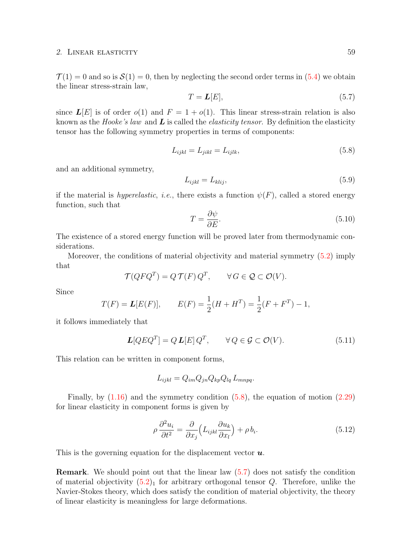#### 2. LINEAR ELASTICITY 59

 $\mathcal{T}(1) = 0$  and so is  $\mathcal{S}(1) = 0$ , then by neglecting the second order terms in [\(5.4\)](#page-62-0) we obtain the linear stress-strain law,

$$
T = \mathbf{L}[E],\tag{5.7}
$$

since  $\mathbf{L}[E]$  is of order  $o(1)$  and  $F = 1 + o(1)$ . This linear stress-strain relation is also known as the Hooke's law and  $\boldsymbol{L}$  is called the *elasticity tensor*. By definition the elasticity tensor has the following symmetry properties in terms of components:

$$
L_{ijkl} = L_{jikl} = L_{ijlk},\tag{5.8}
$$

and an additional symmetry,

$$
L_{ijkl} = L_{klij},\tag{5.9}
$$

if the material is hyperelastic, i.e., there exists a function  $\psi(F)$ , called a stored energy function, such that

$$
T = \frac{\partial \psi}{\partial E}.\tag{5.10}
$$

The existence of a stored energy function will be proved later from thermodynamic considerations.

Moreover, the conditions of material objectivity and material symmetry [\(5.2\)](#page-62-0) imply that

$$
\mathcal{T}(QFQ^T) = Q\,\mathcal{T}(F)\,Q^T, \qquad \forall\,G \in \mathcal{Q} \subset \mathcal{O}(V).
$$

Since

$$
T(F) = L[E(F)],
$$
  $E(F) = \frac{1}{2}(H + H^T) = \frac{1}{2}(F + F^T) - 1,$ 

it follows immediately that

$$
\mathbf{L}[QEQ^T] = Q \mathbf{L}[E] Q^T, \qquad \forall Q \in \mathcal{G} \subset \mathcal{O}(V). \tag{5.11}
$$

This relation can be written in component forms,

$$
L_{ijkl} = Q_{im} Q_{jn} Q_{kp} Q_{lq} L_{mnpq}.
$$

Finally, by  $(1.16)$  and the symmetry condition  $(5.8)$ , the equation of motion  $(2.29)$ for linear elasticity in component forms is given by

$$
\rho \frac{\partial^2 u_i}{\partial t^2} = \frac{\partial}{\partial x_j} \left( L_{ijkl} \frac{\partial u_k}{\partial x_l} \right) + \rho b_i.
$$
\n(5.12)

This is the governing equation for the displacement vector  $\boldsymbol{u}$ .

Remark. We should point out that the linear law [\(5.7\)](#page-63-0) does not satisfy the condition of material objectivity  $(5.2)_1$  $(5.2)_1$  for arbitrary orthogonal tensor Q. Therefore, unlike the Navier-Stokes theory, which does satisfy the condition of material objectivity, the theory of linear elasticity is meaningless for large deformations.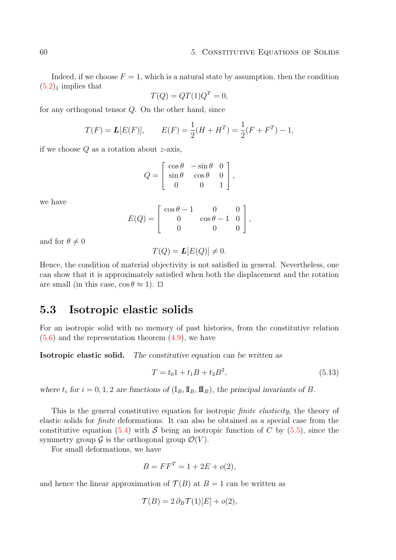Indeed, if we choose  $F = 1$ , which is a natural state by assumption, then the condition  $(5.2)<sub>1</sub>$  $(5.2)<sub>1</sub>$  implies that

$$
T(Q) = QT(1)Q^T = 0,
$$

for any orthogonal tensor Q. On the other hand, since

$$
T(F) = L[E(F)],
$$
  $E(F) = \frac{1}{2}(H + H^T) = \frac{1}{2}(F + F^T) - 1,$ 

if we choose  $Q$  as a rotation about  $z$ -axis,

$$
Q = \begin{bmatrix} \cos \theta & -\sin \theta & 0 \\ \sin \theta & \cos \theta & 0 \\ 0 & 0 & 1 \end{bmatrix},
$$

we have

$$
E(Q) = \begin{bmatrix} \cos \theta - 1 & 0 & 0 \\ 0 & \cos \theta - 1 & 0 \\ 0 & 0 & 0 \end{bmatrix},
$$

and for  $\theta \neq 0$ 

$$
T(Q) = L[E(Q)] \neq 0.
$$

Hence, the condition of material objectivity is not satisfied in general. Nevertheless, one can show that it is approximately satisfied when both the displacement and the rotation are small (in this case,  $\cos \theta \approx 1$ ).  $\Box$ 

### <span id="page-65-0"></span>5.3 Isotropic elastic solids

For an isotropic solid with no memory of past histories, from the constitutive relation  $(5.6)$  and the representation theorem  $(4.9)$ , we have

Isotropic elastic solid. The constitutive equation can be written as

$$
T = t_0 1 + t_1 B + t_2 B^2, \tag{5.13}
$$

where  $t_i$  for  $i = 0, 1, 2$  are functions of  $(I_B, \mathbb{I}_B, \mathbb{I}_B)$ , the principal invariants of B.

This is the general constitutive equation for isotropic *finite elasticity*, the theory of elastic solids for finite deformations. It can also be obtained as a special case from the constitutive equation [\(5.4\)](#page-62-0) with S being an isotropic function of C by [\(5.5\)](#page-62-0), since the symmetry group  $\mathcal G$  is the orthogonal group  $\mathcal O(V)$ .

For small deformations, we have

$$
B = FF^T = 1 + 2E + o(2),
$$

and hence the linear approximation of  $\mathcal{T}(B)$  at  $B=1$  can be written as

$$
\mathcal{T}(B) = 2 \,\partial_B \mathcal{T}(1)[E] + o(2),
$$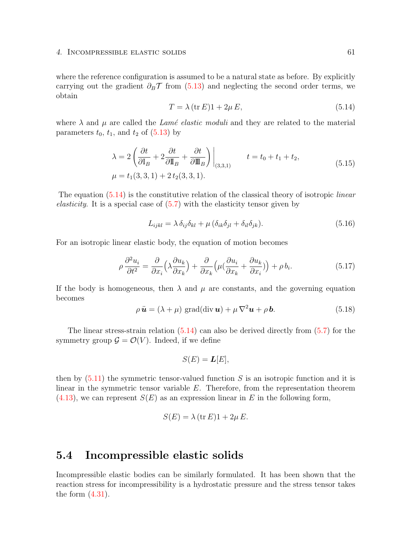#### 4. INCOMPRESSIBLE ELASTIC SOLIDS 61

where the reference configuration is assumed to be a natural state as before. By explicitly carrying out the gradient  $\partial_B \mathcal{T}$  from [\(5.13\)](#page-65-0) and neglecting the second order terms, we obtain

$$
T = \lambda (\text{tr } E) 1 + 2\mu E, \tag{5.14}
$$

where  $\lambda$  and  $\mu$  are called the Lamé elastic moduli and they are related to the material parameters  $t_0$ ,  $t_1$ , and  $t_2$  of  $(5.13)$  by

$$
\lambda = 2\left(\frac{\partial t}{\partial I_B} + 2\frac{\partial t}{\partial I_B} + \frac{\partial t}{\partial I_B}\right)\Big|_{(3,3,1)} \qquad t = t_0 + t_1 + t_2,
$$
\n
$$
\mu = t_1(3,3,1) + 2t_2(3,3,1). \tag{5.15}
$$

The equation  $(5.14)$  is the constitutive relation of the classical theory of isotropic *linear* elasticity. It is a special case of [\(5.7\)](#page-63-0) with the elasticity tensor given by

$$
L_{ijkl} = \lambda \, \delta_{ij} \delta_{kl} + \mu \, (\delta_{ik} \delta_{jl} + \delta_{il} \delta_{jk}). \tag{5.16}
$$

For an isotropic linear elastic body, the equation of motion becomes

$$
\rho \frac{\partial^2 u_i}{\partial t^2} = \frac{\partial}{\partial x_i} \left( \lambda \frac{\partial u_k}{\partial x_k} \right) + \frac{\partial}{\partial x_k} \left( \mu \left( \frac{\partial u_i}{\partial x_k} + \frac{\partial u_k}{\partial x_i} \right) \right) + \rho b_i.
$$
\n(5.17)

If the body is homogeneous, then  $\lambda$  and  $\mu$  are constants, and the governing equation becomes

$$
\rho \ddot{\mathbf{u}} = (\lambda + \mu) \text{ grad}(\text{div } \mathbf{u}) + \mu \nabla^2 \mathbf{u} + \rho \mathbf{b}.
$$
 (5.18)

The linear stress-strain relation [\(5.14\)](#page-65-0) can also be derived directly from [\(5.7\)](#page-63-0) for the symmetry group  $\mathcal{G} = \mathcal{O}(V)$ . Indeed, if we define

$$
S(E) = \mathbf{L}[E],
$$

then by  $(5.11)$  the symmetric tensor-valued function S is an isotropic function and it is linear in the symmetric tensor variable E. Therefore, from the representation theorem  $(4.13)$ , we can represent  $S(E)$  as an expression linear in E in the following form,

$$
S(E) = \lambda (\text{tr } E)1 + 2\mu E.
$$

### <span id="page-66-0"></span>5.4 Incompressible elastic solids

Incompressible elastic bodies can be similarly formulated. It has been shown that the reaction stress for incompressibility is a hydrostatic pressure and the stress tensor takes the form  $(4.31)$ .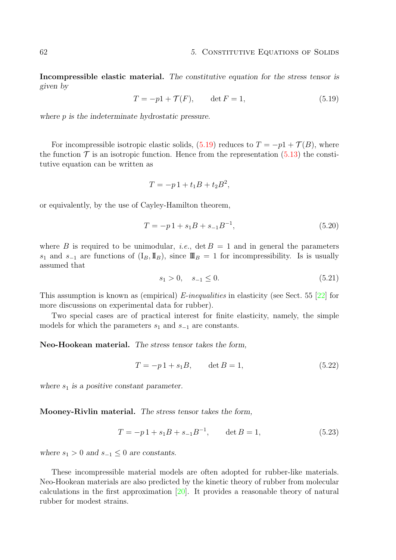Incompressible elastic material. The constitutive equation for the stress tensor is given by

$$
T = -p1 + \mathcal{T}(F), \qquad \det F = 1,\tag{5.19}
$$

where p is the indeterminate hydrostatic pressure.

For incompressible isotropic elastic solids,  $(5.19)$  reduces to  $T = -p1 + \mathcal{T}(B)$ , where the function  $\mathcal T$  is an isotropic function. Hence from the representation [\(5.13\)](#page-65-0) the constitutive equation can be written as

$$
T = -p1 + t_1B + t_2B^2,
$$

or equivalently, by the use of Cayley-Hamilton theorem,

$$
T = -p1 + s_1B + s_{-1}B^{-1},
$$
\n(5.20)

where B is required to be unimodular, *i.e.*,  $\det B = 1$  and in general the parameters s<sub>1</sub> and s<sub>−1</sub> are functions of  $(I_B, II_B)$ , since  $\mathbb{II}_B = 1$  for incompressibility. Is is usually assumed that

$$
s_1 > 0, \quad s_{-1} \le 0. \tag{5.21}
$$

This assumption is known as (empirical) E-inequalities in elasticity (see Sect. 55 [\[22\]](#page-95-1) for more discussions on experimental data for rubber).

Two special cases are of practical interest for finite elasticity, namely, the simple models for which the parameters  $s_1$  and  $s_{-1}$  are constants.

Neo-Hookean material. The stress tensor takes the form,

$$
T = -p1 + s_1B, \qquad \det B = 1,\tag{5.22}
$$

where  $s_1$  is a positive constant parameter.

Mooney-Rivlin material. The stress tensor takes the form,

$$
T = -p1 + s_1B + s_{-1}B^{-1}, \qquad \det B = 1,
$$
\n(5.23)

where  $s_1 > 0$  and  $s_{-1} \leq 0$  are constants.

These incompressible material models are often adopted for rubber-like materials. Neo-Hookean materials are also predicted by the kinetic theory of rubber from molecular calculations in the first approximation [\[20\]](#page-95-7). It provides a reasonable theory of natural rubber for modest strains.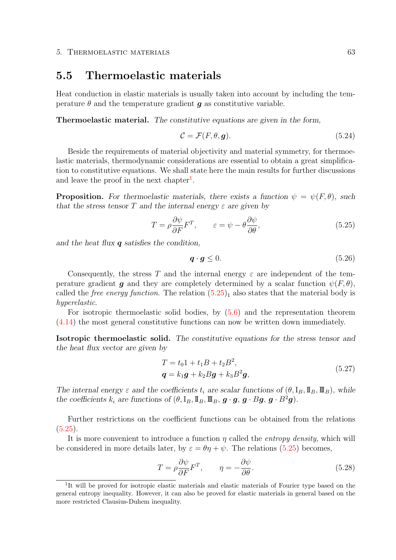### <span id="page-68-1"></span>5.5 Thermoelastic materials

Heat conduction in elastic materials is usually taken into account by including the temperature  $\theta$  and the temperature gradient  $q$  as constitutive variable.

Thermoelastic material. The constitutive equations are given in the form,

$$
\mathcal{C} = \mathcal{F}(F, \theta, \mathbf{g}).\tag{5.24}
$$

Beside the requirements of material objectivity and material symmetry, for thermoelastic materials, thermodynamic considerations are essential to obtain a great simplification to constitutive equations. We shall state here the main results for further discussions and leave the proof in the next chapter<sup>[1](#page-68-0)</sup>.

**Proposition.** For thermoelastic materials, there exists a function  $\psi = \psi(F, \theta)$ , such that the stress tensor T and the internal energy  $\varepsilon$  are given by

$$
T = \rho \frac{\partial \psi}{\partial F} F^T, \qquad \varepsilon = \psi - \theta \frac{\partial \psi}{\partial \theta}, \tag{5.25}
$$

and the heat flux  $q$  satisfies the condition,

$$
\boldsymbol{q} \cdot \boldsymbol{g} \le 0. \tag{5.26}
$$

Consequently, the stress T and the internal energy  $\varepsilon$  are independent of the temperature gradient g and they are completely determined by a scalar function  $\psi(F,\theta)$ , called the *free energy function*. The relation  $(5.25)<sub>1</sub>$  $(5.25)<sub>1</sub>$  also states that the material body is hyperelastic.

For isotropic thermoelastic solid bodies, by [\(5.6\)](#page-62-0) and the representation theorem [\(4.14\)](#page-49-0) the most general constitutive functions can now be written down immediately.

Isotropic thermoelastic solid. The constitutive equations for the stress tensor and the heat flux vector are given by

$$
T = t_0 1 + t_1 B + t_2 B^2,
$$
  
\n
$$
q = k_1 g + k_2 B g + k_3 B^2 g,
$$
\n(5.27)

The internal energy  $\varepsilon$  and the coefficients  $t_i$  are scalar functions of  $(\theta, I_B, \mathbb{I}_B, \mathbb{I}_B)$ , while the coefficients  $k_i$  are functions of  $(\theta, I_B, \mathbb{I}_B, \mathbb{I}_B, \mathbf{g} \cdot \mathbf{g}, \mathbf{g} \cdot B\mathbf{g}, \mathbf{g} \cdot B^2\mathbf{g})$ .

Further restrictions on the coefficient functions can be obtained from the relations [\(5.25\)](#page-68-1).

It is more convenient to introduce a function  $\eta$  called the *entropy density*, which will be considered in more details later, by  $\varepsilon = \theta \eta + \psi$ . The relations [\(5.25\)](#page-68-1) becomes,

$$
T = \rho \frac{\partial \psi}{\partial F} F^T, \qquad \eta = -\frac{\partial \psi}{\partial \theta}.
$$
 (5.28)

<span id="page-68-0"></span><sup>&</sup>lt;sup>1</sup>It will be proved for isotropic elastic materials and elastic materials of Fourier type based on the general entropy inequality. However, it can also be proved for elastic materials in general based on the more restricted Clausius-Duhem inequality.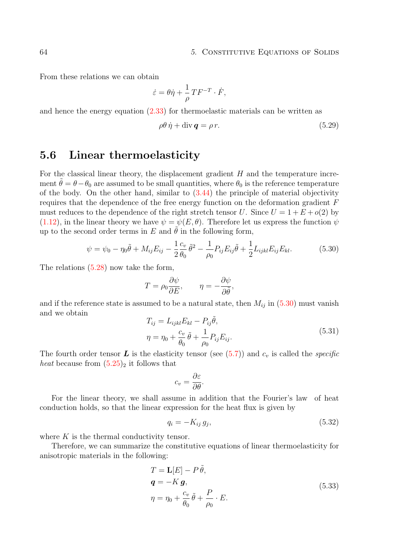#### 64 5. CONSTITUTIVE EQUATIONS OF SOLIDS

From these relations we can obtain

$$
\dot{\varepsilon} = \theta \dot{\eta} + \frac{1}{\rho} T F^{-T} \cdot \dot{F},
$$

and hence the energy equation [\(2.33\)](#page-24-0) for thermoelastic materials can be written as

$$
\rho \theta \dot{\eta} + \text{div} \, \mathbf{q} = \rho \, r. \tag{5.29}
$$

### <span id="page-69-0"></span>5.6 Linear thermoelasticity

For the classical linear theory, the displacement gradient  $H$  and the temperature increment  $\theta = \theta - \theta_0$  are assumed to be small quantities, where  $\theta_0$  is the reference temperature of the body. On the other hand, similar to [\(3.44\)](#page-45-0) the principle of material objectivity requires that the dependence of the free energy function on the deformation gradient F must reduces to the dependence of the right stretch tensor U. Since  $U = 1 + E + o(2)$  by [\(1.12\)](#page-10-0), in the linear theory we have  $\psi = \psi(E, \theta)$ . Therefore let us express the function  $\psi$ up to the second order terms in E and  $\hat{\theta}$  in the following form,

$$
\psi = \psi_0 - \eta_0 \tilde{\theta} + M_{ij} E_{ij} - \frac{1}{2} \frac{c_v}{\theta_0} \tilde{\theta}^2 - \frac{1}{\rho_0} P_{ij} E_{ij} \tilde{\theta} + \frac{1}{2} L_{ijkl} E_{ij} E_{kl}.
$$
 (5.30)

The relations [\(5.28\)](#page-68-1) now take the form,

$$
T = \rho_0 \frac{\partial \psi}{\partial E}, \qquad \eta = -\frac{\partial \psi}{\partial \tilde{\theta}},
$$

and if the reference state is assumed to be a natural state, then  $M_{ij}$  in [\(5.30\)](#page-69-0) must vanish and we obtain

$$
T_{ij} = L_{ijkl} E_{kl} - P_{ij} \tilde{\theta},
$$
  
\n
$$
\eta = \eta_0 + \frac{c_v}{\theta_0} \tilde{\theta} + \frac{1}{\rho_0} P_{ij} E_{ij}.
$$
\n(5.31)

The fourth order tensor  $\bm{L}$  is the elasticity tensor (see [\(5.7\)](#page-63-0)) and  $c_v$  is called the *specific heat* because from  $(5.25)<sub>2</sub>$  $(5.25)<sub>2</sub>$  it follows that

$$
c_v = \frac{\partial \varepsilon}{\partial \theta}.
$$

For the linear theory, we shall assume in addition that the Fourier's law of heat conduction holds, so that the linear expression for the heat flux is given by

$$
q_i = -K_{ij} g_j,\tag{5.32}
$$

where  $K$  is the thermal conductivity tensor.

Therefore, we can summarize the constitutive equations of linear thermoelasticity for anisotropic materials in the following:

$$
T = \mathbf{L}[E] - P\tilde{\theta},
$$
  
\n
$$
\mathbf{q} = -K\mathbf{g},
$$
  
\n
$$
\eta = \eta_0 + \frac{c_v}{\theta_0}\tilde{\theta} + \frac{P}{\rho_0} \cdot E.
$$
\n(5.33)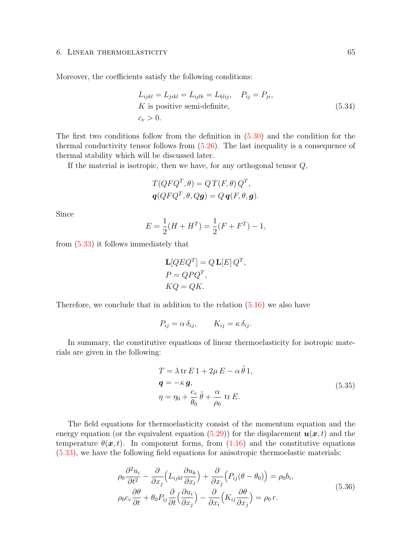#### 6. LINEAR THERMOELASTICITY 65

Moreover, the coefficients satisfy the following conditions:

$$
L_{ijkl} = L_{jikl} = L_{ijlk} = L_{klij}, \quad P_{ij} = P_{ji},
$$
  
\n*K* is positive semi-definite,  
\n $c_v > 0.$  (5.34)

The first two conditions follow from the definition in [\(5.30\)](#page-69-0) and the condition for the thermal conductivity tensor follows from [\(5.26\)](#page-68-1). The last inequality is a consequence of thermal stability which will be discussed later.

If the material is isotropic, then we have, for any orthogonal tensor  $Q$ ,

$$
T(QFQ^T, \theta) = QT(F, \theta) Q^T,
$$
  

$$
q(QFQ^T, \theta, Qg) = Q q(F, \theta, g).
$$

Since

$$
E = \frac{1}{2}(H + H^T) = \frac{1}{2}(F + F^T) - 1,
$$

from [\(5.33\)](#page-69-0) it follows immediately that

$$
\mathbf{L}[QEQ^T] = Q \mathbf{L}[E] Q^T,
$$
  
\n
$$
P = QPQ^T,
$$
  
\n
$$
KQ = QK.
$$

Therefore, we conclude that in addition to the relation  $(5.16)$  we also have

$$
P_{ij} = \alpha \, \delta_{ij}, \qquad K_{ij} = \kappa \, \delta_{ij}.
$$

In summary, the constitutive equations of linear thermoelasticity for isotropic materials are given in the following:

$$
T = \lambda \operatorname{tr} E 1 + 2\mu E - \alpha \tilde{\theta} 1,
$$
  
\n
$$
\mathbf{q} = -\kappa \mathbf{g},
$$
  
\n
$$
\eta = \eta_0 + \frac{c_v}{\theta_0} \tilde{\theta} + \frac{\alpha}{\rho_0} \operatorname{tr} E.
$$
\n(5.35)

The field equations for thermoelasticity consist of the momentum equation and the energy equation (or the equivalent equation  $(5.29)$ ) for the displacement  $u(x, t)$  and the temperature  $\theta(\mathbf{x}, t)$ . In component forms, from [\(1.16\)](#page-10-0) and the constitutive equations [\(5.33\)](#page-69-0), we have the following field equations for anisotropic thermoelastic materials:

$$
\rho_0 \frac{\partial^2 u_i}{\partial t^2} - \frac{\partial}{\partial x_j} \left( L_{ijkl} \frac{\partial u_k}{\partial x_l} \right) + \frac{\partial}{\partial x_j} \left( P_{ij} (\theta - \theta_0) \right) = \rho_0 b_i,
$$
\n
$$
\rho_0 c_v \frac{\partial \theta}{\partial t} + \theta_0 P_{ij} \frac{\partial}{\partial t} \left( \frac{\partial u_i}{\partial x_j} \right) - \frac{\partial}{\partial x_i} \left( K_{ij} \frac{\partial \theta}{\partial x_j} \right) = \rho_0 r.
$$
\n(5.36)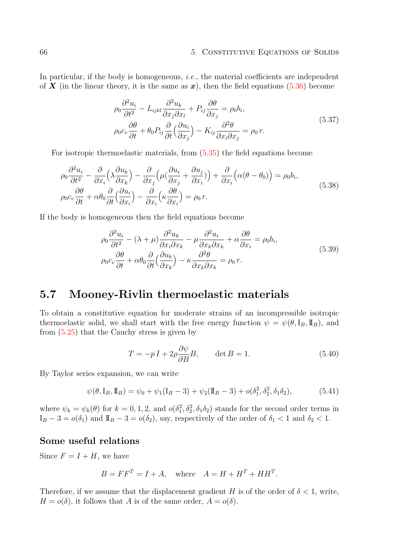In particular, if the body is homogeneous, *i.e.*, the material coefficients are independent of X (in the linear theory, it is the same as x), then the field equations [\(5.36\)](#page-69-0) become

$$
\rho_0 \frac{\partial^2 u_i}{\partial t^2} - L_{ijkl} \frac{\partial^2 u_k}{\partial x_j \partial x_l} + P_{ij} \frac{\partial \theta}{\partial x_j} = \rho_0 b_i,
$$
\n
$$
\rho_0 c_v \frac{\partial \theta}{\partial t} + \theta_0 P_{ij} \frac{\partial}{\partial t} \left( \frac{\partial u_i}{\partial x_j} \right) - K_{ij} \frac{\partial^2 \theta}{\partial x_i \partial x_j} = \rho_0 r.
$$
\n(5.37)

For isotropic thermoelastic materials, from [\(5.35\)](#page-69-0) the field equations become

$$
\rho_0 \frac{\partial^2 u_i}{\partial t^2} - \frac{\partial}{\partial x_i} \left( \lambda \frac{\partial u_k}{\partial x_k} \right) - \frac{\partial}{\partial x_j} \left( \mu \left( \frac{\partial u_i}{\partial x_j} + \frac{\partial u_j}{\partial x_i} \right) \right) + \frac{\partial}{\partial x_i} \left( \alpha (\theta - \theta_0) \right) = \rho_0 b_i,
$$
\n
$$
\rho_0 c_v \frac{\partial \theta}{\partial t} + \alpha \theta_0 \frac{\partial}{\partial t} \left( \frac{\partial u_i}{\partial x_i} \right) - \frac{\partial}{\partial x_i} \left( \kappa \frac{\partial \theta}{\partial x_i} \right) = \rho_0 r.
$$
\n(5.38)

If the body is homogeneous then the field equations become

$$
\rho_0 \frac{\partial^2 u_i}{\partial t^2} - (\lambda + \mu) \frac{\partial^2 u_k}{\partial x_i \partial x_k} - \mu \frac{\partial^2 u_i}{\partial x_k \partial x_k} + \alpha \frac{\partial \theta}{\partial x_i} = \rho_0 b_i,
$$
\n
$$
\rho_0 c_v \frac{\partial \theta}{\partial t} + \alpha \theta_0 \frac{\partial}{\partial t} \left( \frac{\partial u_k}{\partial x_k} \right) - \kappa \frac{\partial^2 \theta}{\partial x_k \partial x_k} = \rho_0 r.
$$
\n(5.39)

### 5.7 Mooney-Rivlin thermoelastic materials

To obtain a constitutive equation for moderate strains of an incompressible isotropic thermoelastic solid, we shall start with the free energy function  $\psi = \psi(\theta, I_B, I_B)$ , and from [\(5.25\)](#page-68-1) that the Cauchy stress is given by

$$
T = -pI + 2\rho \frac{\partial \psi}{\partial B}B, \qquad \det B = 1.
$$
 (5.40)

By Taylor series expansion, we can write

$$
\psi(\theta, I_B, I_B) = \psi_0 + \psi_1(I_B - 3) + \psi_2(I_B - 3) + o(\delta_1^2, \delta_2^2, \delta_1 \delta_2),
$$
\n(5.41)

where  $\psi_k = \psi_k(\theta)$  for  $k = 0, 1, 2$ , and  $o(\delta_1^2, \delta_2^2, \delta_1 \delta_2)$  stands for the second order terms in  $I_B - 3 = o(\delta_1)$  and  $I_B - 3 = o(\delta_2)$ , say, respectively of the order of  $\delta_1 < 1$  and  $\delta_2 < 1$ .

### Some useful relations

Since  $F = I + H$ , we have

$$
B = FF^T = I + A, \quad \text{where} \quad A = H + H^T + HH^T.
$$

Therefore, if we assume that the displacement gradient H is of the order of  $\delta < 1$ , write,  $H = o(\delta)$ , it follows that A is of the same order,  $A = o(\delta)$ .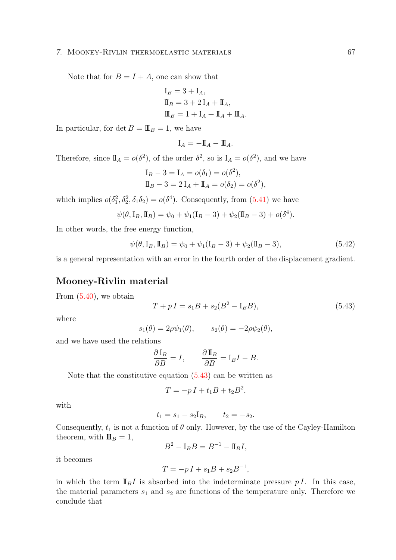### 7. Mooney-Rivlin thermoelastic materials 67

Note that for  $B = I + A$ , one can show that

$$
I_B = 3 + I_A,
$$
  
\n
$$
I_B = 3 + 2 I_A + I_A,
$$
  
\n
$$
I = 1 + I_A + I_A + I_A.
$$

In particular, for det  $B = \mathbb{I} \mathbb{I}_B = 1$ , we have

$$
\mathbf{I}_A = -\mathbf{I\!I}_A - \mathbf{I\!I\!I}_A.
$$

Therefore, since  $\mathbb{I}_A = o(\delta^2)$ , of the order  $\delta^2$ , so is  $I_A = o(\delta^2)$ , and we have

$$
I_B - 3 = I_A = o(\delta_1) = o(\delta^2),
$$
  
\n
$$
I_B - 3 = 2 I_A + I_A = o(\delta_2) = o(\delta^2),
$$

which implies  $o(\delta_1^2, \delta_2^2, \delta_1 \delta_2) = o(\delta^4)$ . Consequently, from [\(5.41\)](#page-71-0) we have

$$
\psi(\theta, I_B, I_B) = \psi_0 + \psi_1(I_B - 3) + \psi_2(I_B - 3) + o(\delta^4).
$$

In other words, the free energy function,

$$
\psi(\theta, I_B, I_B) = \psi_0 + \psi_1(I_B - 3) + \psi_2(I_B - 3),
$$
\n(5.42)

is a general representation with an error in the fourth order of the displacement gradient.

### <span id="page-72-0"></span>Mooney-Rivlin material

From [\(5.40\)](#page-71-0), we obtain

$$
T + pI = s_1B + s_2(B^2 - I_B B),
$$
\n(5.43)

where

$$
s_1(\theta) = 2\rho \psi_1(\theta), \qquad s_2(\theta) = -2\rho \psi_2(\theta),
$$

and we have used the relations

$$
\frac{\partial I_B}{\partial B} = I, \qquad \frac{\partial I_B}{\partial B} = I_B I - B.
$$

Note that the constitutive equation [\(5.43\)](#page-72-0) can be written as

$$
T = -pI + t_1B + t_2B^2,
$$

with

$$
t_1 = s_1 - s_2 I_B
$$
,  $t_2 = -s_2$ .

Consequently,  $t_1$  is not a function of  $\theta$  only. However, by the use of the Cayley-Hamilton theorem, with  $\mathbf{I} \mathbf{I}_B = 1$ ,

$$
B^2 - \mathbf{I}_B B = B^{-1} - \mathbf{I\!I}_B I,
$$

it becomes

$$
T = -pI + s_1B + s_2B^{-1},
$$

in which the term  $\mathbb{I}_{B}I$  is absorbed into the indeterminate pressure p I. In this case, the material parameters  $s_1$  and  $s_2$  are functions of the temperature only. Therefore we conclude that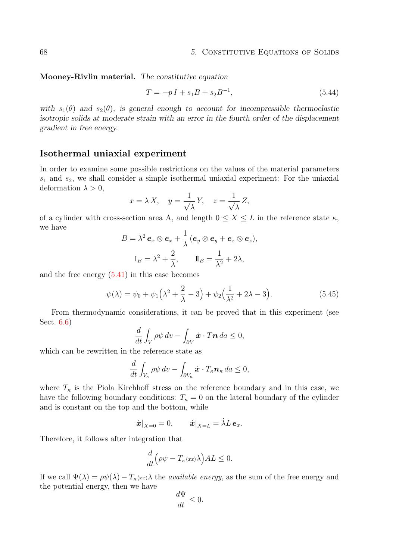<span id="page-73-1"></span>Mooney-Rivlin material. The constitutive equation

$$
T = -pI + s_1B + s_2B^{-1},
$$
\n(5.44)

with  $s_1(\theta)$  and  $s_2(\theta)$ , is general enough to account for incompressible thermoelastic isotropic solids at moderate strain with an error in the fourth order of the displacement gradient in free energy.

### <span id="page-73-0"></span>Isothermal uniaxial experiment

In order to examine some possible restrictions on the values of the material parameters  $s_1$  and  $s_2$ , we shall consider a simple isothermal uniaxial experiment: For the uniaxial deformation  $\lambda > 0$ ,

$$
x = \lambda X, \quad y = \frac{1}{\sqrt{\lambda}} Y, \quad z = \frac{1}{\sqrt{\lambda}} Z,
$$

of a cylinder with cross-section area A, and length  $0 \le X \le L$  in the reference state  $\kappa$ , we have

$$
B = \lambda^2 \mathbf{e}_x \otimes \mathbf{e}_x + \frac{1}{\lambda} (\mathbf{e}_y \otimes \mathbf{e}_y + \mathbf{e}_z \otimes \mathbf{e}_z),
$$
  

$$
I_B = \lambda^2 + \frac{2}{\lambda}, \qquad I\!I_B = \frac{1}{\lambda^2} + 2\lambda,
$$

and the free energy [\(5.41\)](#page-71-0) in this case becomes

$$
\psi(\lambda) = \psi_0 + \psi_1 \Big(\lambda^2 + \frac{2}{\lambda} - 3\Big) + \psi_2 \Big(\frac{1}{\lambda^2} + 2\lambda - 3\Big). \tag{5.45}
$$

From thermodynamic considerations, it can be proved that in this experiment (see Sect. [6.6\)](#page-88-0)

$$
\frac{d}{dt} \int_{V} \rho \psi \, dv - \int_{\partial V} \dot{\boldsymbol{x}} \cdot T \boldsymbol{n} \, da \leq 0,
$$

which can be rewritten in the reference state as

$$
\frac{d}{dt} \int_{V_{\kappa}} \rho \psi \, dv - \int_{\partial V_{\kappa}} \dot{\boldsymbol{x}} \cdot T_{\kappa} \boldsymbol{n}_{\kappa} \, da \leq 0,
$$

where  $T_{\kappa}$  is the Piola Kirchhoff stress on the reference boundary and in this case, we have the following boundary conditions:  $T_{\kappa} = 0$  on the lateral boundary of the cylinder and is constant on the top and the bottom, while

$$
\dot{\boldsymbol{x}}|_{X=0}=0,\qquad \dot{\boldsymbol{x}}|_{X=L}=\dot{\lambda}L\,\boldsymbol{e}_x.
$$

Therefore, it follows after integration that

$$
\frac{d}{dt}\Big(\rho\psi - T_{\kappa}\langle xx\rangle\lambda\Big)AL \leq 0.
$$

If we call  $\Psi(\lambda) = \rho \psi(\lambda) - T_{\kappa} \langle x \rangle$  the *available energy*, as the sum of the free energy and the potential energy, then we have

$$
\frac{d\Psi}{dt} \le 0.
$$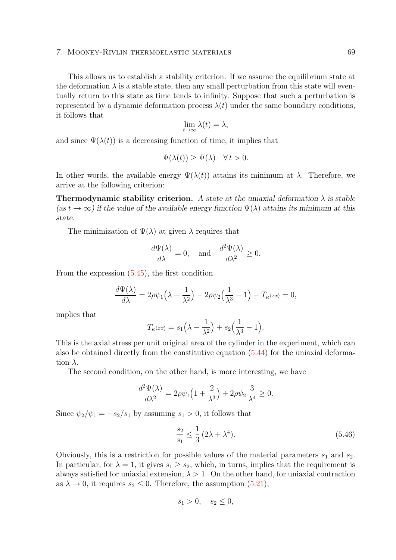### 7. Mooney-Rivlin thermoelastic materials 69

This allows us to establish a stability criterion. If we assume the equilibrium state at the deformation  $\lambda$  is a stable state, then any small perturbation from this state will eventually return to this state as time tends to infinity. Suppose that such a perturbation is represented by a dynamic deformation process  $\lambda(t)$  under the same boundary conditions, it follows that

$$
\lim_{t \to \infty} \lambda(t) = \lambda,
$$

and since  $\Psi(\lambda(t))$  is a decreasing function of time, it implies that

$$
\Psi(\lambda(t)) \ge \Psi(\lambda) \quad \forall \, t > 0.
$$

In other words, the available energy  $\Psi(\lambda(t))$  attains its minimum at  $\lambda$ . Therefore, we arrive at the following criterion:

**Thermodynamic stability criterion.** A state at the uniaxial deformation  $\lambda$  is stable  $(as t \rightarrow \infty)$  if the value of the available energy function  $\Psi(\lambda)$  attains its minimum at this state.

The minimization of  $\Psi(\lambda)$  at given  $\lambda$  requires that

$$
\frac{d\Psi(\lambda)}{d\lambda} = 0, \text{ and } \frac{d^2\Psi(\lambda)}{d\lambda^2} \ge 0.
$$

From the expression [\(5.45\)](#page-73-0), the first condition

$$
\frac{d\Psi(\lambda)}{d\lambda} = 2\rho\psi_1\left(\lambda - \frac{1}{\lambda^2}\right) - 2\rho\psi_2\left(\frac{1}{\lambda^3} - 1\right) - T_{\kappa}\langle xx \rangle = 0,
$$

implies that

$$
T_{\kappa}\langle xx \rangle = s_1\Big(\lambda - \frac{1}{\lambda^2}\Big) + s_2\Big(\frac{1}{\lambda^3} - 1\Big).
$$

This is the axial stress per unit original area of the cylinder in the experiment, which can also be obtained directly from the constitutive equation [\(5.44\)](#page-72-0) for the uniaxial deformation  $\lambda$ .

The second condition, on the other hand, is more interesting, we have

$$
\frac{d^2\Psi(\lambda)}{d\lambda^2} = 2\rho\psi_1\left(1 + \frac{2}{\lambda^3}\right) + 2\rho\psi_2\frac{3}{\lambda^4} \ge 0.
$$

Since  $\psi_2/\psi_1 = -s_2/s_1$  by assuming  $s_1 > 0$ , it follows that

$$
\frac{s_2}{s_1} \le \frac{1}{3} (2\lambda + \lambda^4). \tag{5.46}
$$

Obviously, this is a restriction for possible values of the material parameters  $s_1$  and  $s_2$ . In particular, for  $\lambda = 1$ , it gives  $s_1 \geq s_2$ , which, in turns, implies that the requirement is always satisfied for uniaxial extension,  $\lambda > 1$ . On the other hand, for uniaxial contraction as  $\lambda \to 0$ , it requires  $s_2 \leq 0$ . Therefore, the assumption  $(5.21)$ ,

$$
s_1 > 0, \quad s_2 \le 0,
$$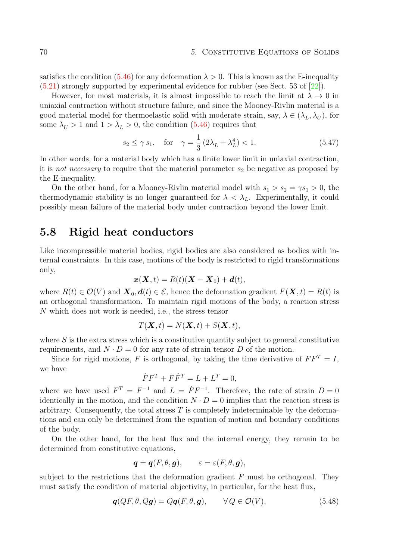satisfies the condition  $(5.46)$  for any deformation  $\lambda > 0$ . This is known as the E-inequality [\(5.21\)](#page-66-0) strongly supported by experimental evidence for rubber (see Sect. 53 of [\[22\]](#page-95-0)).

However, for most materials, it is almost impossible to reach the limit at  $\lambda \to 0$  in uniaxial contraction without structure failure, and since the Mooney-Rivlin material is a good material model for thermoelastic solid with moderate strain, say,  $\lambda \in (\lambda_L, \lambda_U)$ , for some  $\lambda_U > 1$  and  $1 > \lambda_L > 0$ , the condition [\(5.46\)](#page-73-0) requires that

$$
s_2 \le \gamma s_1
$$
, for  $\gamma = \frac{1}{3} (2\lambda_L + \lambda_L^4) < 1$ . (5.47)

In other words, for a material body which has a finite lower limit in uniaxial contraction, it is *not necessary* to require that the material parameter  $s_2$  be negative as proposed by the E-inequality.

On the other hand, for a Mooney-Rivlin material model with  $s_1 > s_2 = \gamma s_1 > 0$ , the thermodynamic stability is no longer guaranteed for  $\lambda < \lambda_L$ . Experimentally, it could possibly mean failure of the material body under contraction beyond the lower limit.

# <span id="page-75-0"></span>5.8 Rigid heat conductors

Like incompressible material bodies, rigid bodies are also considered as bodies with internal constraints. In this case, motions of the body is restricted to rigid transformations only,

$$
\boldsymbol{x}(\boldsymbol{X},t) = R(t)(\boldsymbol{X} - \boldsymbol{X}_0) + \boldsymbol{d}(t),
$$

where  $R(t) \in \mathcal{O}(V)$  and  $\mathbf{X}_0, \mathbf{d}(t) \in \mathcal{E}$ , hence the deformation gradient  $F(\mathbf{X}, t) = R(t)$  is an orthogonal transformation. To maintain rigid motions of the body, a reaction stress N which does not work is needed, i.e., the stress tensor

$$
T(\mathbf{X},t) = N(\mathbf{X},t) + S(\mathbf{X},t),
$$

where  $S$  is the extra stress which is a constitutive quantity subject to general constitutive requirements, and  $N \cdot D = 0$  for any rate of strain tensor D of the motion.

Since for rigid motions, F is orthogonal, by taking the time derivative of  $FF^T = I$ , we have

$$
\dot{F}F^T + F\dot{F}^T = L + L^T = 0,
$$

where we have used  $F^T = F^{-1}$  and  $L = \dot{F} F^{-1}$ . Therefore, the rate of strain  $D = 0$ identically in the motion, and the condition  $N \cdot D = 0$  implies that the reaction stress is arbitrary. Consequently, the total stress  $T$  is completely indeterminable by the deformations and can only be determined from the equation of motion and boundary conditions of the body.

On the other hand, for the heat flux and the internal energy, they remain to be determined from constitutive equations,

$$
\bm{q}=\bm{q}(F,\theta,\bm{g}),\qquad \varepsilon=\varepsilon(F,\theta,\bm{g}),
$$

subject to the restrictions that the deformation gradient  $F$  must be orthogonal. They must satisfy the condition of material objectivity, in particular, for the heat flux,

$$
\mathbf{q}(QF,\theta,Q\mathbf{g}) = Q\mathbf{q}(F,\theta,\mathbf{g}), \qquad \forall Q \in \mathcal{O}(V), \tag{5.48}
$$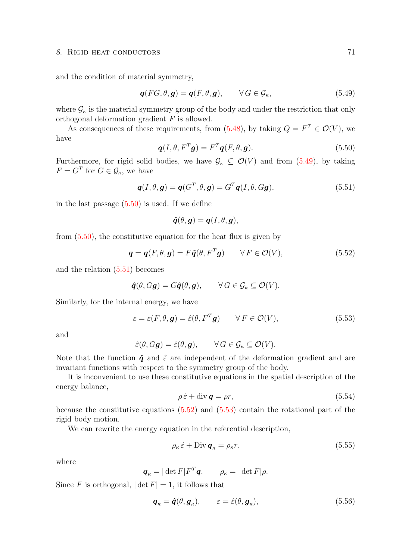#### 8. RIGID HEAT CONDUCTORS 71

and the condition of material symmetry,

$$
\boldsymbol{q}(FG,\theta,\boldsymbol{g}) = \boldsymbol{q}(F,\theta,\boldsymbol{g}), \qquad \forall G \in \mathcal{G}_{\kappa}, \tag{5.49}
$$

where  $\mathcal{G}_{\kappa}$  is the material symmetry group of the body and under the restriction that only orthogonal deformation gradient F is allowed.

As consequences of these requirements, from  $(5.48)$ , by taking  $Q = F^T \in \mathcal{O}(V)$ , we have

$$
\boldsymbol{q}(I,\theta, F^T \boldsymbol{g}) = F^T \boldsymbol{q}(F,\theta, \boldsymbol{g}). \tag{5.50}
$$

Furthermore, for rigid solid bodies, we have  $\mathcal{G}_{\kappa} \subseteq \mathcal{O}(V)$  and from [\(5.49\)](#page-75-0), by taking  $F = G^T$  for  $G \in \mathcal{G}_{\kappa}$ , we have

$$
\boldsymbol{q}(I,\theta,\boldsymbol{g}) = \boldsymbol{q}(G^T,\theta,\boldsymbol{g}) = G^T\boldsymbol{q}(I,\theta,G\boldsymbol{g}),
$$
\n(5.51)

in the last passage [\(5.50\)](#page-75-0) is used. If we define

$$
\widehat{\boldsymbol{q}}(\theta, \boldsymbol{g}) = \boldsymbol{q}(I, \theta, \boldsymbol{g}),
$$

from  $(5.50)$ , the constitutive equation for the heat flux is given by

$$
\mathbf{q} = \mathbf{q}(F, \theta, \mathbf{g}) = F\hat{\mathbf{q}}(\theta, F^T \mathbf{g}) \qquad \forall F \in \mathcal{O}(V), \tag{5.52}
$$

and the relation [\(5.51\)](#page-75-0) becomes

$$
\hat{\boldsymbol{q}}(\theta, G\boldsymbol{g}) = G\hat{\boldsymbol{q}}(\theta, \boldsymbol{g}), \qquad \forall G \in \mathcal{G}_{\kappa} \subseteq \mathcal{O}(V).
$$

Similarly, for the internal energy, we have

$$
\varepsilon = \varepsilon(F, \theta, \mathbf{g}) = \hat{\varepsilon}(\theta, F^T \mathbf{g}) \qquad \forall F \in \mathcal{O}(V), \tag{5.53}
$$

and

$$
\hat{\varepsilon}(\theta, G\mathbf{g}) = \hat{\varepsilon}(\theta, \mathbf{g}), \qquad \forall G \in \mathcal{G}_{\kappa} \subseteq \mathcal{O}(V).
$$

Note that the function  $\hat{q}$  and  $\hat{\varepsilon}$  are independent of the deformation gradient and are invariant functions with respect to the symmetry group of the body.

It is inconvenient to use these constitutive equations in the spatial description of the energy balance,

$$
\rho \dot{\varepsilon} + \text{div} \, \mathbf{q} = \rho r,\tag{5.54}
$$

because the constitutive equations  $(5.52)$  and  $(5.53)$  contain the rotational part of the rigid body motion.

We can rewrite the energy equation in the referential description,

$$
\rho_{\kappa} \dot{\varepsilon} + \text{Div} \, \mathbf{q}_{\kappa} = \rho_{\kappa} r. \tag{5.55}
$$

where

$$
\boldsymbol{q}_{\kappa} = |\det F| F^T \boldsymbol{q}, \qquad \rho_{\kappa} = |\det F| \rho.
$$

Since F is orthogonal,  $|\det F| = 1$ , it follows that

$$
\boldsymbol{q}_{\kappa} = \hat{\boldsymbol{q}}(\theta, \boldsymbol{g}_{\kappa}), \qquad \varepsilon = \hat{\varepsilon}(\theta, \boldsymbol{g}_{\kappa}), \tag{5.56}
$$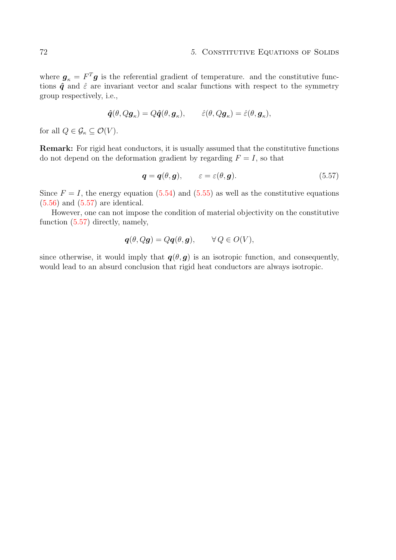where  $g_{\kappa} = F^T g$  is the referential gradient of temperature. and the constitutive functions  $\hat{q}$  and  $\hat{\varepsilon}$  are invariant vector and scalar functions with respect to the symmetry group respectively, i.e.,

$$
\hat{\boldsymbol{q}}(\theta,Q\boldsymbol{g}_{\kappa})=Q\hat{\boldsymbol{q}}(\theta,\boldsymbol{g}_{\kappa}),\qquad\hat{\varepsilon}(\theta,Q\boldsymbol{g}_{\kappa})=\hat{\varepsilon}(\theta,\boldsymbol{g}_{\kappa}),
$$

for all  $Q \in \mathcal{G}_{\kappa} \subseteq \mathcal{O}(V)$ .

Remark: For rigid heat conductors, it is usually assumed that the constitutive functions do not depend on the deformation gradient by regarding  $F = I$ , so that

$$
\boldsymbol{q} = \boldsymbol{q}(\theta, \boldsymbol{g}), \qquad \varepsilon = \varepsilon(\theta, \boldsymbol{g}). \tag{5.57}
$$

Since  $F = I$ , the energy equation [\(5.54\)](#page-75-0) and [\(5.55\)](#page-75-0) as well as the constitutive equations [\(5.56\)](#page-75-0) and [\(5.57\)](#page-75-0) are identical.

However, one can not impose the condition of material objectivity on the constitutive function [\(5.57\)](#page-75-0) directly, namely,

$$
\boldsymbol{q}(\theta, Q\boldsymbol{g}) = Q\boldsymbol{q}(\theta, \boldsymbol{g}), \qquad \forall Q \in O(V),
$$

since otherwise, it would imply that  $q(\theta, g)$  is an isotropic function, and consequently, would lead to an absurd conclusion that rigid heat conductors are always isotropic.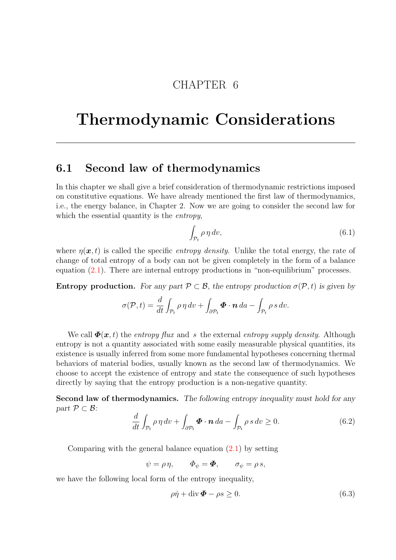# CHAPTER 6

# Thermodynamic Considerations

## <span id="page-78-0"></span>6.1 Second law of thermodynamics

In this chapter we shall give a brief consideration of thermodynamic restrictions imposed on constitutive equations. We have already mentioned the first law of thermodynamics, i.e., the energy balance, in Chapter 2. Now we are going to consider the second law for which the essential quantity is the *entropy*,

$$
\int_{\mathcal{P}_t} \rho \, \eta \, dv,\tag{6.1}
$$

where  $\eta(x, t)$  is called the specific *entropy density*. Unlike the total energy, the rate of change of total entropy of a body can not be given completely in the form of a balance equation  $(2.1)$ . There are internal entropy productions in "non-equilibrium" processes.

**Entropy production.** For any part  $\mathcal{P} \subset \mathcal{B}$ , the entropy production  $\sigma(\mathcal{P}, t)$  is given by

$$
\sigma(\mathcal{P},t) = \frac{d}{dt} \int_{\mathcal{P}_t} \rho \, \eta \, dv + \int_{\partial \mathcal{P}_t} \boldsymbol{\Phi} \cdot \boldsymbol{n} \, da - \int_{\mathcal{P}_t} \rho \, s \, dv.
$$

We call  $\Phi(x, t)$  the entropy flux and s the external entropy supply density. Although entropy is not a quantity associated with some easily measurable physical quantities, its existence is usually inferred from some more fundamental hypotheses concerning thermal behaviors of material bodies, usually known as the second law of thermodynamics. We choose to accept the existence of entropy and state the consequence of such hypotheses directly by saying that the entropy production is a non-negative quantity.

Second law of thermodynamics. The following entropy inequality must hold for any part  $\mathcal{P} \subset \mathcal{B}$ :

$$
\frac{d}{dt} \int_{\mathcal{P}_t} \rho \, \eta \, dv + \int_{\partial \mathcal{P}_t} \boldsymbol{\Phi} \cdot \boldsymbol{n} \, da - \int_{\mathcal{P}_t} \rho \, s \, dv \ge 0. \tag{6.2}
$$

Comparing with the general balance equation  $(2.1)$  by setting

$$
\psi = \rho \eta, \qquad \Phi_{\psi} = \mathbf{\Phi}, \qquad \sigma_{\psi} = \rho s,
$$

we have the following local form of the entropy inequality,

$$
\rho \dot{\eta} + \text{div} \,\mathbf{\Phi} - \rho s \ge 0. \tag{6.3}
$$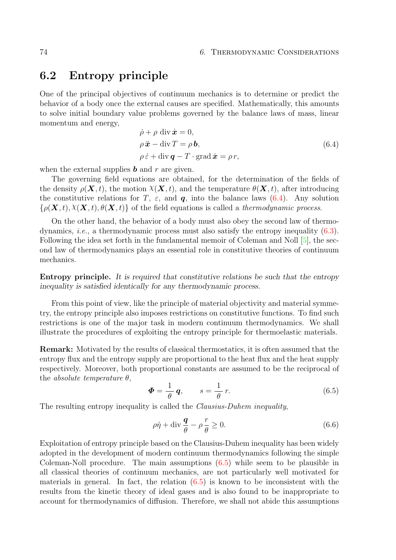## <span id="page-79-1"></span><span id="page-79-0"></span>6.2 Entropy principle

One of the principal objectives of continuum mechanics is to determine or predict the behavior of a body once the external causes are specified. Mathematically, this amounts to solve initial boundary value problems governed by the balance laws of mass, linear momentum and energy,

$$
\dot{\rho} + \rho \operatorname{div} \dot{\mathbf{x}} = 0,\n\rho \ddot{\mathbf{x}} - \operatorname{div} T = \rho \mathbf{b},\n\rho \dot{\varepsilon} + \operatorname{div} \mathbf{q} - T \cdot \operatorname{grad} \dot{\mathbf{x}} = \rho r,
$$
\n(6.4)

when the external supplies  $\boldsymbol{b}$  and  $\boldsymbol{r}$  are given.

The governing field equations are obtained, for the determination of the fields of the density  $\rho(\mathbf{X}, t)$ , the motion  $\chi(\mathbf{X}, t)$ , and the temperature  $\theta(\mathbf{X}, t)$ , after introducing the constitutive relations for T,  $\varepsilon$ , and q, into the balance laws [\(6.4\)](#page-79-0). Any solution  $\{\rho(\mathbf{X},t), \chi(\mathbf{X},t), \theta(\mathbf{X},t)\}\$  of the field equations is called a thermodynamic process.

On the other hand, the behavior of a body must also obey the second law of thermodynamics, i.e., a thermodynamic process must also satisfy the entropy inequality [\(6.3\)](#page-78-0). Following the idea set forth in the fundamental memoir of Coleman and Noll  $[5]$ , the second law of thermodynamics plays an essential role in constitutive theories of continuum mechanics.

Entropy principle. It is required that constitutive relations be such that the entropy inequality is satisfied identically for any thermodynamic process.

From this point of view, like the principle of material objectivity and material symmetry, the entropy principle also imposes restrictions on constitutive functions. To find such restrictions is one of the major task in modern continuum thermodynamics. We shall illustrate the procedures of exploiting the entropy principle for thermoelastic materials.

Remark: Motivated by the results of classical thermostatics, it is often assumed that the entropy flux and the entropy supply are proportional to the heat flux and the heat supply respectively. Moreover, both proportional constants are assumed to be the reciprocal of the *absolute temperature*  $\theta$ ,

$$
\Phi = \frac{1}{\theta} \mathbf{q}, \qquad s = \frac{1}{\theta} r. \tag{6.5}
$$

The resulting entropy inequality is called the *Clausius-Duhem inequality*,

$$
\rho \dot{\eta} + \text{div} \frac{\mathbf{q}}{\theta} - \rho \frac{r}{\theta} \ge 0. \tag{6.6}
$$

Exploitation of entropy principle based on the Clausius-Duhem inequality has been widely adopted in the development of modern continuum thermodynamics following the simple Coleman-Noll procedure. The main assumptions  $(6.5)$  while seem to be plausible in all classical theories of continuum mechanics, are not particularly well motivated for materials in general. In fact, the relation  $(6.5)$  is known to be inconsistent with the results from the kinetic theory of ideal gases and is also found to be inappropriate to account for thermodynamics of diffusion. Therefore, we shall not abide this assumptions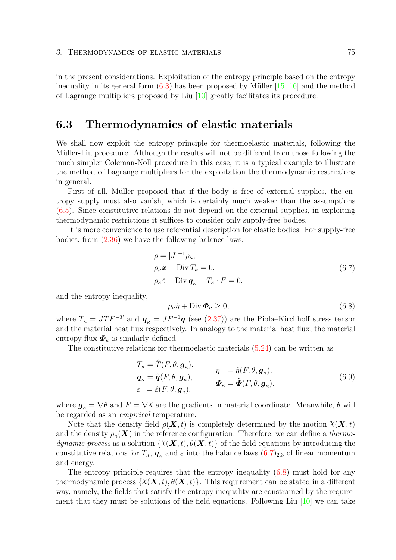<span id="page-80-1"></span>in the present considerations. Exploitation of the entropy principle based on the entropy inequality in its general form  $(6.3)$  has been proposed by Müller [\[15,](#page-95-1) [16\]](#page-95-2) and the method of Lagrange multipliers proposed by Liu [\[10\]](#page-94-1) greatly facilitates its procedure.

## <span id="page-80-0"></span>6.3 Thermodynamics of elastic materials

We shall now exploit the entropy principle for thermoelastic materials, following the Müller-Liu procedure. Although the results will not be different from those following the much simpler Coleman-Noll procedure in this case, it is a typical example to illustrate the method of Lagrange multipliers for the exploitation the thermodynamic restrictions in general.

First of all, Müller proposed that if the body is free of external supplies, the entropy supply must also vanish, which is certainly much weaker than the assumptions [\(6.5\)](#page-79-0). Since constitutive relations do not depend on the external supplies, in exploiting thermodynamic restrictions it suffices to consider only supply-free bodies.

It is more convenience to use referential description for elastic bodies. For supply-free bodies, from [\(2.36\)](#page-26-0) we have the following balance laws,

$$
\rho = |J|^{-1} \rho_{\kappa},
$$
  
\n
$$
\rho_{\kappa} \ddot{\mathbf{x}} - \text{Div } T_{\kappa} = 0,
$$
  
\n
$$
\rho_{\kappa} \dot{\varepsilon} + \text{Div } \mathbf{q}_{\kappa} - T_{\kappa} \cdot \dot{F} = 0,
$$
\n(6.7)

and the entropy inequality,

$$
\rho_{\kappa}\dot{\eta} + \text{Div}\,\mathbf{\Phi}_{\kappa} \ge 0,\tag{6.8}
$$

where  $T_{\kappa} = J T F^{-T}$  and  $q_{\kappa} = J F^{-1} q$  (see [\(2.37\)](#page-26-0)) are the Piola–Kirchhoff stress tensor and the material heat flux respectively. In analogy to the material heat flux, the material entropy flux  $\boldsymbol{\Phi}_{\kappa}$  is similarly defined.

The constitutive relations for thermoelastic materials [\(5.24\)](#page-68-0) can be written as

$$
T_{\kappa} = \hat{T}(F, \theta, \mathbf{g}_{\kappa}),
$$
  
\n
$$
\mathbf{q}_{\kappa} = \hat{\mathbf{q}}(F, \theta, \mathbf{g}_{\kappa}),
$$
  
\n
$$
\varepsilon = \hat{\varepsilon}(F, \theta, \mathbf{g}_{\kappa}),
$$
  
\n
$$
\mathbf{\Phi}_{\kappa} = \hat{\mathbf{\Phi}}(F, \theta, \mathbf{g}_{\kappa}).
$$
  
\n(6.9)

where  $g_{\kappa} = \nabla \theta$  and  $F = \nabla \chi$  are the gradients in material coordinate. Meanwhile,  $\theta$  will be regarded as an empirical temperature.

Note that the density field  $\rho(\mathbf{X}, t)$  is completely determined by the motion  $\chi(\mathbf{X}, t)$ and the density  $\rho_{\kappa}(\mathbf{X})$  in the reference configuration. Therefore, we can define a thermodynamic process as a solution  $\{X(\mathbf{X},t), \theta(\mathbf{X},t)\}\)$  of the field equations by introducing the constitutive relations for  $T_{\kappa}$ ,  $q_{\kappa}$  and  $\varepsilon$  into the balance laws  $(6.7)_{2,3}$  $(6.7)_{2,3}$  of linear momentum and energy.

The entropy principle requires that the entropy inequality [\(6.8\)](#page-80-0) must hold for any thermodynamic process  $\{X(\mathbf{X},t), \theta(\mathbf{X},t)\}\$ . This requirement can be stated in a different way, namely, the fields that satisfy the entropy inequality are constrained by the requirement that they must be solutions of the field equations. Following Liu  $[10]$  we can take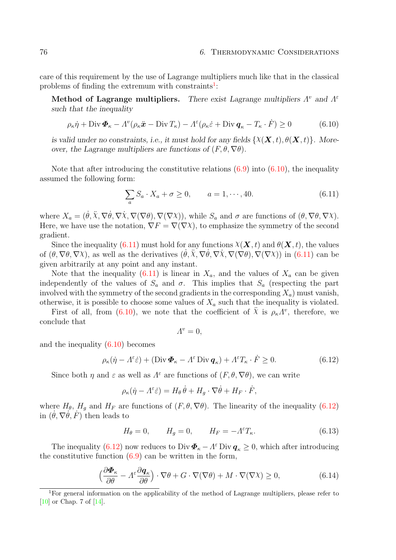<span id="page-81-1"></span>care of this requirement by the use of Lagrange multipliers much like that in the classical problems of finding the extremum with constraints<sup>[1](#page-81-0)</sup>:

Method of Lagrange multipliers. There exist Lagrange multipliers  $\Lambda^v$  and  $\Lambda^{\varepsilon}$ such that the inequality

$$
\rho_{\kappa}\dot{\eta} + \text{Div}\,\boldsymbol{\Phi}_{\kappa} - \Lambda^v(\rho_{\kappa}\ddot{\boldsymbol{x}} - \text{Div}\,T_{\kappa}) - \Lambda^{\varepsilon}(\rho_{\kappa}\dot{\varepsilon} + \text{Div}\,\boldsymbol{q}_{\kappa} - T_{\kappa}\cdot\dot{F}) \ge 0 \tag{6.10}
$$

is valid under no constraints, i.e., it must hold for any fields  $\{X(\mathbf{X},t), \theta(\mathbf{X},t)\}\$ . Moreover, the Lagrange multipliers are functions of  $(F, \theta, \nabla \theta)$ .

Note that after introducing the constitutive relations  $(6.9)$  into  $(6.10)$ , the inequality assumed the following form:

$$
\sum_{a} S_a \cdot X_a + \sigma \ge 0, \qquad a = 1, \cdots, 40. \tag{6.11}
$$

where  $X_a = (\dot{\theta}, \ddot{\chi}, \nabla \dot{\theta}, \nabla \dot{\chi}, \nabla (\nabla \theta), \nabla (\nabla \chi))$ , while  $S_a$  and  $\sigma$  are functions of  $(\theta, \nabla \theta, \nabla \chi)$ . Here, we have use the notation,  $\nabla F = \nabla(\nabla \chi)$ , to emphasize the symmetry of the second gradient.

Since the inequality [\(6.11\)](#page-80-0) must hold for any functions  $\chi(\mathbf{X}, t)$  and  $\theta(\mathbf{X}, t)$ , the values of  $(\theta, \nabla \theta, \nabla \chi)$ , as well as the derivatives  $(\dot{\theta}, \ddot{\chi}, \nabla \dot{\theta}, \nabla \dot{\chi}, \nabla (\nabla \theta), \nabla (\nabla \chi))$  in  $(6.11)$  can be given arbitrarily at any point and any instant.

Note that the inequality [\(6.11\)](#page-80-0) is linear in  $X_a$ , and the values of  $X_a$  can be given independently of the values of  $S_a$  and  $\sigma$ . This implies that  $S_a$  (respecting the part involved with the symmetry of the second gradients in the corresponding  $X_a$ ) must vanish, otherwise, it is possible to choose some values of  $X_a$  such that the inequality is violated.

First of all, from [\(6.10\)](#page-80-0), we note that the coefficient of  $\ddot{\chi}$  is  $\rho_{\kappa} \Lambda^v$ , therefore, we conclude that

$$
A^v = 0,
$$

and the inequality [\(6.10\)](#page-80-0) becomes

$$
\rho_{\kappa}(\dot{\eta} - A^{\varepsilon}\dot{\varepsilon}) + (\text{Div}\,\boldsymbol{\Phi}_{\kappa} - A^{\varepsilon}\,\text{Div}\,\boldsymbol{q}_{\kappa}) + A^{\varepsilon}T_{\kappa}\cdot\dot{F} \ge 0. \tag{6.12}
$$

Since both  $\eta$  and  $\varepsilon$  as well as  $\Lambda^{\varepsilon}$  are functions of  $(F, \theta, \nabla\theta)$ , we can write

$$
\rho_{\kappa}(\dot{\eta} - A^{\varepsilon} \dot{\varepsilon}) = H_{\theta} \dot{\theta} + H_g \cdot \nabla \dot{\theta} + H_F \cdot \dot{F},
$$

where  $H_{\theta}$ ,  $H_{g}$  and  $H_{F}$  are functions of  $(F, \theta, \nabla \theta)$ . The linearity of the inequality [\(6.12\)](#page-80-0) in  $(\theta, \nabla \theta, F)$  then leads to

$$
H_{\theta} = 0, \qquad H_g = 0, \qquad H_F = -\Lambda^{\varepsilon} T_{\kappa}.
$$
\n(6.13)

The inequality [\(6.12\)](#page-80-0) now reduces to Div  $\mathbf{\Phi}_{\kappa} - A^{\varepsilon}$  Div  $\mathbf{q}_{\kappa} \ge 0$ , which after introducing the constitutive function  $(6.9)$  can be written in the form,

$$
\left(\frac{\partial \Phi_{\kappa}}{\partial \theta} - A^{\varepsilon} \frac{\partial q_{\kappa}}{\partial \theta}\right) \cdot \nabla \theta + G \cdot \nabla(\nabla \theta) + M \cdot \nabla(\nabla \chi) \ge 0, \tag{6.14}
$$

<span id="page-81-0"></span><sup>&</sup>lt;sup>1</sup>For general information on the applicability of the method of Lagrange multipliers, please refer to [\[10\]](#page-94-1) or Chap. 7 of [\[14\]](#page-95-3).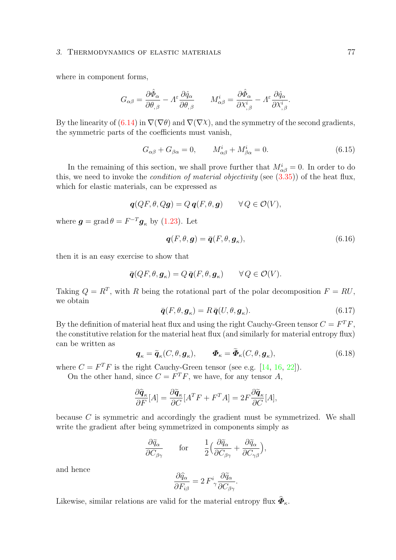### <span id="page-82-0"></span>3. THERMODYNAMICS OF ELASTIC MATERIALS 77

where in component forms,

$$
G_{\alpha\beta} = \frac{\partial \hat{\Phi}_{\alpha}}{\partial \theta_{,\beta}} - A^{\varepsilon} \frac{\partial \hat{q}_{\alpha}}{\partial \theta_{,\beta}} \qquad M^{i}_{\alpha\beta} = \frac{\partial \hat{\Phi}_{\alpha}}{\partial \chi^{i}_{,\beta}} - A^{\varepsilon} \frac{\partial \hat{q}_{\alpha}}{\partial \chi^{i}_{,\beta}}.
$$

By the linearity of [\(6.14\)](#page-80-0) in  $\nabla(\nabla\theta)$  and  $\nabla(\nabla\chi)$ , and the symmetry of the second gradients, the symmetric parts of the coefficients must vanish,

$$
G_{\alpha\beta} + G_{\beta\alpha} = 0, \qquad M^i_{\alpha\beta} + M^i_{\beta\alpha} = 0. \tag{6.15}
$$

In the remaining of this section, we shall prove further that  $M_{\alpha\beta}^i = 0$ . In order to do this, we need to invoke the *condition of material objectivity* (see  $(3.35)$ ) of the heat flux, which for elastic materials, can be expressed as

$$
\boldsymbol{q}(QF,\theta,Q\boldsymbol{g})=Q\,\boldsymbol{q}(F,\theta,\boldsymbol{g})\qquad\forall\,Q\in\mathcal{O}(V),
$$

where  $g = \text{grad}\,\theta = F^{-T}g_{\kappa}$  by [\(1.23\)](#page-12-0). Let

$$
\boldsymbol{q}(F,\theta,\boldsymbol{g}) = \bar{\boldsymbol{q}}(F,\theta,\boldsymbol{g}_{\kappa}),\tag{6.16}
$$

then it is an easy exercise to show that

$$
\bar{\boldsymbol{q}}(QF,\theta,\boldsymbol{g}_{\kappa})=Q\,\bar{\boldsymbol{q}}(F,\theta,\boldsymbol{g}_{\kappa})\qquad\forall\,Q\in\mathcal{O}(V).
$$

Taking  $Q = R^T$ , with R being the rotational part of the polar decomposition  $F = RU$ , we obtain

$$
\bar{\boldsymbol{q}}(F,\theta,\boldsymbol{g}_{\kappa}) = R\,\bar{\boldsymbol{q}}(U,\theta,\boldsymbol{g}_{\kappa}).\tag{6.17}
$$

By the definition of material heat flux and using the right Cauchy-Green tensor  $C = F^T F$ , the constitutive relation for the material heat flux (and similarly for material entropy flux) can be written as

$$
\boldsymbol{q}_{\kappa} = \tilde{\boldsymbol{q}}_{\kappa}(C,\theta,\boldsymbol{g}_{\kappa}), \qquad \boldsymbol{\Phi}_{\kappa} = \tilde{\boldsymbol{\Phi}}_{\kappa}(C,\theta,\boldsymbol{g}_{\kappa}), \qquad (6.18)
$$

where  $C = F^T F$  is the right Cauchy-Green tensor (see e.g. [\[14,](#page-95-3) [16,](#page-95-2) [22\]](#page-95-0)).

On the other hand, since  $C = F^T F$ , we have, for any tensor A,

$$
\frac{\partial \widehat{\mathbf{q}}_{\kappa}}{\partial F}[A] = \frac{\partial \widetilde{\mathbf{q}}_{\kappa}}{\partial C}[A^T F + F^T A] = 2F \frac{\partial \widetilde{\mathbf{q}}_{\kappa}}{\partial C}[A],
$$

because C is symmetric and accordingly the gradient must be symmetrized. We shall write the gradient after being symmetrized in components simply as

$$
\frac{\partial \widetilde{q}_{\alpha}}{\partial C_{\beta\gamma}} \qquad \text{for} \qquad \frac{1}{2} \Big( \frac{\partial \widetilde{q}_{\alpha}}{\partial C_{\beta\gamma}} + \frac{\partial \widetilde{q}_{\alpha}}{\partial C_{\gamma\beta}} \Big),
$$

and hence

$$
\frac{\partial \hat{q}_{\alpha}}{\partial F_{i\beta}} = 2 F^{i}_{\gamma} \frac{\partial \tilde{q}_{\alpha}}{\partial C_{\beta\gamma}}.
$$

Likewise, similar relations are valid for the material entropy flux  $\boldsymbol{\Phi}_{\kappa}$ .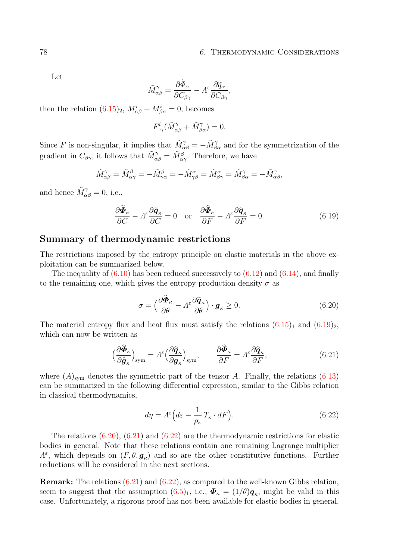#### 78 6. THERMODYNAMIC CONSIDERATIONS

Let

$$
\tilde{M}_{\alpha\beta}^{\gamma} = \frac{\partial \tilde{\Phi}_{\alpha}}{\partial C_{\beta\gamma}} - A^{\varepsilon} \frac{\partial \tilde{q}_{\alpha}}{\partial C_{\beta\gamma}},
$$

then the relation  $(6.15)_2$  $(6.15)_2$ ,  $M^i_{\alpha\beta} + M^i_{\beta\alpha} = 0$ , becomes

$$
F^i_{\gamma}(\tilde{M}_{\alpha\beta}^{\gamma} + \tilde{M}_{\beta\alpha}^{\gamma}) = 0.
$$

Since F is non-singular, it implies that  $\tilde{M}_{\alpha\beta}^{\gamma} = -\tilde{M}_{\beta\alpha}^{\gamma}$  and for the symmetrization of the gradient in  $C_{\beta\gamma}$ , it follows that  $\tilde{M}_{\alpha\beta}^{\gamma} = \tilde{M}_{\alpha\gamma}^{\beta}$ . Therefore, we have

$$
\tilde{M}_{\alpha\beta}^{\gamma} = \tilde{M}_{\alpha\gamma}^{\beta} = -\tilde{M}_{\gamma\alpha}^{\beta} = -\tilde{M}_{\gamma\beta}^{\alpha} = \tilde{M}_{\beta\gamma}^{\alpha} = \tilde{M}_{\beta\alpha}^{\gamma} = -\tilde{M}_{\alpha\beta}^{\gamma},
$$

and hence  $\tilde{M}_{\alpha\beta}^{\gamma} = 0$ , i.e.,

$$
\frac{\partial \tilde{\Phi}_{\kappa}}{\partial C} - A^{\varepsilon} \frac{\partial \tilde{\mathbf{q}}_{\kappa}}{\partial C} = 0 \quad \text{or} \quad \frac{\partial \tilde{\Phi}_{\kappa}}{\partial F} - A^{\varepsilon} \frac{\partial \hat{\mathbf{q}}_{\kappa}}{\partial F} = 0. \tag{6.19}
$$

### <span id="page-83-0"></span>Summary of thermodynamic restrictions

The restrictions imposed by the entropy principle on elastic materials in the above exploitation can be summarized below.

The inequality of  $(6.10)$  has been reduced successively to  $(6.12)$  and  $(6.14)$ , and finally to the remaining one, which gives the entropy production density  $\sigma$  as

$$
\sigma = \left(\frac{\partial \tilde{\Phi}_{\kappa}}{\partial \theta} - A^{\varepsilon} \frac{\partial \hat{q}_{\kappa}}{\partial \theta}\right) \cdot \boldsymbol{g}_{\kappa} \ge 0. \tag{6.20}
$$

The material entropy flux and heat flux must satisfy the relations  $(6.15)<sub>1</sub>$  $(6.15)<sub>1</sub>$  and  $(6.19)<sub>2</sub>$  $(6.19)<sub>2</sub>$ , which can now be written as

$$
\left(\frac{\partial \widehat{\Phi}_{\kappa}}{\partial \widehat{g}_{\kappa}}\right)_{\text{sym}} = \Lambda^{\varepsilon} \left(\frac{\partial \widehat{q}_{\kappa}}{\partial g_{\kappa}}\right)_{\text{sym}}, \qquad \frac{\partial \widehat{\Phi}_{\kappa}}{\partial F} = \Lambda^{\varepsilon} \frac{\partial \widehat{q}_{\kappa}}{\partial F}, \tag{6.21}
$$

where  $(A)_{sym}$  denotes the symmetric part of the tensor A. Finally, the relations  $(6.13)$ can be summarized in the following differential expression, similar to the Gibbs relation in classical thermodynamics,

$$
d\eta = A^{\varepsilon} \Big( d\varepsilon - \frac{1}{\rho_{\kappa}} T_{\kappa} \cdot dF \Big). \tag{6.22}
$$

The relations  $(6.20)$ ,  $(6.21)$  and  $(6.22)$  are the thermodynamic restrictions for elastic bodies in general. Note that these relations contain one remaining Lagrange multiplier  $\Lambda^{\varepsilon}$ , which depends on  $(F, \theta, g_{\kappa})$  and so are the other constitutive functions. Further reductions will be considered in the next sections.

Remark: The relations [\(6.21\)](#page-83-0) and [\(6.22\)](#page-83-0), as compared to the well-known Gibbs relation, seem to suggest that the assumption  $(6.5)_1$  $(6.5)_1$ , i.e.,  $\boldsymbol{\Phi}_{\kappa} = (1/\theta)\boldsymbol{q}_{\kappa}$ , might be valid in this case. Unfortunately, a rigorous proof has not been available for elastic bodies in general.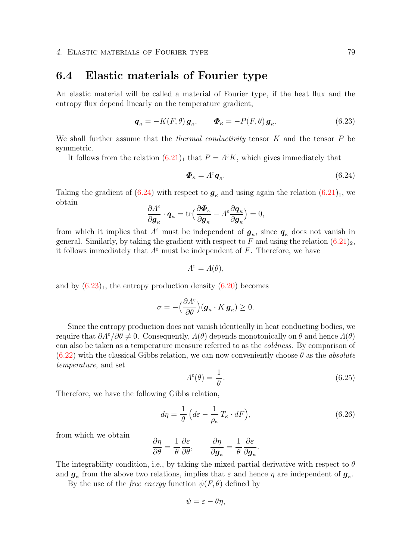# <span id="page-84-1"></span><span id="page-84-0"></span>6.4 Elastic materials of Fourier type

An elastic material will be called a material of Fourier type, if the heat flux and the entropy flux depend linearly on the temperature gradient,

$$
\boldsymbol{q}_{\kappa} = -K(F,\theta)\,\boldsymbol{g}_{\kappa}, \qquad \boldsymbol{\Phi}_{\kappa} = -P(F,\theta)\,\boldsymbol{g}_{\kappa}.\tag{6.23}
$$

We shall further assume that the *thermal conductivity* tensor  $K$  and the tensor  $P$  be symmetric.

It follows from the relation  $(6.21)<sub>1</sub>$  $(6.21)<sub>1</sub>$  that  $P = \Lambda^{\varepsilon} K$ , which gives immediately that

$$
\boldsymbol{\Phi}_{\kappa} = \Lambda^{\varepsilon} \boldsymbol{q}_{\kappa}.\tag{6.24}
$$

Taking the gradient of [\(6.24\)](#page-84-0) with respect to  $g_{\kappa}$  and using again the relation [\(6.21\)](#page-83-0)<sub>1</sub>, we obtain

$$
\frac{\partial \Lambda^{\varepsilon}}{\partial \boldsymbol{g}_{\kappa}} \cdot \boldsymbol{q}_{\kappa} = \text{tr}\Big(\frac{\partial \boldsymbol{\Phi}_{\kappa}}{\partial \boldsymbol{g}_{\kappa}} - \Lambda^{\varepsilon} \frac{\partial \boldsymbol{q}_{\kappa}}{\partial \boldsymbol{g}_{\kappa}}\Big) = 0,
$$

from which it implies that  $\Lambda^{\varepsilon}$  must be independent of  $g_{\kappa}$ , since  $q_{\kappa}$  does not vanish in general. Similarly, by taking the gradient with respect to F and using the relation  $(6.21)_2$  $(6.21)_2$ , it follows immediately that  $\Lambda^{\varepsilon}$  must be independent of F. Therefore, we have

$$
\Lambda^{\varepsilon} = \Lambda(\theta),
$$

and by  $(6.23)_1$  $(6.23)_1$ , the entropy production density  $(6.20)$  becomes

$$
\sigma = -\Big(\frac{\partial \Lambda^{\varepsilon}}{\partial \theta}\Big) (\boldsymbol{g}_{\kappa} \cdot K \, \boldsymbol{g}_{\kappa}) \geq 0.
$$

Since the entropy production does not vanish identically in heat conducting bodies, we require that  $\partial \Lambda^{\varepsilon}/\partial \theta \neq 0$ . Consequently,  $\Lambda(\theta)$  depends monotonically on  $\theta$  and hence  $\Lambda(\theta)$ can also be taken as a temperature measure referred to as the coldness. By comparison of  $(6.22)$  with the classical Gibbs relation, we can now conveniently choose  $\theta$  as the *absolute* temperature, and set

$$
\Lambda^{\varepsilon}(\theta) = \frac{1}{\theta}.\tag{6.25}
$$

Therefore, we have the following Gibbs relation,

$$
d\eta = \frac{1}{\theta} \left( d\varepsilon - \frac{1}{\rho_{\kappa}} T_{\kappa} \cdot dF \right),\tag{6.26}
$$

from which we obtain

$$
\frac{\partial \eta}{\partial \theta} = \frac{1}{\theta} \frac{\partial \varepsilon}{\partial \theta}, \qquad \frac{\partial \eta}{\partial \boldsymbol{g}_{\kappa}} = \frac{1}{\theta} \frac{\partial \varepsilon}{\partial \boldsymbol{g}_{\kappa}}.
$$

The integrability condition, i.e., by taking the mixed partial derivative with respect to  $\theta$ and  $g_{\kappa}$  from the above two relations, implies that  $\varepsilon$  and hence  $\eta$  are independent of  $g_{\kappa}$ .

By the use of the *free energy* function  $\psi(F, \theta)$  defined by

$$
\psi = \varepsilon - \theta \eta,
$$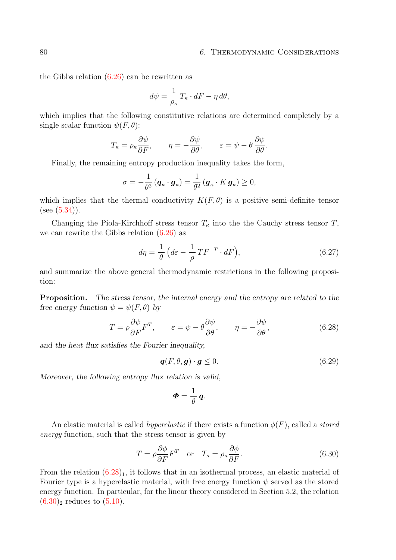#### <span id="page-85-1"></span>80 6. THERMODYNAMIC CONSIDERATIONS

the Gibbs relation [\(6.26\)](#page-84-0) can be rewritten as

$$
d\psi = \frac{1}{\rho_{\kappa}} T_{\kappa} \cdot dF - \eta \, d\theta,
$$

which implies that the following constitutive relations are determined completely by a single scalar function  $\psi(F, \theta)$ :

$$
T_{\kappa} = \rho_{\kappa} \frac{\partial \psi}{\partial F}, \qquad \eta = -\frac{\partial \psi}{\partial \theta}, \qquad \varepsilon = \psi - \theta \frac{\partial \psi}{\partial \theta}.
$$

Finally, the remaining entropy production inequality takes the form,

$$
\sigma = -\frac{1}{\theta^2} \left( \boldsymbol{q}_{\kappa} \cdot \boldsymbol{g}_{\kappa} \right) = \frac{1}{\theta^2} \left( \boldsymbol{g}_{\kappa} \cdot \boldsymbol{K} \, \boldsymbol{g}_{\kappa} \right) \ge 0,
$$

which implies that the thermal conductivity  $K(F, \theta)$  is a positive semi-definite tensor  $(see (5.34)).$  $(see (5.34)).$  $(see (5.34)).$ 

Changing the Piola-Kirchhoff stress tensor  $T_{\kappa}$  into the the Cauchy stress tensor T, we can rewrite the Gibbs relation  $(6.26)$  as

$$
d\eta = \frac{1}{\theta} \left( d\varepsilon - \frac{1}{\rho} T F^{-T} \cdot dF \right), \tag{6.27}
$$

and summarize the above general thermodynamic restrictions in the following proposition:

Proposition. The stress tensor, the internal energy and the entropy are related to the free energy function  $\psi = \psi(F, \theta)$  by

$$
T = \rho \frac{\partial \psi}{\partial F} F^T, \qquad \varepsilon = \psi - \theta \frac{\partial \psi}{\partial \theta}, \qquad \eta = -\frac{\partial \psi}{\partial \theta}, \tag{6.28}
$$

and the heat flux satisfies the Fourier inequality,

<span id="page-85-0"></span>
$$
\boldsymbol{q}(F,\theta,\boldsymbol{g}) \cdot \boldsymbol{g} \le 0. \tag{6.29}
$$

Moreover, the following entropy flux relation is valid,

$$
\boldsymbol{\varPhi}=\frac{1}{\theta}\,\boldsymbol{q}.
$$

An elastic material is called *hyperelastic* if there exists a function  $\phi(F)$ , called a *stored* energy function, such that the stress tensor is given by

$$
T = \rho \frac{\partial \phi}{\partial F} F^{T} \quad \text{or} \quad T_{\kappa} = \rho_{\kappa} \frac{\partial \phi}{\partial F}.
$$
 (6.30)

From the relation  $(6.28)_1$  $(6.28)_1$  $(6.28)_1$ , it follows that in an isothermal process, an elastic material of Fourier type is a hyperelastic material, with free energy function  $\psi$  served as the stored energy function. In particular, for the linear theory considered in Section 5.2, the relation  $(6.30)$ <sub>2</sub> reduces to  $(5.10)$ .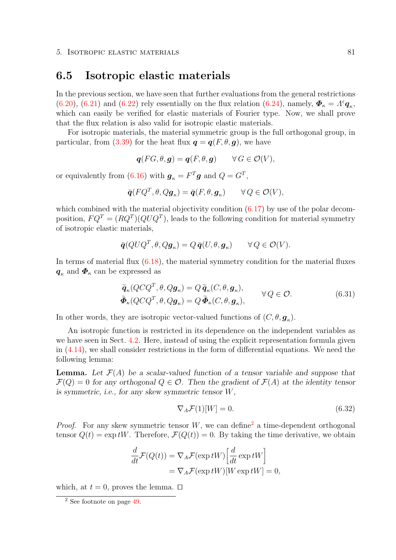### <span id="page-86-2"></span><span id="page-86-1"></span>6.5 Isotropic elastic materials

In the previous section, we have seen that further evaluations from the general restrictions [\(6.20\)](#page-83-0), [\(6.21\)](#page-83-0) and [\(6.22\)](#page-83-0) rely essentially on the flux relation [\(6.24\)](#page-84-0), namely,  $\mathbf{\Phi}_{\kappa} = A^{\varepsilon} \mathbf{q}_{\kappa}$ , which can easily be verified for elastic materials of Fourier type. Now, we shall prove that the flux relation is also valid for isotropic elastic materials.

For isotropic materials, the material symmetric group is the full orthogonal group, in particular, from [\(3.39\)](#page-42-0) for the heat flux  $q = q(F, \theta, q)$ , we have

$$
\boldsymbol{q}(FG,\theta,\boldsymbol{g})=\boldsymbol{q}(F,\theta,\boldsymbol{g})\qquad\forall\,G\in\mathcal{O}(V),
$$

or equivalently from [\(6.16\)](#page-80-0) with  $g_{\kappa} = F^T g$  and  $Q = G^T$ ,

$$
\bar{\mathbf{q}}(FQ^T, \theta, Q\mathbf{g}_{\kappa}) = \bar{\mathbf{q}}(F, \theta, \mathbf{g}_{\kappa}) \qquad \forall Q \in \mathcal{O}(V),
$$

which combined with the material objectivity condition  $(6.17)$  by use of the polar decomposition,  $FQ^{T} = (RQ^{T})(QUQ^{T})$ , leads to the following condition for material symmetry of isotropic elastic materials,

$$
\bar{\mathbf{q}}(QUQ^T, \theta, Q\mathbf{g}_{\kappa}) = Q \bar{\mathbf{q}}(U, \theta, \mathbf{g}_{\kappa}) \qquad \forall Q \in \mathcal{O}(V).
$$

In terms of material flux [\(6.18\)](#page-80-0), the material symmetry condition for the material fluxes  $q_{\kappa}$  and  $\Phi_{\kappa}$  can be expressed as

$$
\tilde{\boldsymbol{q}}_{\kappa}(Q C Q^T, \theta, Q \boldsymbol{g}_{\kappa}) = Q \tilde{\boldsymbol{q}}_{\kappa}(C, \theta, \boldsymbol{g}_{\kappa}), \n\tilde{\boldsymbol{\Phi}}_{\kappa}(Q C Q^T, \theta, Q \boldsymbol{g}_{\kappa}) = Q \tilde{\boldsymbol{\Phi}}_{\kappa}(C, \theta, \boldsymbol{g}_{\kappa}), \qquad \forall Q \in \mathcal{O}.
$$
\n(6.31)

In other words, they are isotropic vector-valued functions of  $(C, \theta, \mathbf{g}_{\kappa})$ .

An isotropic function is restricted in its dependence on the independent variables as we have seen in Sect. [4.2.](#page-49-0) Here, instead of using the explicit representation formula given in [\(4.14\)](#page-49-0), we shall consider restrictions in the form of differential equations. We need the following lemma:

**Lemma.** Let  $\mathcal{F}(A)$  be a scalar-valued function of a tensor variable and suppose that  $\mathcal{F}(Q) = 0$  for any orthogonal  $Q \in \mathcal{O}$ . Then the gradient of  $\mathcal{F}(A)$  at the identity tensor is symmetric, i.e., for any skew symmetric tensor W,

$$
\nabla_A \mathcal{F}(1)[W] = 0. \tag{6.32}
$$

*Proof.* For any skew symmetric tensor W, we can define<sup>[2](#page-86-0)</sup> a time-dependent orthogonal tensor  $Q(t) = \exp tW$ . Therefore,  $\mathcal{F}(Q(t)) = 0$ . By taking the time derivative, we obtain

$$
\frac{d}{dt}\mathcal{F}(Q(t)) = \nabla_A \mathcal{F}(\exp tW) \left[ \frac{d}{dt} \exp tW \right] \n= \nabla_A \mathcal{F}(\exp tW) [W \exp tW] = 0,
$$

which, at  $t = 0$ , proves the lemma.  $\Box$ 

<span id="page-86-0"></span><sup>2</sup> See footnote on page [49.](#page-53-0)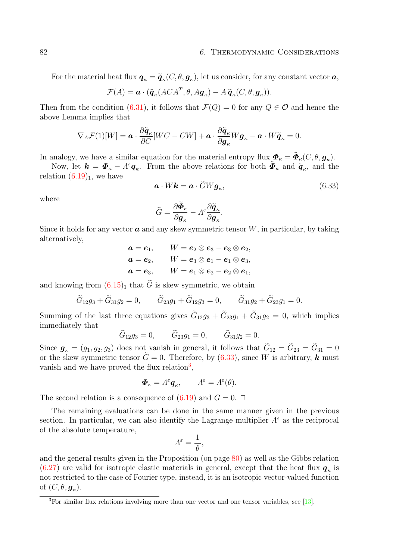<span id="page-87-1"></span>For the material heat flux  $q_{\kappa} = \tilde{q}_{\kappa}(C, \theta, g_{\kappa})$ , let us consider, for any constant vector  $a$ ,

$$
\mathcal{F}(A) = \boldsymbol{a} \cdot (\tilde{\boldsymbol{q}}_{\kappa}(ACA^T, \theta, A\boldsymbol{g}_{\kappa}) - A\tilde{\boldsymbol{q}}_{\kappa}(C, \theta, \boldsymbol{g}_{\kappa})).
$$

Then from the condition [\(6.31\)](#page-86-1), it follows that  $\mathcal{F}(Q) = 0$  for any  $Q \in \mathcal{O}$  and hence the above Lemma implies that

$$
\nabla_A \mathcal{F}(1)[W] = \boldsymbol{a} \cdot \frac{\partial \widetilde{\boldsymbol{q}}_{\kappa}}{\partial C}[WC - CW] + \boldsymbol{a} \cdot \frac{\partial \widetilde{\boldsymbol{q}}_{\kappa}}{\partial \boldsymbol{g}_{\kappa}} W \boldsymbol{g}_{\kappa} - \boldsymbol{a} \cdot W \widetilde{\boldsymbol{q}}_{\kappa} = 0.
$$

In analogy, we have a similar equation for the material entropy flux  $\mathbf{\Phi}_{\kappa} = \mathbf{\Phi}_{\kappa}(C, \theta, \mathbf{g}_{\kappa})$ .

Now, let  $\mathbf{k} = \mathbf{\Phi}_{\kappa} - A^{\varepsilon} \mathbf{q}_{\kappa}$ . From the above relations for both  $\tilde{\mathbf{\Phi}}_{\kappa}$  and  $\tilde{\mathbf{q}}_{\kappa}$ , and the relation  $(6.19)<sub>1</sub>$  $(6.19)<sub>1</sub>$ , we have

$$
\mathbf{a} \cdot W \mathbf{k} = \mathbf{a} \cdot \tilde{G} W \mathbf{g}_{\kappa},\tag{6.33}
$$

where

$$
\widetilde{G} = \frac{\partial \widetilde{\Phi}_{\kappa}}{\partial \boldsymbol{g}_{\kappa}} - A^{\varepsilon} \frac{\partial \widetilde{\boldsymbol{q}}_{\kappa}}{\partial \boldsymbol{g}_{\kappa}}.
$$

Since it holds for any vector  $\boldsymbol{a}$  and any skew symmetric tensor W, in particular, by taking alternatively,

$$
a = e_1, \qquad W = e_2 \otimes e_3 - e_3 \otimes e_2,
$$
  
\n
$$
a = e_2, \qquad W = e_3 \otimes e_1 - e_1 \otimes e_3,
$$
  
\n
$$
a = e_3, \qquad W = e_1 \otimes e_2 - e_2 \otimes e_1,
$$

and knowing from  $(6.15)<sub>1</sub>$  $(6.15)<sub>1</sub>$  that  $\tilde{G}$  is skew symmetric, we obtain

$$
\tilde{G}_{12}g_3 + \tilde{G}_{31}g_2 = 0,
$$
  $\tilde{G}_{23}g_1 + \tilde{G}_{12}g_3 = 0,$   $\tilde{G}_{31}g_2 + \tilde{G}_{23}g_1 = 0.$ 

Summing of the last three equations gives  $G_{12}g_3 + G_{23}g_1 + G_{31}g_2 = 0$ , which implies immediately that

$$
\tilde{G}_{12}g_3 = 0,
$$
  $\tilde{G}_{23}g_1 = 0,$   $\tilde{G}_{31}g_2 = 0.$ 

Since  $g_{\kappa} = (g_1, g_2, g_3)$  does not vanish in general, it follows that  $G_{12} = G_{23} = G_{31} = 0$ or the skew symmetric tensor  $G=0$ . Therefore, by  $(6.33)$ , since W is arbitrary, k must vanish and we have proved the flux relation<sup>[3](#page-87-0)</sup>,

$$
\boldsymbol{\Phi}_{\kappa} = \Lambda^{\varepsilon} \boldsymbol{q}_{\kappa}, \qquad \Lambda^{\varepsilon} = \Lambda^{\varepsilon}(\theta).
$$

The second relation is a consequence of  $(6.19)$  and  $G = 0$ .  $\Box$ 

The remaining evaluations can be done in the same manner given in the previous section. In particular, we can also identify the Lagrange multiplier  $\Lambda^{\varepsilon}$  as the reciprocal of the absolute temperature,

$$
\varLambda^\varepsilon=\frac{1}{\theta},
$$

and the general results given in the Proposition (on page [80\)](#page-84-0) as well as the Gibbs relation  $(6.27)$  are valid for isotropic elastic materials in general, except that the heat flux  $q_{\kappa}$  is not restricted to the case of Fourier type, instead, it is an isotropic vector-valued function of  $(C, \theta, \boldsymbol{g}_\kappa)$ .

<span id="page-87-0"></span><sup>3</sup>For similar flux relations involving more than one vector and one tensor variables, see [\[13\]](#page-94-2).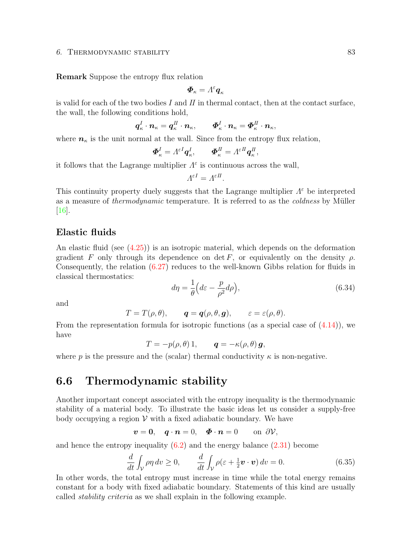### <span id="page-88-2"></span>6. THERMODYNAMIC STABILITY 83

Remark Suppose the entropy flux relation

$$
\pmb{\varPhi}_\kappa = \varLambda^\varepsilon \pmb{q}_\kappa
$$

is valid for each of the two bodies  $I$  and  $II$  in thermal contact, then at the contact surface, the wall, the following conditions hold,

$$
\boldsymbol{q}_{\kappa}^I \cdot \boldsymbol{n}_{\kappa} = \boldsymbol{q}_{\kappa}^H \cdot \boldsymbol{n}_{\kappa}, \qquad \boldsymbol{\Phi}_{\kappa}^I \cdot \boldsymbol{n}_{\kappa} = \boldsymbol{\Phi}_{\kappa}^H \cdot \boldsymbol{n}_{\kappa},
$$

where  $n_{\kappa}$  is the unit normal at the wall. Since from the entropy flux relation,

$$
\boldsymbol{\Phi}_{\kappa}^{I} = \Lambda^{\varepsilon I} \boldsymbol{q}_{\kappa}^{I}, \qquad \boldsymbol{\Phi}_{\kappa}^{II} = \Lambda^{\varepsilon II} \boldsymbol{q}_{\kappa}^{II},
$$

it follows that the Lagrange multiplier  $\Lambda^{\varepsilon}$  is continuous across the wall,

$$
\Lambda^{\varepsilon I} = \Lambda^{\varepsilon II}.
$$

This continuity property duely suggests that the Lagrange multiplier  $\Lambda^{\varepsilon}$  be interpreted as a measure of *thermodynamic* temperature. It is referred to as the *coldness* by Müller [\[16\]](#page-95-2).

### <span id="page-88-1"></span>Elastic fluids

An elastic fluid (see [\(4.25\)](#page-53-0)) is an isotropic material, which depends on the deformation gradient F only through its dependence on det F, or equivalently on the density  $\rho$ . Consequently, the relation [\(6.27\)](#page-84-0) reduces to the well-known Gibbs relation for fluids in classical thermostatics:

$$
d\eta = \frac{1}{\theta} \left( d\varepsilon - \frac{p}{\rho^2} d\rho \right),\tag{6.34}
$$

and

$$
T=T(\rho,\theta),\qquad \boldsymbol{q}=\boldsymbol{q}(\rho,\theta,\boldsymbol{g}),\qquad \varepsilon=\varepsilon(\rho,\theta).
$$

From the representation formula for isotropic functions (as a special case of [\(4.14\)](#page-49-0)), we have

$$
T = -p(\rho, \theta) 1, \qquad \mathbf{q} = -\kappa(\rho, \theta) \mathbf{g},
$$

where p is the pressure and the (scalar) thermal conductivity  $\kappa$  is non-negative.

## <span id="page-88-0"></span>6.6 Thermodynamic stability

Another important concept associated with the entropy inequality is the thermodynamic stability of a material body. To illustrate the basic ideas let us consider a supply-free body occupying a region  $\mathcal V$  with a fixed adiabatic boundary. We have

$$
\boldsymbol{v}=\mathbf{0},\quad \boldsymbol{q}\cdot\boldsymbol{n}=0,\quad \boldsymbol{\Phi}\cdot\boldsymbol{n}=0\qquad\text{on }\partial\mathcal{V},
$$

and hence the entropy inequality [\(6.2\)](#page-78-0) and the energy balance [\(2.31\)](#page-24-0) become

$$
\frac{d}{dt} \int_{\mathcal{V}} \rho \eta \, dv \ge 0, \qquad \frac{d}{dt} \int_{\mathcal{V}} \rho(\varepsilon + \frac{1}{2} \boldsymbol{v} \cdot \boldsymbol{v}) \, dv = 0. \tag{6.35}
$$

In other words, the total entropy must increase in time while the total energy remains constant for a body with fixed adiabatic boundary. Statements of this kind are usually called stability criteria as we shall explain in the following example.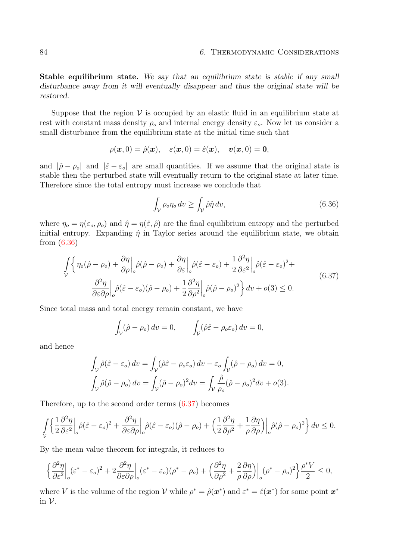<span id="page-89-0"></span>Stable equilibrium state. We say that an equilibrium state is stable if any small disturbance away from it will eventually disappear and thus the original state will be restored.

Suppose that the region  $\mathcal V$  is occupied by an elastic fluid in an equilibrium state at rest with constant mass density  $\rho_o$  and internal energy density  $\varepsilon_o$ . Now let us consider a small disturbance from the equilibrium state at the initial time such that

$$
\rho(\boldsymbol{x},0)=\hat{\rho}(\boldsymbol{x}),\quad \varepsilon(\boldsymbol{x},0)=\hat{\varepsilon}(\boldsymbol{x}),\quad \boldsymbol{v}(\boldsymbol{x},0)=\boldsymbol{0},
$$

and  $|\hat{\rho} - \rho_o|$  and  $|\hat{\varepsilon} - \varepsilon_o|$  are small quantities. If we assume that the original state is stable then the perturbed state will eventually return to the original state at later time. Therefore since the total entropy must increase we conclude that

$$
\int_{\mathcal{V}} \rho_o \eta_o \, dv \ge \int_{\mathcal{V}} \hat{\rho} \hat{\eta} \, dv,\tag{6.36}
$$

where  $\eta_o = \eta(\varepsilon_o, \rho_o)$  and  $\hat{\eta} = \eta(\hat{\varepsilon}, \hat{\rho})$  are the final equilibrium entropy and the perturbed initial entropy. Expanding  $\hat{\eta}$  in Taylor series around the equilibrium state, we obtain from [\(6.36\)](#page-88-0)

$$
\int_{\mathcal{V}} \left\{ \eta_o(\hat{\rho} - \rho_o) + \frac{\partial \eta}{\partial \rho} \Big|_o \hat{\rho}(\hat{\rho} - \rho_o) + \frac{\partial \eta}{\partial \varepsilon} \Big|_o \hat{\rho}(\hat{\varepsilon} - \varepsilon_o) + \frac{1}{2} \frac{\partial^2 \eta}{\partial \varepsilon^2} \Big|_o \hat{\rho}(\hat{\varepsilon} - \varepsilon_o)^2 + \frac{\partial^2 \eta}{\partial \varepsilon \partial \rho} \Big|_o \hat{\rho}(\hat{\varepsilon} - \varepsilon_o)(\hat{\rho} - \rho_o) + \frac{1}{2} \frac{\partial^2 \eta}{\partial \rho^2} \Big|_o \hat{\rho}(\hat{\rho} - \rho_o)^2 \right\} dv + o(3) \le 0.
$$
\n(6.37)

Since total mass and total energy remain constant, we have

$$
\int_{\mathcal{V}} (\hat{\rho} - \rho_o) dv = 0, \qquad \int_{\mathcal{V}} (\hat{\rho} \hat{\varepsilon} - \rho_o \varepsilon_o) dv = 0,
$$

and hence

$$
\int_{\mathcal{V}} \hat{\rho}(\hat{\varepsilon} - \varepsilon_o) dv = \int_{\mathcal{V}} (\hat{\rho}\hat{\varepsilon} - \rho_o \varepsilon_o) dv - \varepsilon_o \int_{\mathcal{V}} (\hat{\rho} - \rho_o) dv = 0,
$$
  

$$
\int_{\mathcal{V}} \hat{\rho}(\hat{\rho} - \rho_o) dv = \int_{\mathcal{V}} (\hat{\rho} - \rho_o)^2 dv = \int_{\mathcal{V}} \frac{\hat{\rho}}{\rho_o} (\hat{\rho} - \rho_o)^2 dv + o(3).
$$

Therefore, up to the second order terms [\(6.37\)](#page-88-0) becomes

$$
\int_{\mathcal{V}} \left\{ \frac{1}{2} \frac{\partial^2 \eta}{\partial \varepsilon^2} \bigg|_{o} \hat{\rho}(\hat{\varepsilon} - \varepsilon_o)^2 + \frac{\partial^2 \eta}{\partial \varepsilon \partial \rho} \bigg|_{o} \hat{\rho}(\hat{\varepsilon} - \varepsilon_o) (\hat{\rho} - \rho_o) + \left( \frac{1}{2} \frac{\partial^2 \eta}{\partial \rho^2} + \frac{1}{\rho} \frac{\partial \eta}{\partial \rho} \right) \bigg|_{o} \hat{\rho}(\hat{\rho} - \rho_o)^2 \right\} dv \le 0.
$$

By the mean value theorem for integrals, it reduces to

$$
\left\{\frac{\partial^2 \eta}{\partial \varepsilon^2}\Big|_o (\varepsilon^* - \varepsilon_o)^2 + 2 \frac{\partial^2 \eta}{\partial \varepsilon \partial \rho}\Big|_o (\varepsilon^* - \varepsilon_o)(\rho^* - \rho_o) + \left(\frac{\partial^2 \eta}{\partial \rho^2} + \frac{2}{\rho} \frac{\partial \eta}{\partial \rho}\right)\Big|_o (\rho^* - \rho_o)^2\right\} \frac{\rho^* V}{2} \le 0,
$$

where V is the volume of the region V while  $\rho^* = \hat{\rho}(\mathbf{x}^*)$  and  $\varepsilon^* = \hat{\varepsilon}(\mathbf{x}^*)$  for some point  $\mathbf{x}^*$ in  $\mathcal V$ .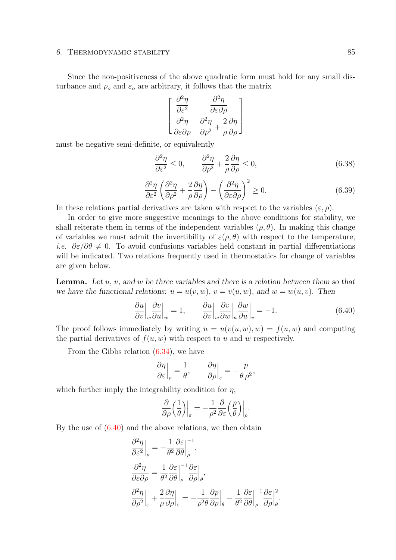### 6. THERMODYNAMIC STABILITY 85

Since the non-positiveness of the above quadratic form must hold for any small disturbance and  $\rho_o$  and  $\varepsilon_o$  are arbitrary, it follows that the matrix

$$
\begin{bmatrix}\n\frac{\partial^2 \eta}{\partial \varepsilon^2} & \frac{\partial^2 \eta}{\partial \varepsilon \partial \rho} \\
\frac{\partial^2 \eta}{\partial \varepsilon \partial \rho} & \frac{\partial^2 \eta}{\partial \rho^2} + \frac{2}{\rho} \frac{\partial \eta}{\partial \rho}\n\end{bmatrix}
$$

must be negative semi-definite, or equivalently

$$
\frac{\partial^2 \eta}{\partial \varepsilon^2} \le 0, \qquad \frac{\partial^2 \eta}{\partial \rho^2} + \frac{2}{\rho} \frac{\partial \eta}{\partial \rho} \le 0,
$$
\n(6.38)

$$
\frac{\partial^2 \eta}{\partial \varepsilon^2} \left( \frac{\partial^2 \eta}{\partial \rho^2} + \frac{2}{\rho} \frac{\partial \eta}{\partial \rho} \right) - \left( \frac{\partial^2 \eta}{\partial \varepsilon \partial \rho} \right)^2 \ge 0.
$$
\n(6.39)

In these relations partial derivatives are taken with respect to the variables  $(\varepsilon, \rho)$ .

In order to give more suggestive meanings to the above conditions for stability, we shall reiterate them in terms of the independent variables  $(\rho, \theta)$ . In making this change of variables we must admit the invertibility of  $\varepsilon(\rho, \theta)$  with respect to the temperature, i.e.  $\partial \varepsilon / \partial \theta \neq 0$ . To avoid confusions variables held constant in partial differentiations will be indicated. Two relations frequently used in thermostatics for change of variables are given below.

**Lemma.** Let  $u, v$ , and  $w$  be three variables and there is a relation between them so that we have the functional relations:  $u = u(v, w)$ ,  $v = v(u, w)$ , and  $w = w(u, v)$ . Then

$$
\frac{\partial u}{\partial v}\Big|_{w}\frac{\partial v}{\partial u}\Big|_{w} = 1, \qquad \frac{\partial u}{\partial v}\Big|_{w}\frac{\partial v}{\partial w}\Big|_{u}\frac{\partial w}{\partial u}\Big|_{v} = -1.
$$
\n(6.40)

The proof follows immediately by writing  $u = u(v(u, w), w) = f(u, w)$  and computing the partial derivatives of  $f(u, w)$  with respect to u and w respectively.

From the Gibbs relation [\(6.34\)](#page-88-1), we have

$$
\left.\frac{\partial \eta}{\partial \varepsilon}\right|_{\rho} = \frac{1}{\theta}, \qquad \left.\frac{\partial \eta}{\partial \rho}\right|_{\varepsilon} = -\frac{p}{\theta \rho^2},
$$

which further imply the integrability condition for  $\eta$ ,

$$
\frac{\partial}{\partial \rho} \left( \frac{1}{\theta} \right) \Big|_{\varepsilon} = -\frac{1}{\rho^2} \frac{\partial}{\partial \varepsilon} \left( \frac{p}{\theta} \right) \Big|_{\rho}.
$$

By the use of [\(6.40\)](#page-88-0) and the above relations, we then obtain

$$
\begin{split} &\frac{\partial^2 \eta}{\partial \varepsilon^2} \bigg|_{\rho} = -\frac{1}{\theta^2} \frac{\partial \varepsilon}{\partial \theta} \bigg|_{\rho}^{-1}, \\ &\frac{\partial^2 \eta}{\partial \varepsilon \partial \rho} = \frac{1}{\theta^2} \frac{\partial \varepsilon}{\partial \theta} \bigg|_{\rho}^{-1} \frac{\partial \varepsilon}{\partial \rho} \bigg|_{\theta}, \\ &\frac{\partial^2 \eta}{\partial \rho^2} \bigg|_{\varepsilon} + \frac{2}{\rho} \frac{\partial \eta}{\partial \rho} \bigg|_{\varepsilon} = -\frac{1}{\rho^2 \theta} \frac{\partial \rho}{\partial \rho} \bigg|_{\theta} - \frac{1}{\theta^2} \frac{\partial \varepsilon}{\partial \theta} \bigg|_{\rho}^{-1} \frac{\partial \varepsilon}{\partial \rho} \bigg|_{\theta}^{2}. \end{split}
$$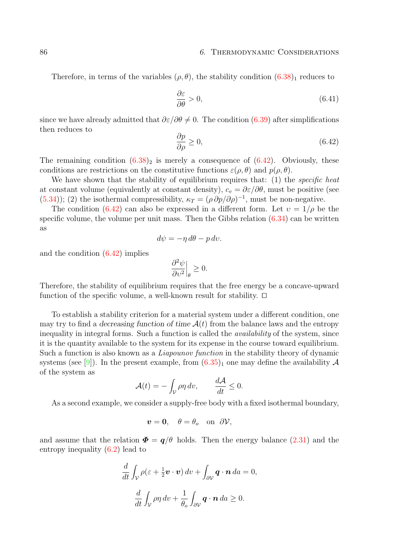#### <span id="page-91-0"></span>86 6. THERMODYNAMIC CONSIDERATIONS

Therefore, in terms of the variables  $(\rho, \theta)$ , the stability condition  $(6.38)<sub>1</sub>$  $(6.38)<sub>1</sub>$  $(6.38)<sub>1</sub>$  reduces to

$$
\frac{\partial \varepsilon}{\partial \theta} > 0,\tag{6.41}
$$

since we have already admitted that  $\partial \varepsilon / \partial \theta \neq 0$ . The condition [\(6.39\)](#page-88-0) after simplifications then reduces to

$$
\frac{\partial p}{\partial \rho} \ge 0,\tag{6.42}
$$

The remaining condition  $(6.38)_2$  $(6.38)_2$  $(6.38)_2$  is merely a consequence of  $(6.42)$ . Obviously, these conditions are restrictions on the constitutive functions  $\varepsilon(\rho, \theta)$  and  $p(\rho, \theta)$ .

We have shown that the stability of equilibrium requires that: (1) the *specific heat* at constant volume (equivalently at constant density),  $c_v = \partial \varepsilon / \partial \theta$ , must be positive (see [\(5.34\)](#page-69-0)); (2) the isothermal compressibility,  $\kappa_T = (\rho \partial p / \partial \rho)^{-1}$ , must be non-negative.

The condition [\(6.42\)](#page-88-0) can also be expressed in a different form. Let  $v = 1/\rho$  be the specific volume, the volume per unit mass. Then the Gibbs relation  $(6.34)$  can be written as

$$
d\psi = -\eta \, d\theta - p \, dv.
$$

and the condition [\(6.42\)](#page-88-0) implies

$$
\left. \frac{\partial^2 \psi}{\partial v^2} \right|_{\theta} \ge 0.
$$

Therefore, the stability of equilibrium requires that the free energy be a concave-upward function of the specific volume, a well-known result for stability.  $\Box$ 

To establish a stability criterion for a material system under a different condition, one may try to find a decreasing function of time  $\mathcal{A}(t)$  from the balance laws and the entropy inequality in integral forms. Such a function is called the *availability* of the system, since it is the quantity available to the system for its expense in the course toward equilibrium. Such a function is also known as a Liapounov function in the stability theory of dynamic systems (see [\[9\]](#page-94-3)). In the present example, from  $(6.35)_1$  $(6.35)_1$  one may define the availability A of the system as

$$
\mathcal{A}(t) = -\int_{\mathcal{V}} \rho \eta \, dv, \qquad \frac{d\mathcal{A}}{dt} \le 0.
$$

As a second example, we consider a supply-free body with a fixed isothermal boundary,

$$
\boldsymbol{v}=\mathbf{0},\quad \theta=\theta_o\quad\text{on}\ \ \partial\mathcal{V},
$$

and assume that the relation  $\Phi = q/\theta$  holds. Then the energy balance [\(2.31\)](#page-24-0) and the entropy inequality [\(6.2\)](#page-78-0) lead to

$$
\frac{d}{dt} \int_{\mathcal{V}} \rho(\varepsilon + \frac{1}{2} \boldsymbol{v} \cdot \boldsymbol{v}) dv + \int_{\partial \mathcal{V}} \boldsymbol{q} \cdot \boldsymbol{n} da = 0,
$$
  

$$
\frac{d}{dt} \int_{\mathcal{V}} \rho \eta dv + \frac{1}{\theta_o} \int_{\partial \mathcal{V}} \boldsymbol{q} \cdot \boldsymbol{n} da \ge 0.
$$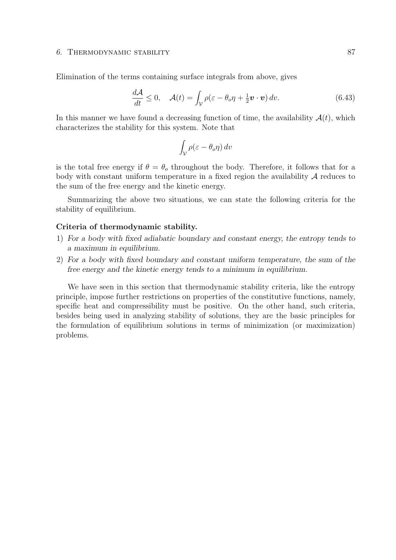#### <span id="page-92-0"></span>6. THERMODYNAMIC STABILITY 87

Elimination of the terms containing surface integrals from above, gives

$$
\frac{d\mathcal{A}}{dt} \le 0, \quad \mathcal{A}(t) = \int_{\mathcal{V}} \rho(\varepsilon - \theta_o \eta + \frac{1}{2} \boldsymbol{v} \cdot \boldsymbol{v}) \, dv. \tag{6.43}
$$

In this manner we have found a decreasing function of time, the availability  $A(t)$ , which characterizes the stability for this system. Note that

$$
\int_{\mathcal{V}} \rho(\varepsilon - \theta_o \eta) \, dv
$$

is the total free energy if  $\theta = \theta_0$  throughout the body. Therefore, it follows that for a body with constant uniform temperature in a fixed region the availability  $A$  reduces to the sum of the free energy and the kinetic energy.

Summarizing the above two situations, we can state the following criteria for the stability of equilibrium.

### Criteria of thermodynamic stability.

- 1) For a body with fixed adiabatic boundary and constant energy, the entropy tends to a maximum in equilibrium.
- 2) For a body with fixed boundary and constant uniform temperature, the sum of the free energy and the kinetic energy tends to a minimum in equilibrium.

We have seen in this section that thermodynamic stability criteria, like the entropy principle, impose further restrictions on properties of the constitutive functions, namely, specific heat and compressibility must be positive. On the other hand, such criteria, besides being used in analyzing stability of solutions, they are the basic principles for the formulation of equilibrium solutions in terms of minimization (or maximization) problems.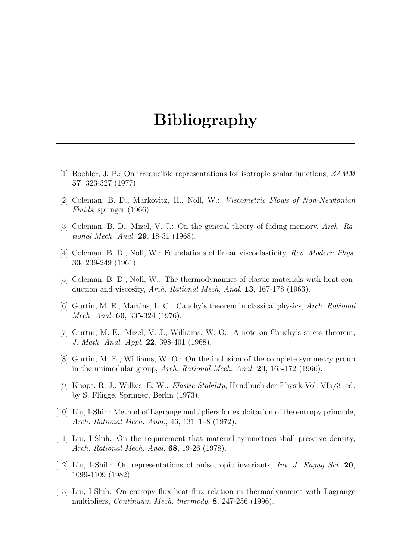# Bibliography

- [1] Boehler, J. P.: On irreducible representations for isotropic scalar functions, ZAMM 57, 323-327 (1977).
- [2] Coleman, B. D., Markovitz, H., Noll, W.: Viscometric Flows of Non-Newtonian Fluids, springer (1966).
- [3] Coleman, B. D., Mizel, V. J.: On the general theory of fading memory, Arch. Rational Mech. Anal. 29, 18-31 (1968).
- [4] Coleman, B. D., Noll, W.: Foundations of linear viscoelasticity, Rev. Modern Phys. 33, 239-249 (1961).
- <span id="page-94-0"></span>[5] Coleman, B. D., Noll, W.: The thermodynamics of elastic materials with heat conduction and viscosity, Arch. Rational Mech. Anal. 13, 167-178 (1963).
- [6] Gurtin, M. E., Martins, L. C.: Cauchy's theorem in classical physics, Arch. Rational Mech. Anal. 60, 305-324 (1976).
- [7] Gurtin, M. E., Mizel, V. J., Williams, W. O.: A note on Cauchy's stress theorem, J. Math. Anal. Appl. 22, 398-401 (1968).
- [8] Gurtin, M. E., Williams, W. O.: On the inclusion of the complete symmetry group in the unimodular group, Arch. Rational Mech. Anal. 23, 163-172 (1966).
- <span id="page-94-3"></span>[9] Knops, R. J., Wilkes, E. W.: Elastic Stability, Handbuch der Physik Vol. VIa/3, ed. by S. Flügge, Springer, Berlin (1973).
- <span id="page-94-1"></span>[10] Liu, I-Shih: Method of Lagrange multipliers for exploitation of the entropy principle, Arch. Rational Mech. Anal., 46, 131–148 (1972).
- [11] Liu, I-Shih: On the requirement that material symmetries shall preserve density, Arch. Rational Mech. Anal. 68, 19-26 (1978).
- [12] Liu, I-Shih: On representations of anisotropic invariants, Int. J. Engng Sci. 20, 1099-1109 (1982).
- <span id="page-94-2"></span>[13] Liu, I-Shih: On entropy flux-heat flux relation in thermodynamics with Lagrange multipliers, Continuum Mech. thermody. 8, 247-256 (1996).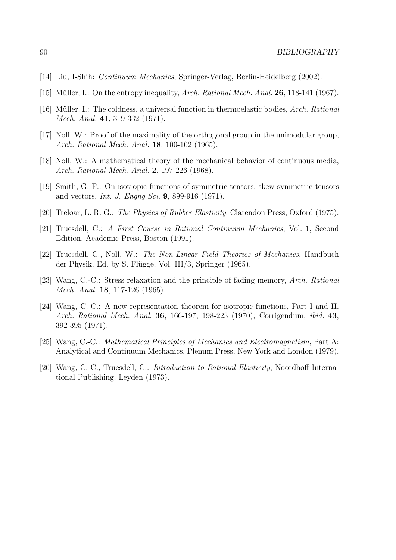- <span id="page-95-3"></span>[14] Liu, I-Shih: Continuum Mechanics, Springer-Verlag, Berlin-Heidelberg (2002).
- <span id="page-95-1"></span>[15] Müller, I.: On the entropy inequality, Arch. Rational Mech. Anal. 26, 118-141 (1967).
- <span id="page-95-2"></span>[16] Müller, I.: The coldness, a universal function in thermoelastic bodies, Arch. Rational Mech. Anal. 41, 319-332 (1971).
- [17] Noll, W.: Proof of the maximality of the orthogonal group in the unimodular group, Arch. Rational Mech. Anal. 18, 100-102 (1965).
- [18] Noll, W.: A mathematical theory of the mechanical behavior of continuous media, Arch. Rational Mech. Anal. 2, 197-226 (1968).
- [19] Smith, G. F.: On isotropic functions of symmetric tensors, skew-symmetric tensors and vectors, Int. J. Engng Sci. 9, 899-916 (1971).
- [20] Treloar, L. R. G.: The Physics of Rubber Elasticity, Clarendon Press, Oxford (1975).
- [21] Truesdell, C.: A First Course in Rational Continuum Mechanics, Vol. 1, Second Edition, Academic Press, Boston (1991).
- <span id="page-95-0"></span>[22] Truesdell, C., Noll, W.: The Non-Linear Field Theories of Mechanics, Handbuch der Physik, Ed. by S. Flügge, Vol. III/3, Springer (1965).
- [23] Wang, C.-C.: Stress relaxation and the principle of fading memory, Arch. Rational Mech. Anal. 18, 117-126 (1965).
- [24] Wang, C.-C.: A new representation theorem for isotropic functions, Part I and II, Arch. Rational Mech. Anal. **36**, 166-197, 198-223 (1970); Corrigendum, *ibid.* **43**, 392-395 (1971).
- [25] Wang, C.-C.: Mathematical Principles of Mechanics and Electromagnetism, Part A: Analytical and Continuum Mechanics, Plenum Press, New York and London (1979).
- [26] Wang, C.-C., Truesdell, C.: Introduction to Rational Elasticity, Noordhoff International Publishing, Leyden (1973).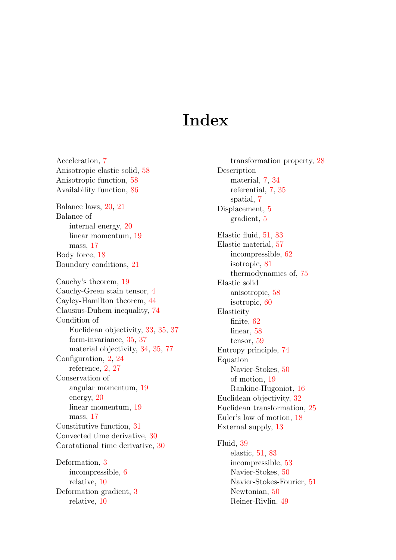# **Index**

Acceleration, [7](#page-12-1) Anisotropic elastic solid, [58](#page-63-1) Anisotropic function, [58](#page-63-1) Availability function, [86](#page-91-0) Balance laws, [20,](#page-25-0) [21](#page-26-1) Balance of internal energy, [20](#page-25-0) linear momentum, [19](#page-24-1) mass, [17](#page-22-0) Body force, [18](#page-23-0) Boundary conditions, [21](#page-26-1) Cauchy's theorem, [19](#page-24-1) Cauchy-Green stain tensor, [4](#page-9-0) Cayley-Hamilton theorem, [44](#page-49-1) Clausius-Duhem inequality, [74](#page-79-1) Condition of Euclidean objectivity, [33,](#page-38-0) [35,](#page-40-0) [37](#page-42-1) form-invariance, [35,](#page-40-0) [37](#page-42-1) material objectivity, [34,](#page-39-0) [35,](#page-40-0) [77](#page-82-0) Configuration, [2,](#page-1-0) [24](#page-29-0) reference, [2,](#page-1-0) [27](#page-32-0) Conservation of angular momentum, [19](#page-24-1) energy, [20](#page-25-0) linear momentum, [19](#page-24-1) mass, [17](#page-22-0) Constitutive function, [31](#page-36-0) Convected time derivative, [30](#page-35-0) Corotational time derivative, [30](#page-35-0) Deformation, [3](#page-8-0) incompressible, [6](#page-11-0)

relative, [10](#page-15-0) Deformation gradient, [3](#page-8-0) relative, [10](#page-15-0)

transformation property, [28](#page-33-0) Description material, [7,](#page-12-1) [34](#page-39-0) referential, [7,](#page-12-1) [35](#page-40-0) spatial, [7](#page-12-1) Displacement, [5](#page-10-0) gradient, [5](#page-10-0) Elastic fluid, [51,](#page-56-0) [83](#page-88-2) Elastic material, [57](#page-62-0) incompressible, [62](#page-67-0) isotropic, [81](#page-86-2) thermodynamics of, [75](#page-80-1) Elastic solid anisotropic, [58](#page-63-1) isotropic, [60](#page-65-0) Elasticity finite, [62](#page-67-0) linear, [58](#page-63-1) tensor, [59](#page-64-0) Entropy principle, [74](#page-79-1) Equation Navier-Stokes, [50](#page-55-0) of motion, [19](#page-24-1) Rankine-Hugoniot, [16](#page-21-0) Euclidean objectivity, [32](#page-37-0) Euclidean transformation, [25](#page-30-0) Euler's law of motion, [18](#page-23-0) External supply, [13](#page-18-1) Fluid, [39](#page-44-0) elastic, [51,](#page-56-0) [83](#page-88-2) incompressible, [53](#page-58-0) Navier-Stokes, [50](#page-55-0) Navier-Stokes-Fourier, [51](#page-56-0) Newtonian, [50](#page-55-0)

Reiner-Rivlin, [49](#page-54-0)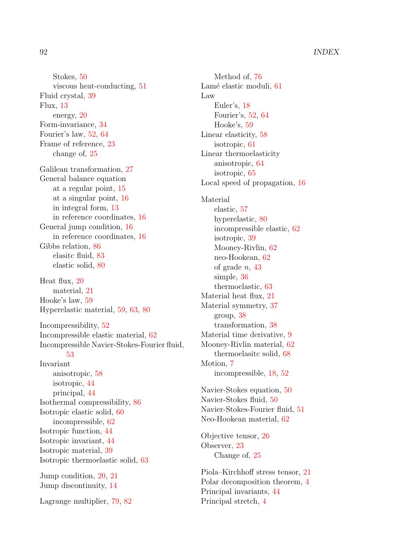Stokes, [50](#page-55-0) viscous heat-conducting, [51](#page-56-0) Fluid crystal, [39](#page-44-0) Flux, [13](#page-18-1) energy, [20](#page-25-0) Form-invariance, [34](#page-39-0) Fourier's law, [52,](#page-57-0) [64](#page-69-1) Frame of reference, [23](#page-28-0) change of, [25](#page-30-0) Galilean transformation, [27](#page-32-0) General balance equation at a regular point, [15](#page-20-0) at a singular point, [16](#page-21-0) in integral form, [13](#page-18-1) in reference coordinates, [16](#page-21-0) General jump condition, [16](#page-21-0) in reference coordinates, [16](#page-21-0) Gibbs relation, [86](#page-91-0) elasitc fluid, [83](#page-88-2) elastic solid, [80](#page-85-1) Heat flux, [20](#page-25-0) material, [21](#page-26-1) Hooke's law, [59](#page-64-0) Hyperelastic material, [59,](#page-64-0) [63,](#page-68-1) [80](#page-85-1) Incompressibility, [52](#page-57-0) Incompressible elastic material, [62](#page-67-0) Incompressible Navier-Stokes-Fourier fluid, [53](#page-58-0) Invariant anisotropic, [58](#page-63-1) isotropic, [44](#page-49-1) principal, [44](#page-49-1) Isothermal compressibility, [86](#page-91-0) Isotropic elastic solid, [60](#page-65-0) incompressible, [62](#page-67-0) Isotropic function, [44](#page-49-1) Isotropic invariant, [44](#page-49-1) Isotropic material, [39](#page-44-0) Isotropic thermoelastic solid, [63](#page-68-1) Jump condition, [20,](#page-25-0) [21](#page-26-1) Jump discontinuity, [14](#page-19-0) Lagrange multiplier, [79,](#page-84-1) [82](#page-87-1)

Method of, [76](#page-81-1) Lamé elastic moduli, [61](#page-66-1) Law Euler's, [18](#page-23-0) Fourier's, [52,](#page-57-0) [64](#page-69-1) Hooke's, [59](#page-64-0) Linear elasticity, [58](#page-63-1) isotropic, [61](#page-66-1) Linear thermoelasticity anisotropic, [64](#page-69-1) isotropic, [65](#page-70-0) Local speed of propagation, [16](#page-21-0) Material elastic, [57](#page-62-0) hyperelastic, [80](#page-85-1) incompressible elastic, [62](#page-67-0) isotropic, [39](#page-44-0) Mooney-Rivlin, [62](#page-67-0) neo-Hookean, [62](#page-67-0) of grade  $n, 43$  $n, 43$ simple, [36](#page-41-1) thermoelastic, [63](#page-68-1) Material heat flux, [21](#page-26-1) Material symmetry, [37](#page-42-1) group, [38](#page-43-0) transformation, [38](#page-43-0) Material time derivative, [9](#page-14-0) Mooney-Rivlin material, [62](#page-67-0) thermoelasitc solid, [68](#page-73-1) Motion, [7](#page-12-1) incompressible, [18,](#page-23-0) [52](#page-57-0) Navier-Stokes equation, [50](#page-55-0) Navier-Stokes fluid, [50](#page-55-0) Navier-Stokes-Fourier fluid, [51](#page-56-0) Neo-Hookean material, [62](#page-67-0) Objective tensor, [26](#page-31-0) Observer, [23](#page-28-0) Change of, [25](#page-30-0) Piola–Kirchhoff stress tensor, [21](#page-26-1) Polar decomposition theorem, [4](#page-9-0) Principal invariants, [44](#page-49-1) Principal stretch, [4](#page-9-0)